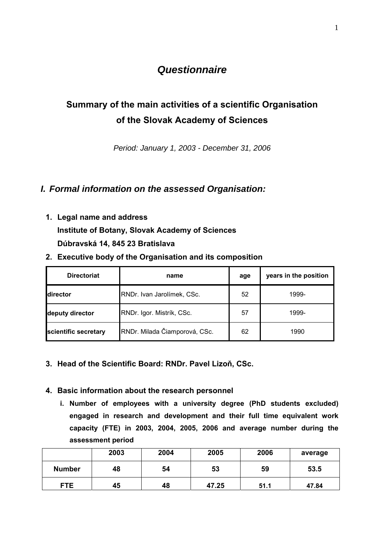## *Questionnaire*

# **Summary of the main activities of a scientific Organisation of the Slovak Academy of Sciences**

*Period: January 1, 2003 - December 31, 2006* 

## *I. Formal information on the assessed Organisation:*

**1. Legal name and address** 

**Institute of Botany, Slovak Academy of Sciences Dúbravská 14, 845 23 Bratislava** 

**2. Executive body of the Organisation and its composition** 

| <b>Directoriat</b>   | name                          | age | years in the position |
|----------------------|-------------------------------|-----|-----------------------|
| <b>Idirector</b>     | RNDr. Ivan Jarolímek, CSc.    | 52  | 1999-                 |
| deputy director      | RNDr. Igor. Mistrík, CSc.     | 57  | 1999-                 |
| scientific secretary | RNDr. Milada Čiamporová, CSc. | 62  | 1990                  |

**3. Head of the Scientific Board: RNDr. Pavel Lizoň, CSc.** 

#### **4. Basic information about the research personnel**

**i. Number of employees with a university degree (PhD students excluded) engaged in research and development and their full time equivalent work capacity (FTE) in 2003, 2004, 2005, 2006 and average number during the assessment period** 

|               | 2003 | 2004 | 2005  | 2006 | average |
|---------------|------|------|-------|------|---------|
| <b>Number</b> | 48   | 54   | 53    | 59   | 53.5    |
| <b>FTE</b>    | 45   | 48   | 47.25 | 51.1 | 47.84   |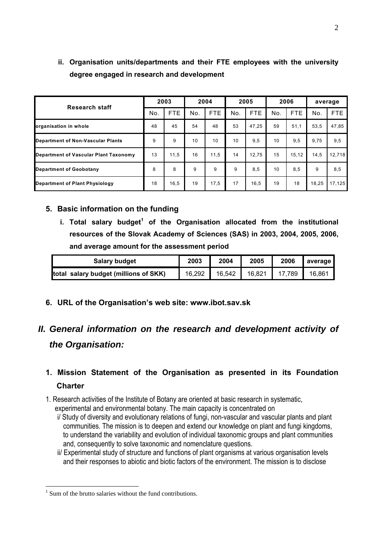|                                          |     | 2003       |     | 2004       |     | 2005       |     | 2006       | average |        |
|------------------------------------------|-----|------------|-----|------------|-----|------------|-----|------------|---------|--------|
| <b>Research staff</b>                    | No. | <b>FTE</b> | No. | <b>FTE</b> | No. | <b>FTE</b> | No. | <b>FTE</b> | No.     | FTE.   |
| organisation in whole                    | 48  | 45         | 54  | 48         | 53  | 47.25      | 59  | 51,1       | 53,5    | 47,85  |
| <b>Department of Non-Vascular Plants</b> | 9   | 9          | 10  | 10         | 10  | 9,5        | 10  | 9,5        | 9.75    | 9,5    |
| Department of Vascular Plant Taxonomy    | 13  | 11,5       | 16  | 11.5       | 14  | 12.75      | 15  | 15.12      | 14,5    | 12,718 |
| <b>Department of Geobotany</b>           | 8   | 8          | 9   | 9          | 9   | 8,5        | 10  | 8,5        | 9       | 8,5    |
| Department of Plant Physiology           |     | 16,5       | 19  | 17,5       | 17  | 16,5       | 19  | 18         | 18,25   | 17,125 |

**ii. Organisation units/departments and their FTE employees with the university degree engaged in research and development** 

#### **5. Basic information on the funding**

**i. Total salary budget<sup>1</sup> of the Organisation allocated from the institutional resources of the Slovak Academy of Sciences (SAS) in 2003, 2004, 2005, 2006, and average amount for the assessment period** 

| <b>Salary budget</b>                  | 2003   | 2004   | 2005   | 2006   | average |
|---------------------------------------|--------|--------|--------|--------|---------|
| total salary budget (millions of SKK) | 16,292 | 16,542 | 16,821 | 17,789 | 16.861  |

**6. URL of the Organisation's web site: www.ibot.sav.sk** 

# *II. General information on the research and development activity of the Organisation:*

## **1. Mission Statement of the Organisation as presented in its Foundation Charter**

1. Research activities of the Institute of Botany are oriented at basic research in systematic,

experimental and environmental botany. The main capacity is concentrated on

- i/ Study of diversity and evolutionary relations of fungi, non-vascular and vascular plants and plant communities. The mission is to deepen and extend our knowledge on plant and fungi kingdoms, to understand the variability and evolution of individual taxonomic groups and plant communities and, consequently to solve taxonomic and nomenclature questions.
- ii/ Experimental study of structure and functions of plant organisms at various organisation levels and their responses to abiotic and biotic factors of the environment. The mission is to disclose

1

<sup>&</sup>lt;sup>1</sup> Sum of the brutto salaries without the fund contributions.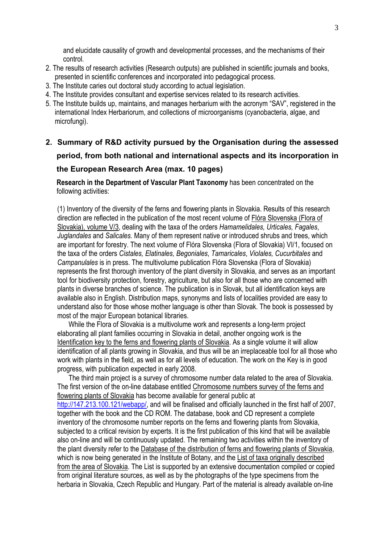and elucidate causality of growth and developmental processes, and the mechanisms of their control.

- 2. The results of research activities (Research outputs) are published in scientific journals and books, presented in scientific conferences and incorporated into pedagogical process.
- 3. The Institute caries out doctoral study according to actual legislation.
- 4. The Institute provides consultant and expertise services related to its research activities.
- 5. The Institute builds up, maintains, and manages herbarium with the acronym "SAV", registered in the international Index Herbariorum, and collections of microorganisms (cyanobacteria, algae, and microfungi).
- **2. Summary of R&D activity pursued by the Organisation during the assessed period, from both national and international aspects and its incorporation in the European Research Area (max. 10 pages)**

**Research in the Department of Vascular Plant Taxonomy** has been concentrated on the following activities:

(1) Inventory of the diversity of the ferns and flowering plants in Slovakia. Results of this research direction are reflected in the publication of the most recent volume of Flóra Slovenska (Flora of Slovakia), volume V/3, dealing with the taxa of the orders *Hamamelidales, Urticales, Fagales*, *Juglandales* and *Salicales.* Many of them represent native or introduced shrubs and trees, which are important for forestry. The next volume of Flóra Slovenska (Flora of Slovakia) VI/1, focused on the taxa of the orders *Cistales, Elatinales, Begoniales*, *Tamaricales*, *Violales, Cucurbitales* and *Campanulales* is in press. The multivolume publication Flóra Slovenska (Flora of Slovakia) represents the first thorough inventory of the plant diversity in Slovakia, and serves as an important tool for biodiversity protection, forestry, agriculture, but also for all those who are concerned with plants in diverse branches of science. The publication is in Slovak, but all identification keys are available also in English. Distribution maps, synonyms and lists of localities provided are easy to understand also for those whose mother language is other than Slovak. The book is possessed by most of the major European botanical libraries.

 While the Flora of Slovakia is a multivolume work and represents a long-term project elaborating all plant families occurring in Slovakia in detail, another ongoing work is the Identification key to the ferns and flowering plants of Slovakia. As a single volume it will allow identification of all plants growing in Slovakia, and thus will be an irreplaceable tool for all those who work with plants in the field, as well as for all levels of education. The work on the Key is in good progress, with publication expected in early 2008.

 The third main project is a survey of chromosome number data related to the area of Slovakia. The first version of the on-line database entitled Chromosome numbers survey of the ferns and flowering plants of Slovakia has become available for general public at http://147.213.100.121/webapp/, and will be finalised and officially launched in the first half of 2007, together with the book and the CD ROM. The database, book and CD represent a complete inventory of the chromosome number reports on the ferns and flowering plants from Slovakia, subjected to a critical revision by experts. It is the first publication of this kind that will be available also on-line and will be continuously updated. The remaining two activities within the inventory of the plant diversity refer to the Database of the distribution of ferns and flowering plants of Slovakia, which is now being generated in the Institute of Botany, and the List of taxa originally described from the area of Slovakia. The List is supported by an extensive documentation compiled or copied from original literature sources, as well as by the photographs of the type specimens from the herbaria in Slovakia, Czech Republic and Hungary. Part of the material is already available on-line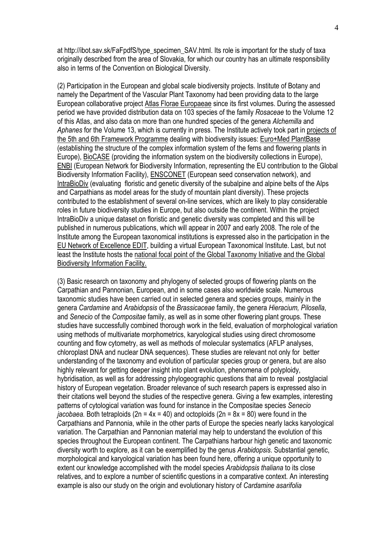at http://ibot.sav.sk/FaFpdfS/type\_specimen\_SAV.html. Its role is important for the study of taxa originally described from the area of Slovakia, for which our country has an ultimate responsibility also in terms of the Convention on Biological Diversity.

(2) Participation in the European and global scale biodiversity projects. Institute of Botany and namely the Department of the Vascular Plant Taxonomy had been providing data to the large European collaborative project Atlas Florae Europaeae since its first volumes. During the assessed period we have provided distribution data on 103 species of the family *Rosaceae* to the Volume 12 of this Atlas, and also data on more than one hundred species of the genera *Alchemilla* and *Aphanes* for the Volume 13, which is currently in press. The Institute actively took part in projects of the 5th and 6th Framework Programme dealing with biodiversity issues: Euro+Med PlantBase (establishing the structure of the complex information system of the ferns and flowering plants in Europe), BioCASE (providing the information system on the biodiversity collections in Europe), ENBI (European Network for Biodiversity Information, representing the EU contribution to the Global Biodiversity Information Facility), ENSCONET (European seed conservation network), and IntraBioDiv (evaluating floristic and genetic diversity of the subalpine and alpine belts of the Alps and Carpathians as model areas for the study of mountain plant diversity). These projects contributed to the establishment of several on-line services, which are likely to play considerable roles in future biodiversity studies in Europe, but also outside the continent. Within the project IntraBioDiv a unique dataset on floristic and genetic diversity was completed and this will be published in numerous publications, which will appear in 2007 and early 2008. The role of the Institute among the European taxonomical institutions is expressed also in the participation in the EU Network of Excellence EDIT, building a virtual European Taxonomical Institute. Last, but not least the Institute hosts the national focal point of the Global Taxonomy Initiative and the Global Biodiversity Information Facility.

(3) Basic research on taxonomy and phylogeny of selected groups of flowering plants on the Carpathian and Pannonian, European, and in some cases also worldwide scale. Numerous taxonomic studies have been carried out in selected genera and species groups, mainly in the genera *Cardamine* and *Arabidopsis* of the *Brassicaceae* family, the genera *Hieracium, Pilosella*, and *Senecio* of the *Compositae* family, as well as in some other flowering plant groups. These studies have successfully combined thorough work in the field, evaluation of morphological variation using methods of multivariate morphometrics, karyological studies using direct chromosome counting and flow cytometry, as well as methods of molecular systematics (AFLP analyses, chloroplast DNA and nuclear DNA sequences). These studies are relevant not only for better understanding of the taxonomy and evolution of particular species group or genera, but are also highly relevant for getting deeper insight into plant evolution, phenomena of polyploidy, hybridisation, as well as for addressing phylogeographic questions that aim to reveal postglacial history of European vegetation. Broader relevance of such research papers is expressed also in their citations well beyond the studies of the respective genera. Giving a few examples, interesting patterns of cytological variation was found for instance in the Compositae species *Senecio jacobaea.* Both tetraploids (2n = 4x = 40) and octoploids (2n = 8x = 80) were found in the Carpathians and Pannonia, while in the other parts of Europe the species nearly lacks karyological variation. The Carpathian and Pannonian material may help to understand the evolution of this species throughout the European continent. The Carpathians harbour high genetic and taxonomic diversity worth to explore, as it can be exemplified by the genus *Arabidopsis*. Substantial genetic, morphological and karyological variation has been found here, offering a unique opportunity to extent our knowledge accomplished with the model species *Arabidopsis thaliana* to its close relatives, and to explore a number of scientific questions in a comparative context. An interesting example is also our study on the origin and evolutionary history of *Cardamine asarifolia*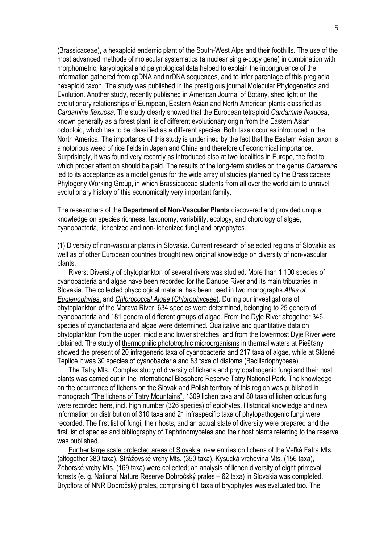(Brassicaceae), a hexaploid endemic plant of the South-West Alps and their foothills. The use of the most advanced methods of molecular systematics (a nuclear single-copy gene) in combination with morphometric, karyological and palynological data helped to explain the incongruence of the information gathered from cpDNA and nrDNA sequences, and to infer parentage of this preglacial hexaploid taxon. The study was published in the prestigious journal Molecular Phylogenetics and Evolution. Another study, recently published in American Journal of Botany, shed light on the evolutionary relationships of European, Eastern Asian and North American plants classified as *Cardamine flexuosa*. The study clearly showed that the European tetraploid *Cardamine flexuosa*, known generally as a forest plant, is of different evolutionary origin from the Eastern Asian octoploid, which has to be classified as a different species. Both taxa occur as introduced in the North America. The importance of this study is underlined by the fact that the Eastern Asian taxon is a notorious weed of rice fields in Japan and China and therefore of economical importance. Surprisingly, it was found very recently as introduced also at two localities in Europe, the fact to which proper attention should be paid. The results of the long-term studies on the genus *Cardamine* led to its acceptance as a model genus for the wide array of studies planned by the Brassicaceae Phylogeny Working Group, in which Brassicaceae students from all over the world aim to unravel evolutionary history of this economically very important family.

The researchers of the **Department of Non-Vascular Plants** discovered and provided unique knowledge on species richness, taxonomy, variability, ecology, and chorology of algae, cyanobacteria, lichenized and non-lichenized fungi and bryophytes.

(1) Diversity of non-vascular plants in Slovakia. Current research of selected regions of Slovakia as well as of other European countries brought new original knowledge on diversity of non-vascular plants.

Rivers: Diversity of phytoplankton of several rivers was studied. More than 1,100 species of cyanobacteria and algae have been recorded for the Danube River and its main tributaries in Slovakia. The collected phycological material has been used in two monographs *Atlas of Euglenophytes*, and *Chlorococcal Algae* (*Chlorophyceae*). During our investigations of phytoplankton of the Morava River, 634 species were determined, belonging to 25 genera of cyanobacteria and 181 genera of different groups of algae. From the Dyje River altogether 346 species of cyanobacteria and algae were determined. Qualitative and quantitative data on phytoplankton from the upper, middle and lower stretches, and from the lowermost Dyje River were obtained. The study of thermophilic phototrophic microorganisms in thermal waters at Piešťany showed the present of 20 infrageneric taxa of cyanobacteria and 217 taxa of algae, while at Sklené Teplice it was 30 species of cyanobacteria and 83 taxa of diatoms (Bacillariophyceae).

The Tatry Mts.: Complex study of diversity of lichens and phytopathogenic fungi and their host plants was carried out in the International Biosphere Reserve Tatry National Park. The knowledge on the occurrence of lichens on the Slovak and Polish territory of this region was published in monograph "The lichens of Tatry Mountains". 1309 lichen taxa and 80 taxa of lichenicolous fungi were recorded here, incl. high number (326 species) of epiphytes. Historical knowledge and new information on distribution of 310 taxa and 21 infraspecific taxa of phytopathogenic fungi were recorded. The first list of fungi, their hosts, and an actual state of diversity were prepared and the first list of species and bibliography of Taphrinomycetes and their host plants referring to the reserve was published.

Further large scale protected areas of Slovakia: new entries on lichens of the Veľká Fatra Mts. (altogether 380 taxa), Strážovské vrchy Mts. (350 taxa), Kysucká vrchovina Mts. (156 taxa), Zoborské vrchy Mts. (169 taxa) were collected; an analysis of lichen diversity of eight primeval forests (e. g. National Nature Reserve Dobročský prales – 62 taxa) in Slovakia was completed. Bryoflora of NNR Dobročský prales, comprising 61 taxa of bryophytes was evaluated too. The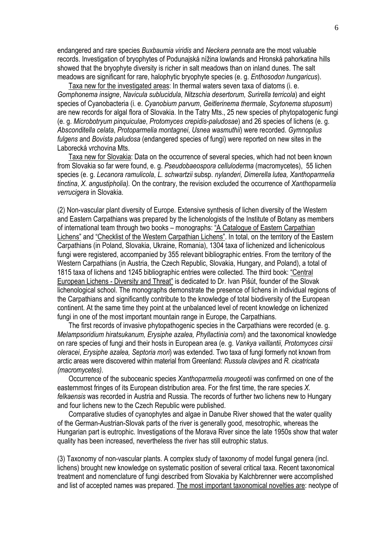endangered and rare species *Buxbaumia viridis* and *Neckera pennata* are the most valuable records. Investigation of bryophytes of Podunajská nížina lowlands and Hronská pahorkatina hills showed that the bryophyte diversity is richer in salt meadows than on inland dunes. The salt meadows are significant for rare, halophytic bryophyte species (e. g. *Enthosodon hungaricus*).

Taxa new for the investigated areas: In thermal waters seven taxa of diatoms (i. e. *Gomphonema insigne*, *Navicula sublucidula*, *Nitzschia desertorum, Surirella terricola*) and eight species of Cyanobacteria (i. e. *Cyanobium parvum*, *Geitlerinema thermale*, *Scytonema stuposum*) are new records for algal flora of Slovakia. In the Tatry Mts., 25 new species of phytopatogenic fungi (e. g. *Microbotryum pinquiculae*, *Protomyces crepidis-paludosae*) and 26 species of lichens (e. g. *Absconditella celata*, *Protoparmelia montagnei*, *Usnea wasmuthii*) were recorded. *Gymnopilus fulgens* and *Bovista paludosa* (endangered species of fungi) were reported on new sites in the Laborecká vrchovina Mts.

Taxa new for Slovakia: Data on the occurrence of several species, which had not been known from Slovakia so far were found, e. g. *Pseudobaeospora celluloderma* (macromycetes), 55 lichen species (e. g. *Lecanora ramulicola*, *L. schwartzii* subsp. *nylanderi, Dimerella lutea, Xanthoparmelia tinctina*, *X. angustipholia).* On the contrary, the revision excluded the occurrence of *Xanthoparmelia verrucigera* in Slovakia.

(2) Non-vascular plant diversity of Europe. Extensive synthesis of lichen diversity of the Western and Eastern Carpathians was prepared by the lichenologists of the Institute of Botany as members of international team through two books – monographs: "A Catalogue of Eastern Carpathian Lichens" and "Checklist of the Western Carpathian Lichens". In total, on the territory of the Eastern Carpathians (in Poland, Slovakia, Ukraine, Romania), 1304 taxa of lichenized and lichenicolous fungi were registered, accompanied by 355 relevant bibliographic entries. From the territory of the Western Carpathians (in Austria, the Czech Republic, Slovakia, Hungary, and Poland), a total of 1815 taxa of lichens and 1245 bibliographic entries were collected. The third book: "Central European Lichens - Diversity and Threat" is dedicated to Dr. Ivan Pišút, founder of the Slovak lichenological school. The monographs demonstrate the presence of lichens in individual regions of the Carpathians and significantly contribute to the knowledge of total biodiversity of the European continent. At the same time they point at the unbalanced level of recent knowledge on lichenized fungi in one of the most important mountain range in Europe, the Carpathians.

The first records of invasive phytopathogenic species in the Carpathians were recorded (e. g. *Melampsoridium hiratsukanum, Erysiphe azalea, Phyllactinia corni*) and the taxonomical knowledge on rare species of fungi and their hosts in European area (e. g. *Vankya vaillantii, Protomyces cirsii oleracei*, *Erysiphe azalea, Septoria mori*) was extended. Two taxa of fungi formerly not known from arctic areas were discovered within material from Greenland: *Russula clavipes* and *R. cicatricata (macromycetes)*.

Occurrence of the suboceanic species *Xanthoparmelia mougeotii* was confirmed on one of the easternmost fringes of its European distribution area. For the first time, the rare species *X. felkaensis* was recorded in Austria and Russia. The records of further two lichens new to Hungary and four lichens new to the Czech Republic were published.

Comparative studies of cyanophytes and algae in Danube River showed that the water quality of the German-Austrian-Slovak parts of the river is generally good, mesotrophic, whereas the Hungarian part is eutrophic. Investigations of the Morava River since the late 1950s show that water quality has been increased, nevertheless the river has still eutrophic status.

(3) Taxonomy of non-vascular plants. A complex study of taxonomy of model fungal genera (incl. lichens) brought new knowledge on systematic position of several critical taxa. Recent taxonomical treatment and nomenclature of fungi described from Slovakia by Kalchbrenner were accomplished and list of accepted names was prepared. The most important taxonomical novelties are: neotype of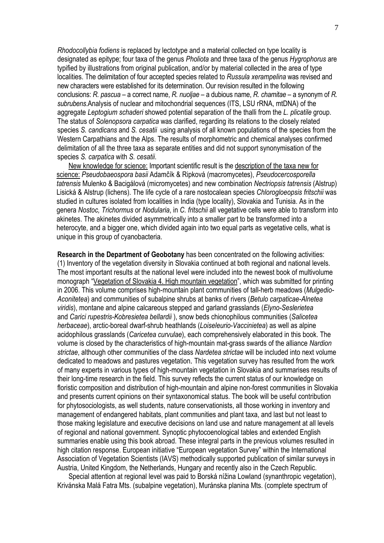*Rhodocollybia fodiens* is replaced by lectotype and a material collected on type locality is designated as epitype; four taxa of the genus *Pholiota* and three taxa of the genus *Hygrophorus* are typified by illustrations from original publication, and/or by material collected in the area of type localities. The delimitation of four accepted species related to *Russula xerampelina* was revised and new characters were established for its determination. Our revision resulted in the following conclusions: *R. pascua* – a correct name, *R. nuoljae –* a dubious name, *R. chamitae* – a synonym of *R. subrubens*.Analysis of nuclear and mitochondrial sequences (ITS, LSU rRNA, mtDNA) of the aggregate *Leptogium schaderi* showed potential separation of the thalli from the *L. plicatile* group. The status of *Solenopsora carpatica* was clarified, regarding its relations to the closely related species *S. candicans* and *S. cesatii* using analysis of all known populations of the species from the Western Carpathians and the Alps. The results of morphometric and chemical analyses confirmed delimitation of all the three taxa as separate entities and did not support synonymisation of the species *S. carpatica* with *S. cesatii*.

 New knowledge for science: Important scientific result is the description of the taxa new for science: *Pseudobaeospora basii* Adamčík & Ripková (macromycetes), *Pseudocercosporella tatrensis* Mulenko & Bacigálová (micromycetes) and new combination *Nectriopsis tatrensis* (Alstrup) Lisická & Alstrup (lichens). The life cycle of a rare nostocalean species *Chlorogloeopsis fritschii* was studied in cultures isolated from localities in India (type locality), Slovakia and Tunisia. As in the genera *Nostoc, Trichormus* or *Nodularia*, in *C. fritschii* all vegetative cells were able to transform into akinetes. The akinetes divided asymmetrically into a smaller part to be transformed into a heterocyte, and a bigger one, which divided again into two equal parts as vegetative cells, what is unique in this group of cyanobacteria.

**Research in the Department of Geobotany** has been concentrated on the following activities: (1) Inventory of the vegetation diversity in Slovakia continued at both regional and national levels. The most important results at the national level were included into the newest book of multivolume monograph "Vegetation of Slovakia 4. High mountain vegetation", which was submitted for printing in 2006. This volume comprises high-mountain plant communities of tall-herb meadows (*Mulgedio-Aconitetea*) and communities of subalpine shrubs at banks of rivers (*Betulo carpaticae-Alnetea viridis*), montane and alpine calcareous stepped and garland grasslands (*Elyno-Seslerietea* and *Carici rupestris-Kobresietea bellardii* ), snow beds chionophilous communities (*Salicetea herbaceae*), arctic-boreal dwarf-shrub heathlands (*Loiseleurio-Vaccinietea*) as well as alpine acidophilous grasslands (*Caricetea curvulae*), each comprehensively elaborated in this book. The volume is closed by the characteristics of high-mountain mat-grass swards of the alliance *Nardion strictae*, although other communities of the class *Nardetea strictae* will be included into next volume dedicated to meadows and pastures vegetation. This vegetation survey has resulted from the work of many experts in various types of high-mountain vegetation in Slovakia and summarises results of their long-time research in the field. This survey reflects the current status of our knowledge on floristic composition and distribution of high-mountain and alpine non-forest communities in Slovakia and presents current opinions on their syntaxonomical status. The book will be useful contribution for phytosociologists, as well students, nature conservationists, all those working in inventory and management of endangered habitats, plant communities and plant taxa, and last but not least to those making legislature and executive decisions on land use and nature management at all levels of regional and national government. Synoptic phytocoenological tables and extended English summaries enable using this book abroad. These integral parts in the previous volumes resulted in high citation response. European initiative "European vegetation Survey" within the International Association of Vegetation Scientists (IAVS) methodically supported publication of similar surveys in Austria, United Kingdom, the Netherlands, Hungary and recently also in the Czech Republic.

 Special attention at regional level was paid to Borská nížina Lowland (synanthropic vegetation), Krivánska Malá Fatra Mts. (subalpine vegetation), Muránska planina Mts. (complete spectrum of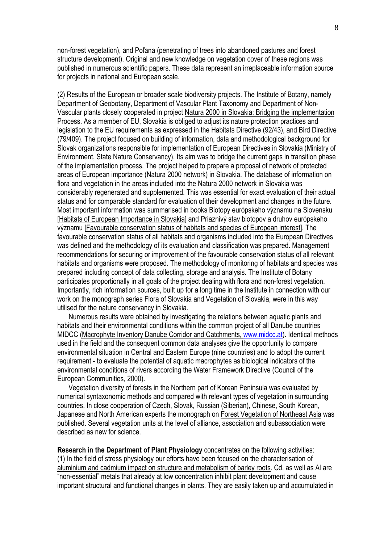non-forest vegetation), and Poľana (penetrating of trees into abandoned pastures and forest structure development). Original and new knowledge on vegetation cover of these regions was published in numerous scientific papers. These data represent an irreplaceable information source for projects in national and European scale.

(2) Results of the European or broader scale biodiversity projects. The Institute of Botany, namely Department of Geobotany, Department of Vascular Plant Taxonomy and Department of Non-Vascular plants closely cooperated in project Natura 2000 in Slovakia: Bridging the implementation Process. As a member of EU, Slovakia is obliged to adjust its nature protection practices and legislation to the EU requirements as expressed in the Habitats Directive (92/43), and Bird Directive (79/409). The project focused on building of information, data and methodological background for Slovak organizations responsible for implementation of European Directives in Slovakia (Ministry of Environment, State Nature Conservancy). Its aim was to bridge the current gaps in transition phase of the implementation process. The project helped to prepare a proposal of network of protected areas of European importance (Natura 2000 network) in Slovakia. The database of information on flora and vegetation in the areas included into the Natura 2000 network in Slovakia was considerably regenerated and supplemented. This was essential for exact evaluation of their actual status and for comparable standard for evaluation of their development and changes in the future. Most important information was summarised in books Biotopy európskeho významu na Slovensku [Habitats of European Importance in Slovakia] and Priaznivý stav biotopov a druhov európskeho významu [Favourable conservation status of habitats and species of European interest]. The favourable conservation status of all habitats and organisms included into the European Directives was defined and the methodology of its evaluation and classification was prepared. Management recommendations for securing or improvement of the favourable conservation status of all relevant habitats and organisms were proposed. The methodology of monitoring of habitats and species was prepared including concept of data collecting, storage and analysis. The Institute of Botany participates proportionally in all goals of the project dealing with flora and non-forest vegetation. Importantly, rich information sources, built up for a long time in the Institute in connection with our work on the monograph series Flora of Slovakia and Vegetation of Slovakia, were in this way utilised for the nature conservancy in Slovakia.

 Numerous results were obtained by investigating the relations between aquatic plants and habitats and their environmental conditions within the common project of all Danube countries MIDCC (Macrophyte Inventory Danube Corridor and Catchments, www.midcc.at). Identical methods used in the field and the consequent common data analyses give the opportunity to compare environmental situation in Central and Eastern Europe (nine countries) and to adopt the current requirement - to evaluate the potential of aquatic macrophytes as biological indicators of the environmental conditions of rivers according the Water Framework Directive (Council of the European Communities, 2000).

 Vegetation diversity of forests in the Northern part of Korean Peninsula was evaluated by numerical syntaxonomic methods and compared with relevant types of vegetation in surrounding countries. In close cooperation of Czech, Slovak, Russian (Siberian), Chinese, South Korean, Japanese and North American experts the monograph on Forest Vegetation of Northeast Asia was published. Several vegetation units at the level of alliance, association and subassociation were described as new for science.

**Research in the Department of Plant Physiology** concentrates on the following activities: (1) In the field of stress physiology our efforts have been focused on the characterisation of aluminium and cadmium impact on structure and metabolism of barley roots. Cd, as well as Al are "non-essential" metals that already at low concentration inhibit plant development and cause important structural and functional changes in plants. They are easily taken up and accumulated in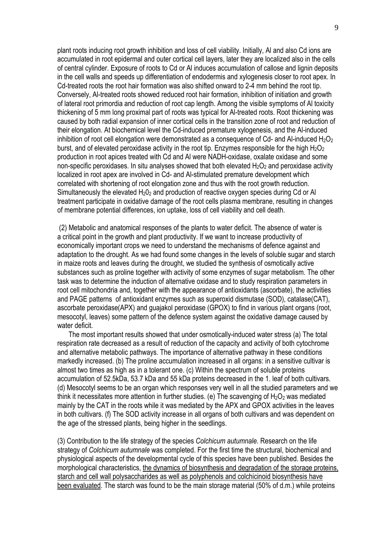plant roots inducing root growth inhibition and loss of cell viability. Initially, Al and also Cd ions are accumulated in root epidermal and outer cortical cell layers, later they are localized also in the cells of central cylinder. Exposure of roots to Cd or Al induces accumulation of callose and lignin deposits in the cell walls and speeds up differentiation of endodermis and xylogenesis closer to root apex. In Cd-treated roots the root hair formation was also shifted onward to 2-4 mm behind the root tip. Conversely, Al-treated roots showed reduced root hair formation, inhibition of initiation and growth of lateral root primordia and reduction of root cap length. Among the visible symptoms of Al toxicity thickening of 5 mm long proximal part of roots was typical for Al-treated roots. Root thickening was caused by both radial expansion of inner cortical cells in the transition zone of root and reduction of their elongation. At biochemical level the Cd-induced premature xylogenesis, and the Al-induced inhibition of root cell elongation were demonstrated as a consequence of Cd- and Al-induced H<sub>2</sub>O<sub>2</sub> burst, and of elevated peroxidase activity in the root tip. Enzymes responsible for the high  $H_2O_2$ production in root apices treated with Cd and Al were NADH-oxidase, oxalate oxidase and some non-specific peroxidases. In situ analyses showed that both elevated  $H_2O_2$  and peroxidase activity localized in root apex are involved in Cd- and Al-stimulated premature development which correlated with shortening of root elongation zone and thus with the root growth reduction. Simultaneously the elevated  $H_2O_2$  and production of reactive oxygen species during Cd or Al treatment participate in oxidative damage of the root cells plasma membrane, resulting in changes of membrane potential differences, ion uptake, loss of cell viability and cell death.

 (2) Metabolic and anatomical responses of the plants to water deficit. The absence of water is a critical point in the growth and plant productivity. If we want to increase productivity of economically important crops we need to understand the mechanisms of defence against and adaptation to the drought. As we had found some changes in the levels of soluble sugar and starch in maize roots and leaves during the drought, we studied the synthesis of osmotically active substances such as proline together with activity of some enzymes of sugar metabolism. The other task was to determine the induction of alternative oxidase and to study respiration parameters in root cell mitochondria and, together with the appearance of antioxidants (ascorbate), the activities and PAGE patterns of antioxidant enzymes such as superoxid dismutase (SOD), catalase(CAT), ascorbate peroxidase(APX) and guajakol peroxidase (GPOX) to find in various plant organs (root, mesocotyl, leaves) some pattern of the defence system against the oxidative damage caused by water deficit.

 The most important results showed that under osmotically-induced water stress (a) The total respiration rate decreased as a result of reduction of the capacity and activity of both cytochrome and alternative metabolic pathways. The importance of alternative pathway in these conditions markedly increased. (b) The proline accumulation increased in all organs: in a sensitive cultivar is almost two times as high as in a tolerant one. (c) Within the spectrum of soluble proteins accumulation of 52.5kDa, 53.7 kDa and 55 kDa proteins decreased in the 1. leaf of both cultivars. (d) Mesocotyl seems to be an organ which responses very well in all the studied parameters and we think it necessitates more attention in further studies. (e) The scavenging of  $H_2O_2$  was mediated mainly by the CAT in the roots while it was mediated by the APX and GPOX activities in the leaves in both cultivars. (f) The SOD activity increase in all organs of both cultivars and was dependent on the age of the stressed plants, being higher in the seedlings.

(3) Contribution to the life strategy of the species *Colchicum autumnale.* Research on the life strategy of *Colchicum autumnale* was completed. For the first time the structural, biochemical and physiological aspects of the developmental cycle of this species have been published. Besides the morphological characteristics, the dynamics of biosynthesis and degradation of the storage proteins, starch and cell wall polysaccharides as well as polyphenols and colchicinoid biosynthesis have been evaluated. The starch was found to be the main storage material (50% of d.m.) while proteins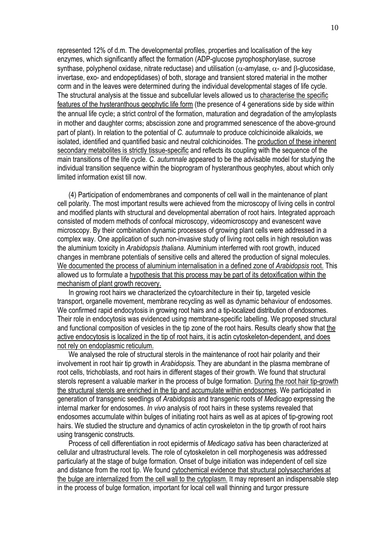represented 12% of d.m. The developmental profiles, properties and localisation of the key enzymes, which significantly affect the formation (ADP-glucose pyrophosphorylase, sucrose synthase, polyphenol oxidase, nitrate reductase) and utilisation ( $\alpha$ -amylase,  $\alpha$ - and β-glucosidase, invertase, exo- and endopeptidases) of both, storage and transient stored material in the mother corm and in the leaves were determined during the individual developmental stages of life cycle. The structural analysis at the tissue and subcellular levels allowed us to characterise the specific features of the hysteranthous geophytic life form (the presence of 4 generations side by side within the annual life cycle; a strict control of the formation, maturation and degradation of the amyloplasts in mother and daughter corms; abscission zone and programmed senescence of the above-ground part of plant). In relation to the potential of *C. autumnale* to produce colchicinoide alkaloids, we isolated, identified and quantified basic and neutral colchicinoides. The production of these inherent secondary metabolites is strictly tissue-specific and reflects its coupling with the sequence of the main transitions of the life cycle. *C. autumnale* appeared to be the advisable model for studying the individual transition sequence within the bioprogram of hysteranthous geophytes, about which only limited information exist till now.

 (4) Participation of endomembranes and components of cell wall in the maintenance of plant cell polarity. The most important results were achieved from the microscopy of living cells in control and modified plants with structural and developmental aberration of root hairs. Integrated approach consisted of modern methods of confocal microscopy, videomicroscopy and evanescent wave microscopy. By their combination dynamic processes of growing plant cells were addressed in a complex way. One application of such non-invasive study of living root cells in high resolution was the aluminium toxicity in *Arabidopsis thaliana*. Aluminium interferred with root growth, induced changes in membrane potentials of sensitive cells and altered the production of signal molecules. We documented the process of aluminium internalisation in a defined zone of *Arabidopsis* root. This allowed us to formulate a hypothesis that this process may be part of its detoxification within the mechanism of plant growth recovery.

 In growing root hairs we characterized the cytoarchitecture in their tip, targeted vesicle transport, organelle movement, membrane recycling as well as dynamic behaviour of endosomes. We confirmed rapid endocytosis in growing root hairs and a tip-localized distribution of endosomes. Their role in endocytosis was evidenced using membrane-specific labelling. We proposed structural and functional composition of vesicles in the tip zone of the root hairs. Results clearly show that the active endocytosis is localized in the tip of root hairs, it is actin cytoskeleton-dependent, and does not rely on endoplasmic reticulum.

 We analysed the role of structural sterols in the maintenance of root hair polarity and their involvement in root hair tip growth in *Arabidopsis.* They are abundant in the plasma membrane of root cells, trichoblasts, and root hairs in different stages of their growth. We found that structural sterols represent a valuable marker in the process of bulge formation. During the root hair tip-growth the structural sterols are enriched in the tip and accumulate within endosomes. We participated in generation of transgenic seedlings of *Arabidopsis* and transgenic roots of *Medicago* expressing the internal marker for endosomes. *In vivo* analysis of root hairs in these systems revealed that endosomes accumulate within bulges of initiating root hairs as well as at apices of tip-growing root hairs. We studied the structure and dynamics of actin cyroskeleton in the tip growth of root hairs using transgenic constructs.

 Process of cell differentiation in root epidermis of *Medicago sativa* has been characterized at cellular and ultrastructural levels. The role of cytoskeleton in cell morphogenesis was addressed particularly at the stage of bulge formation. Onset of bulge initiation was independent of cell size and distance from the root tip. We found cytochemical evidence that structural polysaccharides at the bulge are internalized from the cell wall to the cytoplasm. It may represent an indispensable step in the process of bulge formation, important for local cell wall thinning and turgor pressure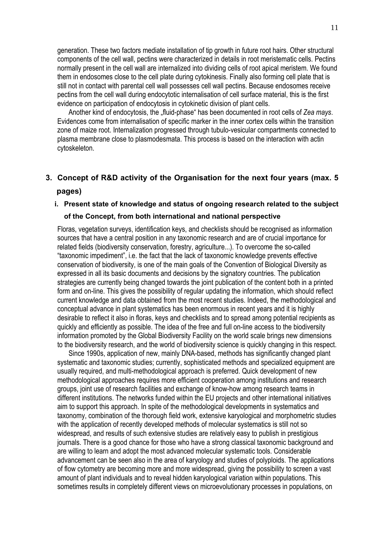generation. These two factors mediate installation of tip growth in future root hairs. Other structural components of the cell wall, pectins were characterized in details in root meristematic cells. Pectins normally present in the cell wall are internalized into dividing cells of root apical meristem. We found them in endosomes close to the cell plate during cytokinesis. Finally also forming cell plate that is still not in contact with parental cell wall possesses cell wall pectins. Because endosomes receive pectins from the cell wall during endocytotic internalisation of cell surface material, this is the first evidence on participation of endocytosis in cytokinetic division of plant cells.

Another kind of endocytosis, the "fluid-phase" has been documented in root cells of Zea mays. Evidences come from internalisation of specific marker in the inner cortex cells within the transition zone of maize root. Internalization progressed through tubulo-vesicular compartments connected to plasma membrane close to plasmodesmata. This process is based on the interaction with actin cytoskeleton.

## **3. Concept of R&D activity of the Organisation for the next four years (max. 5**

#### **pages)**

#### **i. Present state of knowledge and status of ongoing research related to the subject**

#### **of the Concept, from both international and national perspective**

Floras, vegetation surveys, identification keys, and checklists should be recognised as information sources that have a central position in any taxonomic research and are of crucial importance for related fields (biodiversity conservation, forestry, agriculture...). To overcome the so-called "taxonomic impediment", i.e. the fact that the lack of taxonomic knowledge prevents effective conservation of biodiversity, is one of the main goals of the Convention of Biological Diversity as expressed in all its basic documents and decisions by the signatory countries. The publication strategies are currently being changed towards the joint publication of the content both in a printed form and on-line. This gives the possibility of regular updating the information, which should reflect current knowledge and data obtained from the most recent studies. Indeed, the methodological and conceptual advance in plant systematics has been enormous in recent years and it is highly desirable to reflect it also in floras, keys and checklists and to spread among potential recipients as quickly and efficiently as possible. The idea of the free and full on-line access to the biodiversity information promoted by the Global Biodiversity Facility on the world scale brings new dimensions to the biodiversity research, and the world of biodiversity science is quickly changing in this respect.

Since 1990s, application of new, mainly DNA-based, methods has significantly changed plant systematic and taxonomic studies; currently, sophisticated methods and specialized equipment are usually required, and multi-methodological approach is preferred. Quick development of new methodological approaches requires more efficient cooperation among institutions and research groups, joint use of research facilities and exchange of know-how among research teams in different institutions. The networks funded within the EU projects and other international initiatives aim to support this approach. In spite of the methodological developments in systematics and taxonomy, combination of the thorough field work, extensive karyological and morphometric studies with the application of recently developed methods of molecular systematics is still not so widespread, and results of such extensive studies are relatively easy to publish in prestigious journals. There is a good chance for those who have a strong classical taxonomic background and are willing to learn and adopt the most advanced molecular systematic tools. Considerable advancement can be seen also in the area of karyology and studies of polyploids. The applications of flow cytometry are becoming more and more widespread, giving the possibility to screen a vast amount of plant individuals and to reveal hidden karyological variation within populations. This sometimes results in completely different views on microevolutionary processes in populations, on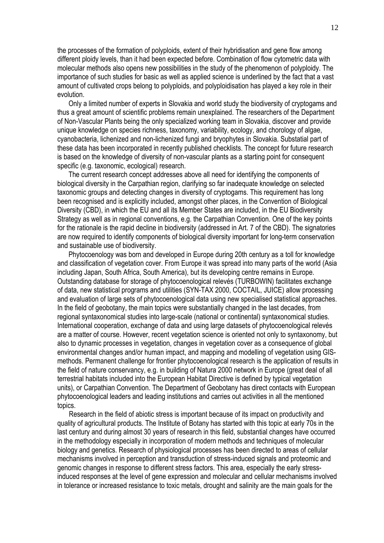the processes of the formation of polyploids, extent of their hybridisation and gene flow among different ploidy levels, than it had been expected before. Combination of flow cytometric data with molecular methods also opens new possibilities in the study of the phenomenon of polyploidy. The importance of such studies for basic as well as applied science is underlined by the fact that a vast amount of cultivated crops belong to polyploids, and polyploidisation has played a key role in their evolution.

Only a limited number of experts in Slovakia and world study the biodiversity of cryptogams and thus a great amount of scientific problems remain unexplained. The researchers of the Department of Non-Vascular Plants being the only specialized working team in Slovakia, discover and provide unique knowledge on species richness, taxonomy, variability, ecology, and chorology of algae, cyanobacteria, lichenized and non-lichenized fungi and bryophytes in Slovakia. Substatial part of these data has been incorporated in recently published checklists. The concept for future research is based on the knowledge of diversity of non-vascular plants as a starting point for consequent specific (e.g. taxonomic, ecological) research.

The current research concept addresses above all need for identifying the components of biological diversity in the Carpathian region, clarifying so far inadequate knowledge on selected taxonomic groups and detecting changes in diversity of cryptogams. This requirement has long been recognised and is explicitly included, amongst other places, in the Convention of Biological Diversity (CBD), in which the EU and all its Member States are included, in the EU Biodiversity Strategy as well as in regional conventions, e.g. the Carpathian Convention. One of the key points for the rationale is the rapid decline in biodiversity (addressed in Art. 7 of the CBD). The signatories are now required to identify components of biological diversity important for long-term conservation and sustainable use of biodiversity.

Phytocoenology was born and developed in Europe during 20th century as a toll for knowledge and classification of vegetation cover. From Europe it was spread into many parts of the world (Asia including Japan, South Africa, South America), but its developing centre remains in Europe. Outstanding database for storage of phytocoenological relevés (TURBOWIN) facilitates exchange of data, new statistical programs and utilities (SYN-TAX 2000, COCTAIL, JUICE) allow processing and evaluation of large sets of phytocoenological data using new specialised statistical approaches. In the field of geobotany, the main topics were substantially changed in the last decades, from regional syntaxonomical studies into large-scale (national or continental) syntaxonomical studies. International cooperation, exchange of data and using large datasets of phytocoenological relevés are a matter of course. However, recent vegetation science is oriented not only to syntaxonomy, but also to dynamic processes in vegetation, changes in vegetation cover as a consequence of global environmental changes and/or human impact, and mapping and modelling of vegetation using GISmethods. Permanent challenge for frontier phytocoenological research is the application of results in the field of nature conservancy, e.g. in building of Natura 2000 network in Europe (great deal of all terrestrial habitats included into the European Habitat Directive is defined by typical vegetation units), or Carpathian Convention. The Department of Geobotany has direct contacts with European phytocoenological leaders and leading institutions and carries out activities in all the mentioned topics.

Research in the field of abiotic stress is important because of its impact on productivity and quality of agricultural products. The Institute of Botany has started with this topic at early 70s in the last century and during almost 30 years of research in this field, substantial changes have occurred in the methodology especially in incorporation of modern methods and techniques of molecular biology and genetics. Research of physiological processes has been directed to areas of cellular mechanisms involved in perception and transduction of stress-induced signals and proteomic and genomic changes in response to different stress factors. This area, especially the early stressinduced responses at the level of gene expression and molecular and cellular mechanisms involved in tolerance or increased resistance to toxic metals, drought and salinity are the main goals for the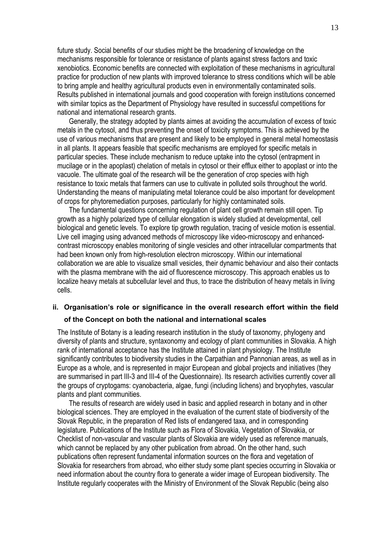future study. Social benefits of our studies might be the broadening of knowledge on the mechanisms responsible for tolerance or resistance of plants against stress factors and toxic xenobiotics. Economic benefits are connected with exploitation of these mechanisms in agricultural practice for production of new plants with improved tolerance to stress conditions which will be able to bring ample and healthy agricultural products even in environmentally contaminated soils. Results published in international journals and good cooperation with foreign institutions concerned with similar topics as the Department of Physiology have resulted in successful competitions for national and international research grants.

 Generally, the strategy adopted by plants aimes at avoiding the accumulation of excess of toxic metals in the cytosol, and thus preventing the onset of toxicity symptoms. This is achieved by the use of various mechanisms that are present and likely to be employed in general metal homeostasis in all plants. It appears feasible that specific mechanisms are employed for specific metals in particular species. These include mechanism to reduce uptake into the cytosol (entrapment in mucilage or in the apoplast) chelation of metals in cytosol or their efflux either to apoplast or into the vacuole. The ultimate goal of the research will be the generation of crop species with high resistance to toxic metals that farmers can use to cultivate in polluted soils throughout the world. Understanding the means of manipulating metal tolerance could be also important for development of crops for phytoremediation purposes, particularly for highly contaminated soils.

The fundamental questions concerning regulation of plant cell growth remain still open. Tip growth as a highly polarized type of cellular elongation is widely studied at developmental, cell biological and genetic levels. To explore tip growth regulation, tracing of vesicle motion is essential. Live cell imaging using advanced methods of microscopy like video-microscopy and enhancedcontrast microscopy enables monitoring of single vesicles and other intracellular compartments that had been known only from high-resolution electron microscopy. Within our international collaboration we are able to visualize small vesicles, their dynamic behaviour and also their contacts with the plasma membrane with the aid of fluorescence microscopy. This approach enables us to localize heavy metals at subcellular level and thus, to trace the distribution of heavy metals in living cells.

## **ii. Organisation's role or significance in the overall research effort within the field of the Concept on both the national and international scales**

The Institute of Botany is a leading research institution in the study of taxonomy, phylogeny and diversity of plants and structure, syntaxonomy and ecology of plant communities in Slovakia. A high rank of international acceptance has the Institute attained in plant physiology. The Institute significantly contributes to biodiversity studies in the Carpathian and Pannonian areas, as well as in Europe as a whole, and is represented in major European and global projects and initiatives (they are summarised in part III-3 and III-4 of the Questionnaire). Its research activities currently cover all the groups of cryptogams: cyanobacteria, algae, fungi (including lichens) and bryophytes, vascular plants and plant communities.

 The results of research are widely used in basic and applied research in botany and in other biological sciences. They are employed in the evaluation of the current state of biodiversity of the Slovak Republic, in the preparation of Red lists of endangered taxa, and in corresponding legislature. Publications of the Institute such as Flora of Slovakia, Vegetation of Slovakia, or Checklist of non-vascular and vascular plants of Slovakia are widely used as reference manuals, which cannot be replaced by any other publication from abroad. On the other hand, such publications often represent fundamental information sources on the flora and vegetation of Slovakia for researchers from abroad, who either study some plant species occurring in Slovakia or need information about the country flora to generate a wider image of European biodiversity. The Institute regularly cooperates with the Ministry of Environment of the Slovak Republic (being also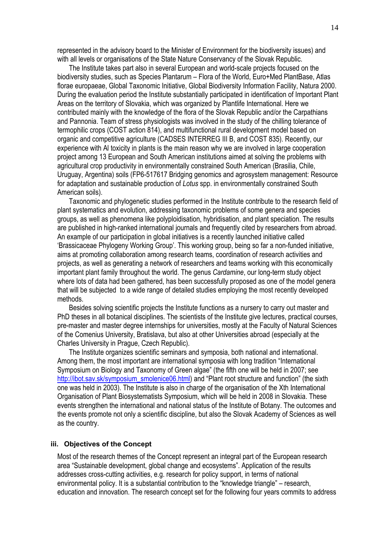represented in the advisory board to the Minister of Environment for the biodiversity issues) and with all levels or organisations of the State Nature Conservancy of the Slovak Republic.

 The Institute takes part also in several European and world-scale projects focused on the biodiversity studies, such as Species Plantarum – Flora of the World, Euro+Med PlantBase, Atlas florae europaeae, Global Taxonomic Initiative, Global Biodiversity Information Facility, Natura 2000. During the evaluation period the Institute substantially participated in identification of Important Plant Areas on the territory of Slovakia, which was organized by Plantlife International. Here we contributed mainly with the knowledge of the flora of the Slovak Republic and/or the Carpathians and Pannonia. Team of stress physiologists was involved in the study of the chilling tolerance of termophilic crops (COST action 814), and multifunctional rural development model based on organic and competitive agriculture (CADSES INTERREG III B, and COST 835). Recently, our experience with Al toxicity in plants is the main reason why we are involved in large cooperation project among 13 European and South American institutions aimed at solving the problems with agricultural crop productivity in environmentally constrained South American (Brasilia, Chile, Uruguay, Argentina) soils (FP6-517617 Bridging genomics and agrosystem management: Resource for adaptation and sustainable production of *Lotus* spp. in environmentally constrained South American soils).

 Taxonomic and phylogenetic studies performed in the Institute contribute to the research field of plant systematics and evolution, addressing taxonomic problems of some genera and species groups, as well as phenomena like polyploidisation, hybridisation, and plant speciation. The results are published in high-ranked international journals and frequently cited by researchers from abroad. An example of our participation in global initiatives is a recently launched initiative called 'Brassicaceae Phylogeny Working Group'. This working group, being so far a non-funded initiative, aims at promoting collaboration among research teams, coordination of research activities and projects, as well as generating a network of researchers and teams working with this economically important plant family throughout the world. The genus *Cardamine*, our long-term study object where lots of data had been gathered, has been successfully proposed as one of the model genera that will be subjected to a wide range of detailed studies employing the most recently developed methods.

 Besides solving scientific projects the Institute functions as a nursery to carry out master and PhD theses in all botanical disciplines. The scientists of the Institute give lectures, practical courses, pre-master and master degree internships for universities, mostly at the Faculty of Natural Sciences of the Comenius University, Bratislava, but also at other Universities abroad (especially at the Charles University in Prague, Czech Republic).

 The Institute organizes scientific seminars and symposia, both national and international. Among them, the most important are international symposia with long tradition "International Symposium on Biology and Taxonomy of Green algae" (the fifth one will be held in 2007; see http://ibot.sav.sk/symposium\_smolenice06.html) and "Plant root structure and function" (the sixth one was held in 2003). The Institute is also in charge of the organisation of the Xth International Organisation of Plant Biosystematists Symposium, which will be held in 2008 in Slovakia. These events strengthen the international and national status of the Institute of Botany. The outcomes and the events promote not only a scientific discipline, but also the Slovak Academy of Sciences as well as the country.

#### **iii. Objectives of the Concept**

Most of the research themes of the Concept represent an integral part of the European research area "Sustainable development, global change and ecosystems". Application of the results addresses cross-cutting activities, e.g. research for policy support, in terms of national environmental policy. It is a substantial contribution to the "knowledge triangle" – research, education and innovation. The research concept set for the following four years commits to address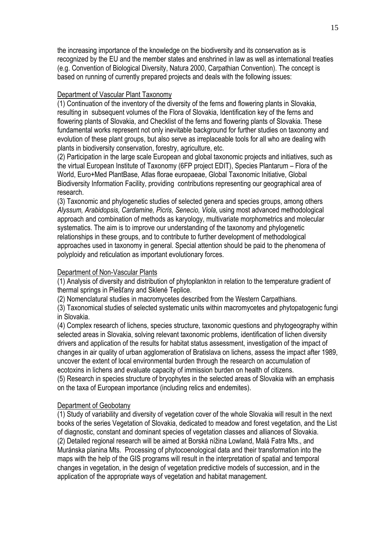the increasing importance of the knowledge on the biodiversity and its conservation as is recognized by the EU and the member states and enshrined in law as well as international treaties (e.g. Convention of Biological Diversity, Natura 2000, Carpathian Convention). The concept is based on running of currently prepared projects and deals with the following issues:

#### Department of Vascular Plant Taxonomy

(1) Continuation of the inventory of the diversity of the ferns and flowering plants in Slovakia, resulting in subsequent volumes of the Flora of Slovakia, Identification key of the ferns and flowering plants of Slovakia, and Checklist of the ferns and flowering plants of Slovakia. These fundamental works represent not only inevitable background for further studies on taxonomy and evolution of these plant groups, but also serve as irreplaceable tools for all who are dealing with plants in biodiversity conservation, forestry, agriculture, etc.

(2) Participation in the large scale European and global taxonomic projects and initiatives, such as the virtual European Institute of Taxonomy (6FP project EDIT), Species Plantarum – Flora of the World, Euro+Med PlantBase, Atlas florae europaeae, Global Taxonomic Initiative, Global Biodiversity Information Facility, providing contributions representing our geographical area of research.

(3) Taxonomic and phylogenetic studies of selected genera and species groups, among others *Alyssum, Arabidopsis, Cardamine, Picris, Senecio, Viola*, using most advanced methodological approach and combination of methods as karyology, multivariate morphometrics and molecular systematics. The aim is to improve our understanding of the taxonomy and phylogenetic relationships in these groups, and to contribute to further development of methodological approaches used in taxonomy in general. Special attention should be paid to the phenomena of polyploidy and reticulation as important evolutionary forces.

#### Department of Non-Vascular Plants

(1) Analysis of diversity and distribution of phytoplankton in relation to the temperature gradient of thermal springs in Piešťany and Sklené Teplice.

(2) Nomenclatural studies in macromycetes described from the Western Carpathians.

(3) Taxonomical studies of selected systematic units within macromycetes and phytopatogenic fungi in Slovakia.

(4) Complex research of lichens, species structure, taxonomic questions and phytogeography within selected areas in Slovakia, solving relevant taxonomic problems, identification of lichen diversity drivers and application of the results for habitat status assessment, investigation of the impact of changes in air quality of urban agglomeration of Bratislava on lichens, assess the impact after 1989, uncover the extent of local environmental burden through the research on accumulation of ecotoxins in lichens and evaluate capacity of immission burden on health of citizens.

(5) Research in species structure of bryophytes in the selected areas of Slovakia with an emphasis on the taxa of European importance (including relics and endemites).

#### Department of Geobotany

(1) Study of variability and diversity of vegetation cover of the whole Slovakia will result in the next books of the series Vegetation of Slovakia, dedicated to meadow and forest vegetation, and the List of diagnostic, constant and dominant species of vegetation classes and alliances of Slovakia. (2) Detailed regional research will be aimed at Borská nížina Lowland, Malá Fatra Mts., and Muránska planina Mts. Processing of phytocoenological data and their transformation into the maps with the help of the GIS programs will result in the interpretation of spatial and temporal changes in vegetation, in the design of vegetation predictive models of succession, and in the application of the appropriate ways of vegetation and habitat management.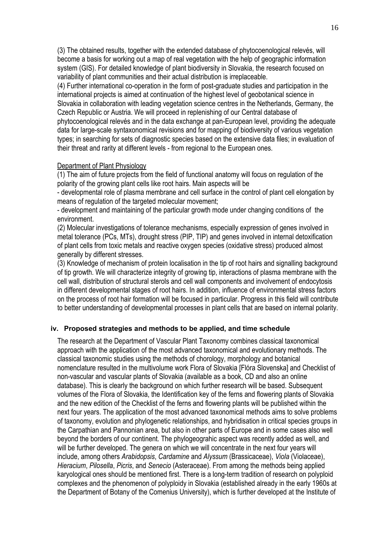(3) The obtained results, together with the extended database of phytocoenological relevés, will become a basis for working out a map of real vegetation with the help of geographic information system (GIS). For detailed knowledge of plant biodiversity in Slovakia, the research focused on variability of plant communities and their actual distribution is irreplaceable.

(4) Further international co-operation in the form of post-graduate studies and participation in the international projects is aimed at continuation of the highest level of geobotanical science in Slovakia in collaboration with leading vegetation science centres in the Netherlands, Germany, the Czech Republic or Austria. We will proceed in replenishing of our Central database of phytocoenological relevés and in the data exchange at pan-European level, providing the adequate data for large-scale syntaxonomical revisions and for mapping of biodiversity of various vegetation types; in searching for sets of diagnostic species based on the extensive data files; in evaluation of their threat and rarity at different levels - from regional to the European ones.

#### Department of Plant Physiology

(1) The aim of future projects from the field of functional anatomy will focus on regulation of the polarity of the growing plant cells like root hairs. Main aspects will be

- developmental role of plasma membrane and cell surface in the control of plant cell elongation by means of regulation of the targeted molecular movement;

- development and maintaining of the particular growth mode under changing conditions of the environment.

(2) Molecular investigations of tolerance mechanisms, especially expression of genes involved in metal tolerance (PCs, MTs), drought stress (PIP, TIP) and genes involved in internal detoxification of plant cells from toxic metals and reactive oxygen species (oxidative stress) produced almost generally by different stresses.

(3) Knowledge of mechanism of protein localisation in the tip of root hairs and signalling background of tip growth. We will characterize integrity of growing tip, interactions of plasma membrane with the cell wall, distribution of structural sterols and cell wall components and involvement of endocytosis in different developmental stages of root hairs. In addition, influence of environmental stress factors on the process of root hair formation will be focused in particular. Progress in this field will contribute to better understanding of developmental processes in plant cells that are based on internal polarity.

#### **iv. Proposed strategies and methods to be applied, and time schedule**

The research at the Department of Vascular Plant Taxonomy combines classical taxonomical approach with the application of the most advanced taxonomical and evolutionary methods. The classical taxonomic studies using the methods of chorology, morphology and botanical nomenclature resulted in the multivolume work Flora of Slovakia [Flóra Slovenska] and Checklist of non-vascular and vascular plants of Slovakia (available as a book, CD and also an online database). This is clearly the background on which further research will be based. Subsequent volumes of the Flora of Slovakia, the Identification key of the ferns and flowering plants of Slovakia and the new edition of the Checklist of the ferns and flowering plants will be published within the next four years. The application of the most advanced taxonomical methods aims to solve problems of taxonomy, evolution and phylogenetic relationships, and hybridisation in critical species groups in the Carpathian and Pannonian area, but also in other parts of Europe and in some cases also well beyond the borders of our continent. The phylogeograhic aspect was recently added as well, and will be further developed. The genera on which we will concentrate in the next four years will include, among others *Arabidopsis*, *Cardamine* and *Alyssum* (Brassicaceae), *Viola* (Violaceae), *Hieracium*, *Pilosella*, *Picris*, and *Senecio* (Asteraceae). From among the methods being applied karyological ones should be mentioned first. There is a long-term tradition of research on polyploid complexes and the phenomenon of polyploidy in Slovakia (established already in the early 1960s at the Department of Botany of the Comenius University), which is further developed at the Institute of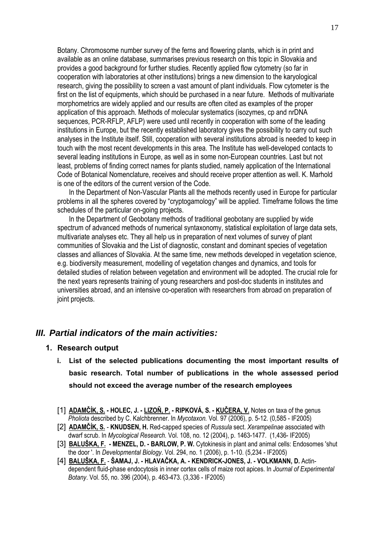Botany. Chromosome number survey of the ferns and flowering plants, which is in print and available as an online database, summarises previous research on this topic in Slovakia and provides a good background for further studies. Recently applied flow cytometry (so far in cooperation with laboratories at other institutions) brings a new dimension to the karyological research, giving the possibility to screen a vast amount of plant individuals. Flow cytometer is the first on the list of equipments, which should be purchased in a near future. Methods of multivariate morphometrics are widely applied and our results are often cited as examples of the proper application of this approach. Methods of molecular systematics (isozymes, cp and nrDNA sequences, PCR-RFLP, AFLP) were used until recently in cooperation with some of the leading institutions in Europe, but the recently established laboratory gives the possibility to carry out such analyses in the Institute itself. Still, cooperation with several institutions abroad is needed to keep in touch with the most recent developments in this area. The Institute has well-developed contacts to several leading institutions in Europe, as well as in some non-European countries. Last but not least, problems of finding correct names for plants studied, namely application of the International Code of Botanical Nomenclature, receives and should receive proper attention as well. K. Marhold is one of the editors of the current version of the Code.

 In the Department of Non-Vascular Plants all the methods recently used in Europe for particular problems in all the spheres covered by "cryptogamology" will be applied. Timeframe follows the time schedules of the particular on-going projects.

 In the Department of Geobotany methods of traditional geobotany are supplied by wide spectrum of advanced methods of numerical syntaxonomy, statistical exploitation of large data sets, multivariate analyses etc. They all help us in preparation of next volumes of survey of plant communities of Slovakia and the List of diagnostic, constant and dominant species of vegetation classes and alliances of Slovakia. At the same time, new methods developed in vegetation science, e.g. biodiversity measurement, modelling of vegetation changes and dynamics, and tools for detailed studies of relation between vegetation and environment will be adopted. The crucial role for the next years represents training of young researchers and post-doc students in institutes and universities abroad, and an intensive co-operation with researchers from abroad on preparation of joint projects.

## *III. Partial indicators of the main activities:*

#### **1. Research output**

- **i. List of the selected publications documenting the most important results of basic research. Total number of publications in the whole assessed period should not exceed the average number of the research employees**
- [1] **ADAMČÍK, S. HOLEC, J. LIZOŇ, P. RIPKOVÁ, S. KUČERA, V.** Notes on taxa of the genus *Pholiota* described by C. Kalchbrenner. In *Mycotaxon.* Vol. 97 (2006), p. 5-12. (0,585 - IF2005)
- [2] **ADAMČÍK, S. KNUDSEN, H.** Red-capped species of *Russula* sect. *Xerampelinae* associated with dwarf scrub. In *Mycological Research.* Vol. 108, no. 12 (2004), p. 1463-1477. (1,436- IF2005)
- [3] **BALUŠKA, F. MENZEL, D. BARLOW, P. W.** Cytokinesis in plant and animal cells: Endosomes 'shut the door '. In *Developmental Biology*. Vol. 294, no. 1 (2006), p. 1-10. (5,234 - IF2005)
- [4] **BALUŠKA, F. ŠAMAJ, J. HLAVAČKA, A. KENDRICK-JONES, J. VOLKMANN, D.** Actindependent fluid-phase endocytosis in inner cortex cells of maize root apices. In *Journal of Experimental Botany*. Vol. 55, no. 396 (2004), p. 463-473. (3,336 - IF2005)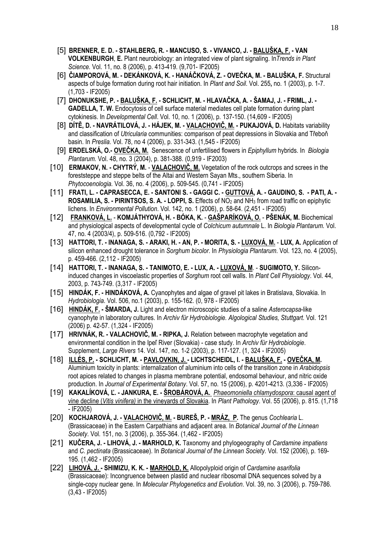- [5] **BRENNER, E. D. STAHLBERG, R. MANCUSO, S. VIVANCO, J. BALUŠKA, F. VAN VOLKENBURGH**, **E.** Plant neurobiology: an integrated view of plant signaling. In*Trends in Plant Science.* Vol. 11, no. 8 (2006), p. 413-419. (9,701- IF2005)
- [6] **ČIAMPOROVÁ, M. DEKÁNKOVÁ, K. HANÁČKOVÁ, Z. OVEČKA, M. BALUŠKA, F.** Structural aspects of bulge formation during root hair initiation. In *Plant and Soil*. Vol. 255**,** no. 1 (2003), p. 1-7. (1,703 - IF2005)
- [7] **DHONUKSHE, P. BALUŠKA, F. SCHLICHT, M. HLAVAČKA, A. ŠAMAJ, J. FRIML, J. GADELLA, T. W.** Endocytosis of cell surface material mediates cell plate formation during plant cytokinesis. In *Developmental Cell*. Vol. 10, no. 1 (2006), p. 137-150. (14,609 - IF2005)
- [8] **DÍTĚ, D. NAVRÁTILOVÁ, J. HÁJEK, M. VALACHOVIČ, M. PUKAJOVÁ, D.** Habitats variability and classification of *Utricularia* communities: comparison of peat depressions in Slovakia and Třeboň basin. In *Preslia.* Vol. 78, no 4 (2006), p. 331-343. (1,545 - IF2005)
- [9] **ERDELSKÁ, O.- OVEČKA, M.** Senescence of unfertilised flowers in *Epiphyllum* hybrids. In *Biologia Plantarum.* Vol. 48, no. 3 (2004), p. 381-388. (0,919 - IF2003)
- [10] **ERMAKOV, N. CHYTRÝ, M. VALACHOVIČ, M.** Vegetation of the rock outcrops and screes in the foreststeppe and steppe belts of the Altai and Western Sayan Mts., southern Siberia. In *Phytocoenologia.* Vol. 36, no. 4 (2006), p. 509-545. (0,741 - IF2005)
- [11] **FRATI, L. CAPRASECCA, E. SANTONI S. GAGGI C. GUTTOVÁ, A. GAUDINO, S. PATI, A. ROSAMILIA, S. - PIRINTSOS, S. A. - LOPPI, S.** Effects of NO<sub>2</sub> and NH<sub>3</sub> from road traffic on epiphytic lichens. In *Environmental Pollution*. Vol. 142, no. 1 (2006), p. 58-64. (2,451 - IF2005)
- [12] **FRANKOVÁ, L. KOMJÁTHYOVÁ, H. BÓKA, K. GAŠPARÍKOVÁ, O. PŠENÁK, M.** Biochemical and physiological aspects of developmental cycle of *Colchicum autumnale* L. In *Biologia Plantarum.* Vol. 47, no. 4 (2003/4), p. 509-516. (0,792 - IF2005)
- [13] **HATTORI, T. INANAGA, S. ARAKI, H. AN, P. MORITA, S. LUXOVÁ, M. LUX, A.** Application of silicon enhanced drought tolerance in *Sorghum bicolor*. In *Physiologia Plantarum*. Vol. 123, no. 4 (2005), p. 459-466. (2,112 - IF2005)
- [14] **HATTORI, T. INANAGA, S. TANIMOTO, E. LUX, A. - LUXOVÁ, M**. **SUGIMOTO, Y.** Siliconinduced changes in viscoelastic properties of *Sorghum* root cell walls. In *Plant Cell Physiology*. Vol. 44, 2003, p. 743-749. (3,317 - IF2005)
- [15] **HINDÁK, F. HINDÁKOVÁ, A.** Cyanophytes and algae of gravel pit lakes in Bratislava, Slovakia. In *Hydrobiologia*. Vol. 506, no.1 (2003), p. 155-162. (0, 978 - IF2005)
- [16] **HINDÁK, F. ŠMARDA, J.** Light and electron microscopic studies of a saline *Asterocapsa*-like cyanophyte in laboratory cultures. In *Archiv für Hydrobiologie. Algological Studies, Stuttgart*. Vol. 121 (2006) p. 42-57. (1,324 - IF2005)
- [17] **HRIVNÁK, R. VALACHOVIČ, M. RIPKA, J.** Relation between macrophyte vegetation and environmental condition in the Ipeľ River (Slovakia) - case study. In *Archiv für Hydrobiologie*. Supplement, *Large Rivers* 14. Vol. 147, no. 1-2 (2003), p. 117-127. (1, 324 - IF2005)
- [18] **ILLÉS, P. SCHLICHT, M. PAVLOVKIN, J. LICHTSCHEIDL, I. BALUŠKA, F. OVEČKA, M.** Aluminium toxicity in plants: internalization of aluminium into cells of the transition zone in *Arabidopsis* root apices related to changes in plasma membrane potential, endosomal behaviour, and nitric oxide production. In *Journal of Experimental Botany*. Vol. 57, no. 15 (2006), p. 4201-4213. (3,336 - IF2005)
- [19] **KAKALÍKOVÁ, Ľ. JANKURA, E. ŠROBÁROVÁ, A.** *Phaeomoniella chlamydospora*: causal agent of vine decline (*Vitis vinifera)* in the vineyards of Slovakia. In *Plant Pathology*. Vol. 55 (2006), p. 815. (1,718 - IF2005)
- [20] **KOCHJAROVÁ, J. VALACHOVIČ, M. BUREŠ, P. MRÁZ, P.** The genus *Cochlearia* L. (Brassicaceae) in the Eastern Carpathians and adjacent area. In *Botanical Journal of the Linnean Society*. Vol. 151, no. 3 (2006), p. 355-364. (1,462 - IF2005)
- [21] **KUČERA, J. LIHOVÁ, J. MARHOLD, K.** Taxonomy and phylogeography of *Cardamine impatiens* and *C. pectinata* (Brassicaceae). In *Botanical Journal of the Linnean Society.* Vol. 152 (2006), p. 169- 195. (1,462 - IF2005)
- [22] **LIHOVÁ, J. SHIMIZU, K. K. MARHOLD, K.** Allopolyploid origin of *Cardamine asarifolia* (Brassicaceae): Incongruence between plastid and nuclear ribosomal DNA sequences solved by a single-copy nuclear gene. In *Molecular Phylogenetics and Evolution*. Vol. 39, no. 3 (2006), p. 759-786. (3,43 - IF2005)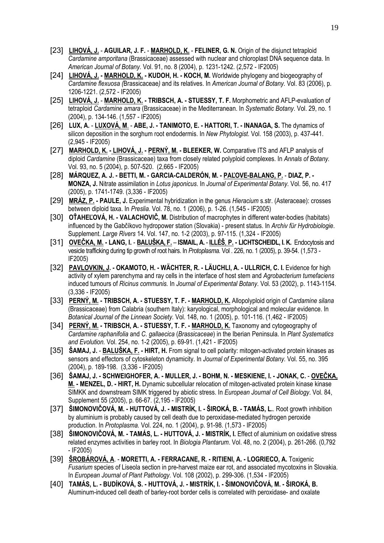- [23] **LIHOVÁ, J. AGUILAR, J. F. MARHOLD, K. FELINER, G. N.** Origin of the disjunct tetraploid *Cardamine amporitana* (Brassicaceae) assessed with nuclear and chloroplast DNA sequence data. In *American Journal of Botany.* Vol. 91, no. 8 (2004), p. 1231-1242. (2,572 - IF2005)
- [24] **LIHOVÁ, J. - MARHOLD, K. KUDOH, H. KOCH, M.** Worldwide phylogeny and biogeography of *Cardamine flexuosa (*Brassicaceae*)* and its relatives. In *American Journal of Botany.* Vol. 83 (2006), p. 1206-1221. (2,572 - IF2005)
- [25] **LIHOVÁ, J. MARHOLD, K. TRIBSCH, A. STUESSY, T. F.** Morphometric and AFLP-evaluation of tetraploid *Cardamine amara* (Brassicaceae) in the Mediterranean. In *Systematic Botany*. Vol. 29, no. 1 (2004), p. 134-146. (1,557 - IF2005)
- [26] **LUX, A. LUXOVÁ, M**. **ABE, J. TANIMOTO, E. HATTORI, T. INANAGA, S.** The dynamics of silicon deposition in the sorghum root endodermis. In *New Phytologist*. Vol. 158 (2003), p. 437-441. (2,945 - IF2005)
- [27] **MARHOLD, K. LIHOVÁ, J. PERNÝ, M. BLEEKER, W.** Comparative ITS and AFLP analysis of diploid *Cardamine* (Brassicaceae) taxa from closely related polyploid complexes. In *Annals of Botany.* Vol. 93, no. 5 (2004), p. 507-520. (2,665 - IF2005)
- [28] **MÁRQUEZ, A. J. BETTI, M. GARCIA-CALDERÓN, M. PAĽOVE-BALANG, P.** - **DIAZ, P. MONZA, J.** Nitrate assimilation in *Lotus japonicus*. In *Journal of Experimental Botany.* Vol. 56, no. 417 (2005), p. 1741-1749. (3,336 - IF2005)
- [29] **MRÁZ, P. PAULE, J.** Experimental hybridization in the genus *Hieracium* s.str. (Asteraceae): crosses between diploid taxa. In *Preslia*. Vol. 78, no. 1 (2006), p. 1-26. (1,545 - IF2005)
- [30] **OŤAHEĽOVÁ, H. VALACHOVIČ, M.** Distribution of macrophytes in different water-bodies (habitats) influenced by the Gabčíkovo hydropower station (Slovakia) - present status. In *Archiv für Hydrobiologie*. Supplement. *Large Rivers* 14. Vol. 147, no. 1-2 (2003), p. 97-115. (1,324 - IF2005)
- [31] **OVEČKA, M. - LANG, I. BALUŠKA, F. ISMAIL, A. ILLÉŠ**, **P. - LICHTSCHEIDL, I. K.** Endocytosis and vesicle trafficking during tip growth of root hairs. In *Protoplasma.* Vol . 226, no. 1 (2005), p. 39-54. (1,573 - IF2005)
- [32] **PAVLOVKIN, J. OKAMOTO, H. WÄCHTER, R. LÄUCHLI, A. ULLRICH, C. I.** Evidence for high activity of xylem parenchyma and ray cells in the interface of host stem and *Agrobacterium tumefaciens* induced tumours of *Ricinus communis.* In *Journal of Experimental Botany*. Vol. 53 (2002), p. 1143-1154. (3,336 - IF2005)
- [33] **PERNÝ, M. TRIBSCH, A. STUESSY, T. F. MARHOLD, K.** Allopolyploid origin of *Cardamine silana* (Brassicaceae) from Calabria (southern Italy): karyological, morphological and molecular evidence. In *Botanical Journal of the Linnean Society.* Vol. 148, no. 1 (2005), p. 101-116. (1,462 - IF2005)
- [34] **PERNÝ, M. TRIBSCH, A. STUESSY, T. F. MARHOLD, K.** Taxonomy and cytogeography of *Cardamine raphanifolia* and *C. gallaecica* (*Brassicaceae*) in the Iberian Peninsula. In *Plant Systematics and Evolution.* Vol. 254, no. 1-2 (2005), p. 69-91. (1,421 - IF2005)
- [35] **ŠAMAJ, J. BALUŠKA, F. HIRT, H.** From signal to cell polarity: mitogen-activated protein kinases as sensors and effectors of cytoskeleton dynamicity. In *Journal of Experimental Botany.* Vol. 55, no. 395 (2004), p. 189-198. (3,336 - IF2005)
- [36] **ŠAMAJ, J. SCHWEIGHOFER, A. MULLER, J. BOHM, N. MESKIENE, I. JONAK, C. OVEČKA, M. - MENZEL, D. - HIRT, H.** Dynamic subcellular relocation of mitogen-activated protein kinase kinase SIMKK and downstream SIMK triggered by abiotic stress. In *European Journal of Cell Biology*. Vol. 84, Supplement 55 (2005), p. 66-67. (2,195 - IF2005)
- [37] **ŠIMONOVIČOVÁ, M. HUTTOVÁ, J. MISTRÍK, I. ŠIROKÁ, B. TAMÁS, L.**. Root growth inhibition by aluminium is probably caused by cell death due to peroxidase-mediated hydrogen peroxide production. In *Protoplasma.* Vol. 224, no. 1 (2004), p. 91-98. (1,573 - IF2005)
- [38] **ŠIMONOVIČOVÁ, M. TAMÁS, L. HUTTOVÁ, J. MISTRÍK, I.** Effect of aluminium on oxidative stress related enzymes activities in barley root. In *Biologia Plantarum*. Vol. 48, no. 2 (2004), p. 261-266. (0,792 - IF2005)
- [39] **ŠROBÁROVÁ, A**. **MORETTI, A. FERRACANE, R. RITIENI, A. LOGRIECO, A.** Toxigenic *Fusarium* species of Liseola section in pre-harvest maize ear rot, and associated mycotoxins in Slovakia. In *European Journal of Plant Pathology*. Vol. 108 (2002), p. 299-306. (1,534 - IF2005)
- [40] **TAMÁS, L. BUDÍKOVÁ, S. HUTTOVÁ, J. MISTRÍK, I. ŠIMONOVIČOVÁ, M. ŠIROKÁ, B.**  Aluminum-induced cell death of barley-root border cells is correlated with peroxidase- and oxalate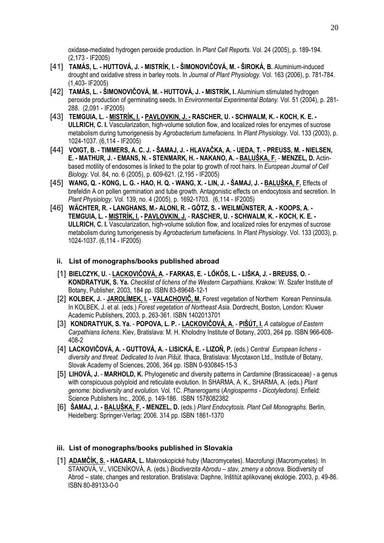oxidase-mediated hydrogen peroxide production. In *Plant Cell Reports.* Vol. 24 (2005), p. 189-194. (2,173 - IF2005)

- [41] **TAMÁS, L. HUTTOVÁ, J. MISTRÍK, I. ŠIMONOVIČOVÁ, M. ŠIROKÁ, B.** Aluminium-induced drought and oxidative stress in barley roots. In *Journal of Plant Physiology.* Vol. 163 (2006), p. 781-784. (1,403- IF2005)
- [42] **TAMÁS, L. ŠIMONOVIČOVÁ, M. HUTTOVÁ, J. MISTRÍK, I.** Aluminium stimulated hydrogen peroxide production of germinating seeds. In *Environmental Experimental Botany.* Vol. 51 (2004), p. 281- 288. (2,091 - IF2005)
- [43] **TEMGUIA, L. MISTRÍK, I. PAVLOVKIN, J. - RASCHER, U. SCHWALM, K. KOCH, K. E. ULLRICH, C. I.** Vascularization, high-volume solution flow, and localized roles for enzymes of sucrose metabolism during tumorigenesis by *Agrobacterium tumefaciens.* In *Plant Physiology*. Vol. 133 (2003), p. 1024-1037. (6,114 - IF2005)
- [44] **VOIGT, B. TIMMERS, A. C. J. ŠAMAJ, J. HLAVAČKA, A. UEDA, T. PREUSS, M. NIELSEN, E. - MATHUR, J. - EMANS, N. - STENMARK, H. - NAKANO, A. - BALUŠKA, F.** - **MENZEL, D.** Actinbased motility of endosomes is linked to the polar tip growth of root hairs. In *European Journal of Cell Biology.* Vol. 84, no. 6 (2005), p. 609-621. (2,195 - IF2005)
- [45] **WANG, Q. KONG, L. G. HAO, H. Q. WANG, X. LIN, J. ŠAMAJ, J. BALUŠKA, F.** Effects of brefeldin A on pollen germination and tube growth. Antagonistic effects on endocytosis and secretion. In *Plant Physiology.* Vol. 139, no. 4 (2005), p. 1692-1703. (6,114 - IF2005)
- [46] **WÄCHTER, R. LANGHANS, M.- ALONI, R. GÖTZ, S. WEILMŰNSTER, A. KOOPS, A. TEMGUIA, L. - MISTRÍK, I. - PAVLOVKIN, J.** - **RASCHER, U. - SCHWALM, K. - KOCH, K. E. - ULLRICH, C. I.** Vascularization, high-volume solution flow, and localized roles for enzymes of sucrose metabolism during tumorigenesis by *Agrobacterium tumefaciens.* In *Plant Physiology*. Vol. 133 (2003), p. 1024-1037. (6,114 - IF2005)
	- **ii. List of monographs/books published abroad**
	- [1] **BIELCZYK, U. LACKOVIČOVÁ, A. FARKAS, E. LŐKÖS, L. LIŠKA, J. BREUSS, O. KONDRATYUK, S. Ya.** *Checklist of lichens of the Western Carpathians*. Krakow: W. Szafer Institute of Botany, Publisher, 2003, 184 pp. ISBN 83-89648-12-1
	- [2] **KOLBEK, J. JAROLÍMEK, I. VALACHOVIČ, M.** Forest vegetation of Northern Korean Penninsula. In KOLBEK, J. et al. (eds.) *Forest vegetation of Northeast Asia*. Dordrecht, Boston, London: Kluwer Academic Publishers, 2003, p. 263-361. ISBN 1402013701
	- [3] **KONDRATYUK, S. Ya. POPOVA, L. P. LACKOVIČOVÁ, A. PIŠÚT, I.** *A catalogue of Eastern Carpathians lichens*. Kiev, Bratislava: M. H. Kholodny Institute of Botany, 2003, 264 pp. ISBN 966-608- 408-2
	- [4] **LACKOVIČOVÁ, A. GUTTOVÁ, A. LISICKÁ, E. LIZOŇ, P.** (eds.) *Central European lichens diversity and threat. Dedicated to Ivan Pišút.* Ithaca, Bratislava: Mycotaxon Ltd., Institute of Botany, Slovak Academy of Sciences, 2006, 364 pp. ISBN 0-930845-15-3
	- [5] **LIHOVÁ, J. MARHOLD, K.** Phylogenetic and diversity patterns in *Cardamine* (Brassicaceae*) -* a genus with conspicuous polyploid and reticulate evolution. In SHARMA, A. K., SHARMA, A. (eds.) *Plant genome: biodiversity and evolution.* Vol. 1C. *Phanerogams* (*Angiosperms - Dicotyledons).* Enfield: Science Publishers Inc., 2006, p. 149-186. ISBN 1578082382
	- [6] **ŠAMAJ, J. BALUŠKA, F. MENZEL, D.** (eds.) *Plant Endocytosis. Plant Cell Monographs*. Berlin, Heidelberg: Springer-Verlag: 2006. 314 pp. ISBN 1861-1370

#### **iii. List of monographs/books published in Slovakia**

[1] **ADAMČÍK, S. - HAGARA, L.** Makroskopické huby (Macromycetes). Macrofungi (Macromycetes). In STANOVÁ, V., VICENÍKOVÁ, A. (eds.) *Biodiverzita Abrodu – stav, zmeny a obnova*. Biodiversity of Abrod – state, changes and restoration. Bratislava: Daphne, Inštitút aplikovanej ekológie. 2003, p. 49-86. ISBN 80-89133-0-0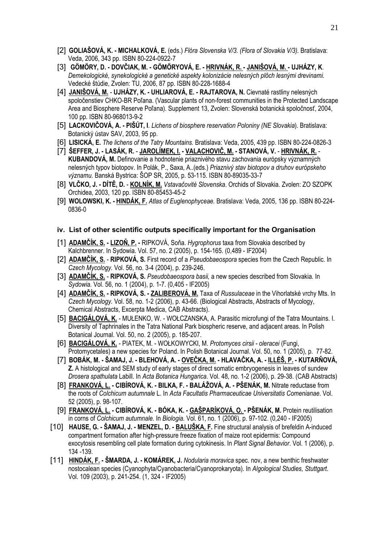- [2] **GOLIAŠOVÁ, K. MICHALKOVÁ, E.** (eds.) *Flóra Slovenska V/3. (Flora of Slovakia V/3).* Bratislava: Veda, 2006, 343 pp. ISBN 80-224-0922-7
- [3] **GÖMÖRY, D. DOVČIAK, M. GÖMÖRYOVÁ, E. HRIVNÁK, R. JANIŠOVÁ, M. UJHÁZY, K**. *Demekologické, synekologické a genetické aspekty kolonizácie nelesných plôch lesnými drevinami.* Vedecké štúdie, Zvolen: TU, 2006, 87 pp. ISBN 80-228-1688-4
- [4] **JANIŠOVÁ, M. UJHÁZY, K. UHLIAROVÁ, E. RAJTAROVA, N.** Cievnaté rastliny nelesných spoločenstiev CHKO-BR Poľana. (Vascular plants of non-forest communities in the Protected Landscape Area and Biosphere Reserve Poľana). Supplement 13, Zvolen: Slovenská botanická spoločnosť, 2004, 100 pp. ISBN 80-968013-9-2
- [5] **LACKOVIČOVÁ, A. PIŠÚT, I**. *Lichens of biosphere reservation Poloniny (NE Slovakia*). Bratislava: Botanický ústav SAV, 2003, 95 pp.
- [6] **LISICKÁ, E.** *The lichens of the Tatry Mountains.* Bratislava: Veda, 2005, 439 pp. ISBN 80-224-0826-3
- [7] **ŠEFFER, J. LASÁK, R.** - **JAROLÍMEK, I. VALACHOVIČ, M. - STANOVÁ, V. HRIVNÁK, R. KUBANDOVÁ, M.** Definovanie a hodnotenie priaznivého stavu zachovania európsky významných nelesných typov biotopov. In Polák, P., Saxa, A..(eds.) *Priaznivý stav biotopov a druhov európskeho významu.* Banská Bystrica: ŠOP SR, 2005, p. 53-115. ISBN 80-89035-33-7
- [8] **VLČKO, J. DÍTĚ, D. KOLNÍK, M.** *Vstavačovité Slovenska*. Orchids of Slovakia. Zvolen: ZO SZOPK Orchidea, 2003, 120 pp. ISBN 80-85453-45-2
- [9] **WOLOWSKI, K. - HINDÁK, F.** *Atlas of Euglenophyceae.* Bratislava: Veda, 2005, 136 pp. ISBN 80-224- 0836-0

#### **iv. List of other scientific outputs specifically important for the Organisation**

- [1] **ADAMČÍK, S. LIZOŇ, P.** RIPKOVÁ, Soňa. *Hygrophorus* taxa from Slovakia described by Kalchbrenner. In Sydowia. Vol. 57, no. 2 (2005), p. 154-165. (0,489 - IF2004)
- [2] **ADAMČÍK, S. RIPKOVÁ, S.** First record of a *Pseudobaeospora* species from the Czech Republic. In *Czech Mycology.* Vol. 56, no. 3-4 (2004), p. 239-246.
- [3] **ADAMČÍK, S. RIPKOVÁ, S.** *Pseudobaeospora basii,* a new species described from Slovakia. In *Sydowia.* Vol. 56, no. 1 (2004), p. 1-7. (0,405 - IF2005)
- [4] **ADAMČÍK, S. RIPKOVÁ, S. ZALIBEROVÁ, M.** Taxa of *Russulaceae* in the Vihorlatské vrchy Mts. In *Czech Mycology.* Vol. 58, no. 1-2 (2006), p. 43-66. (Biological Abstracts, Abstracts of Mycology, Chemical Abstracts, Excerpta Medica, CAB Abstracts).
- [5] **BACIGÁLOVÁ, K.** MUŁENKO, W. WOŁCZANSKA, A. Parasitic microfungi of the Tatra Mountains. I. Diversity of Taphrinales in the Tatra National Park biospheric reserve, and adjacent areas. In Polish Botanical Journal. Vol. 50, no. 2 (2005), p. 185-207.
- [6] **BACIGÁLOVÁ, K.** PIATEK, M. WOŁKOWYCKI, M. *Protomyces cirsii oleracei* (Fungi, Protomycetales) a new species for Poland. In Polish Botanical Journal. Vol. 50, no. 1 (2005), p. 77-82.
- [7] **BOBÁK, M. ŠAMAJ, J. BLEHOVÁ, A. OVEČKA, M. HLAVAČKA, A. ILLÉŠ, P. KUTARŇOVÁ, Z.** A histological and SEM study of early stages of direct somatic embryogenesis in leaves of sundew *Drosera spathulata* Labill. In *Acta Botanica Hungarica*. Vol. 48, no. 1-2 (2006), p. 29-38. (CAB Abstracts)
- [8] **FRANKOVÁ, L. CIBÍROVÁ, K. BILKA, F. BALÁŽOVÁ, A. PŠENÁK, M.** Nitrate reductase from the roots of *Colchicum autumnale* L. In *Acta Facultatis Pharmaceuticae Universitatis Comenianae*. Vol. 52 (2005), p. 98-107.
- [9] **FRANKOVÁ, L. CIBÍROVÁ, K. BÓKA, K. GAŠPARÍKOVÁ, O. PŠENÁK, M.** Protein reutilisation in corns of *Colchicum autumnale.* In *Biologia.* Vol. 61, no. 1 (2006), p. 97-102. (0,240 - IF2005)
- [10] **HAUSE, G. ŠAMAJ, J. MENZEL, D. BALUŠKA, F.** Fine structural analysis of brefeldin A-induced compartment formation after high-pressure freeze fixation of maize root epidermis: Compound exocytosis resembling cell plate formation during cytokinesis. In *Plant Signal Behavior*. Vol. 1 (2006), p. 134 -139.
- [11] **HINDÁK, F. ŠMARDA, J. KOMÁREK, J.** *Nodularia moravica* spec. nov, a new benthic freshwater nostocalean species (Cyanophyta/Cyanobacteria/Cyanoprokaryota). In *Algological Studies, Stuttgart*. Vol. 109 (2003), p. 241-254. (1, 324 - IF2005)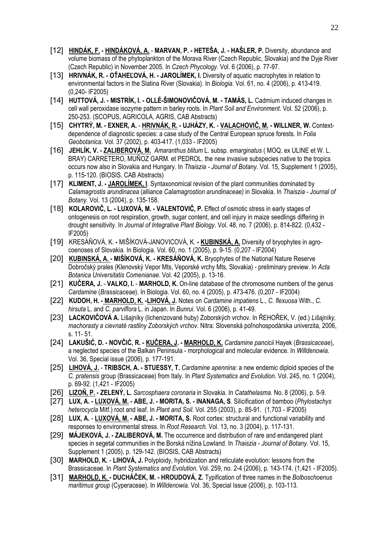- [12] **HINDÁK, F. HINDÁKOVÁ, A. MARVAN, P. HETEŠA, J. HAŠLER, P.** Diversity, abundance and volume biomass of the phytoplankton of the Morava River (Czech Republic, Slovakia) and the Dyje River (Czech Republic) in November 2005. In *Czech Phycology.* Vol. 6 (2006), p. 77-97.
- [13] **HRIVNÁK, R. OŤAHEĽOVÁ, H. JAROLÍMEK, I.** Diversity of aquatic macrophytes in relation to environmental factors in the Slatina River (Slovakia). In *Biologia*. Vol. 61, no. 4 (2006), p. 413-419. (0,240- IF2005)
- [14] **HUTTOVÁ, J. MISTRÍK, I. OLLÉ-ŠIMONOVIČOVÁ, M. TAMÁS, L.** Cadmium induced changes in cell wall peroxidase isozyme pattern in barley roots. In *Plant Soil and Environment*. Vol. 52 (2006), p. 250-253. (SCOPUS, AGRICOLA, AGRIS, CAB Abstracts)
- [15] **CHYTRÝ, M. EXNER, A.** - **HRIVNÁK, R. UJHÁZY, K.** - **VALACHOVIČ, M. WILLNER, W.** Contextdependence of diagnostic species: a case study of the Central European spruce forests. In *Folia Geobotanica*. Vol. 37 (2002), p. 403-417. (1,033 - IF2005)
- [16] **JEHLÍK, V. ZALIBEROVÁ, M.** *Amaranthus blitum* L. subsp. *emarginatus* ( MOQ. ex ULINE et W. L. BRAY) CARRETERO, MUÑOZ GARM. et PEDROL. the new invasive subspecies native to the tropics occurs now also in Slovakia and Hungary. In *Thaiszia - Journal of Botany.* Vol. 15, Supplement 1 (2005), p. 115-120. (BIOSIS, CAB Abstracts)
- [17] **KLIMENT, J. JAROLÍMEK, I**. Syntaxonomical revision of the plant communities dominated by *Calamagrostis arundinacea* (alliance *Calamagrostion arundinaceae)* in Slovakia. In *Thaiszia - Journal of Botany.* Vol. 13 (2004), p. 135-158.
- [18] **KOLAROVIČ, L. LUXOVÁ, M. VALENTOVIČ, P.** Effect of osmotic stress in early stages of ontogenesis on root respiration, growth, sugar content, and cell injury in maize seedlings differing in drought sensitivity. In *Journal of Integrative Plant Biology*. Vol. 48, no. 7 (2006), p. 814-822. (0,432 - IF2005)
- [19] KRESÁŇOVÁ, K.MIŠÍKOVÁ-JANOVICOVÁ, K. **- KUBINSKÁ, A.** Diversity of bryophytes in agrocoenoses of Slovakia. In Biologia. Vol. 60, no. 1 (2005), p. 9-15. (0,207 - IF2004)
- [20] **KUBINSKÁ, A. MIŠÍKOVÁ, K. KRESÁŇOVÁ, K.** Bryophytes of the National Nature Reserve Dobročský prales (Klenovský Vepor Mts, Veporské vrchy Mts, Slovakia) - preliminary preview. In *Acta Botanica Universitatis Comenianae*. Vol. 42 (2005), p. 13-16.
- [21] **KUČERA, J.** - **VALKO, I. MARHOLD, K.** On-line database of the chromosome numbers of the genus *Cardamine* (*Brassicaceae*). In Biologia. Vol. 60, no. 4 (2005), p. 473-476. (0,207 - IF2004)
- [22] **KUDOH, H. MARHOLD, K. -LIHOVÁ, J.** Notes on *Cardamine impatiens* L., *C. flexuosa* With., *C. hirsuta* L. and *C. parviflora* L. in Japan. In *Bunrui.* Vol. 6 (2006), p. 41-49.
- [23] **LACKOVIČOVÁ A.** Lišajníky (lichenizované huby) Zoborských vrchov. In ŘEHOŘEK, V. (ed.) *Lišajníky, machorasty a cievnaté rastliny Zoborských vrchov.* Nitra: Slovenská poľnohospodárska univerzita, 2006, s. 11- 51.
- [24] **LAKUŠIĆ, D. NOVČIĆ, R. - KUČERA, J. - MARHOLD, K.** *Cardamine pancicii* Hayek (*Brassicaceae*), a neglected species of the Balkan Peninsula - morphological and molecular evidence. In *Willdenowia.* Vol. 36, Special issue (2006), p. 177-191.
- [25] **LIHOVÁ, J. TRIBSCH, A. STUESSY, T.** *Cardamine apennina:* a new endemic diploid species of the *C. pratensis* group (Brassicaceae) from Italy. In *Plant Systematics and Evolution*. Vol. 245, no. 1 (2004), p. 69-92. (1,421 - IF2005)
- [26] **LIZOŇ, P. - ZELENÝ, L.** *Sarcosphaera coronaria* in Slovakia. In *Catathelasma.* No. 8 (2006), p. 5-9.
- [27] **LUX, A. LUXOVÁ, M. ABE, J. MORITA, S. INANAGA, S**. Silicification of bamboo (*Phylostachys heterocycla* Mitf.) root and leaf. In *Plant and Soil*. Vol. 255 (2003), p. 85-91. (1,703 - IF2005)
- [28] **LUX, A. LUXOVÁ, M. - ABE, J. MORITA, S.** Root cortex: structural and functional variability and responses to environmental stress. In *Root Research.* Vol. 13, no. 3 (2004), p. 117-131.
- [29] **MÁJEKOVÁ, J. ZALIBEROVÁ, M.** The occurrence and distribution of rare and endangered plant species in segetal communities in the Borská nížina Lowland. In *Thaiszia - Journal of Botany.* Vol. 15, Supplement 1 (2005), p. 129-142. (BIOSIS, CAB Abstracts)
- [30] **MARHOLD, K.** - **LIHOVÁ, J.** Polyploidy, hybridization and reticulate evolution: lessons from the Brassicaceae. In *Plant Systematics and Evolution*. Vol. 259, no. 2-4 (2006), p. 143-174. (1,421 - IF2005).
- [31] **MARHOLD, K. DUCHÁČEK, M. HROUDOVÁ, Z.** Typification of three names in the *Bolboschoenus maritimus group* (Cyperaceae). In *Willdenowia.* Vol. 36, Special Issue (2006), p. 103-113.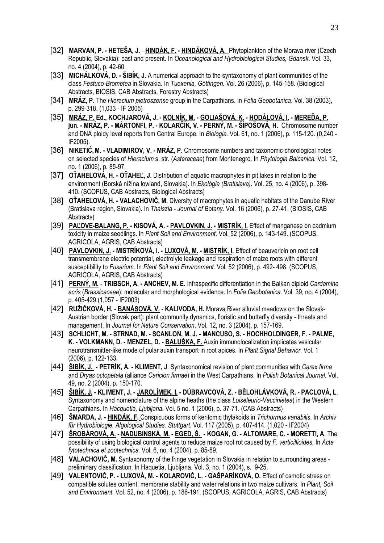- [32] **MARVAN, P. HETEŠA, J. HINDÁK, F. - HINDÁKOVÁ, A.** Phytoplankton of the Morava river (Czech Republic, Slovakia): past and present. In *Oceanological and Hydrobiological Studies, Gdansk*. Vol. 33, no. 4 (2004), p. 42-60.
- [33] **MICHÁLKOVÁ, D. ŠIBÍK, J.** A numerical approach to the syntaxonomy of plant communities of the class *Festuco-Brometea* in Slovakia. In *Tuexenia, Göttingen.* Vol. 26 (2006), p. 145-158. (Biological Abstracts, BIOSIS, CAB Abstracts, Forestry Abstracts)
- [34] **MRÁZ, P.** The *Hieracium pietroszense* group in the Carpathians. In *Folia Geobotanica*. Vol. 38 (2003), p. 299-318. (1,033 - IF 2005)
- [35] **MRÁZ, P. Ed., KOCHJAROVÁ, J. KOLNÍK, M. GOLIAŠOVÁ, K. HODÁLOVÁ, I. MEREĎA, P. jun. - MRÁZ, P. - MÁRTONFI, P. - KOLARČÍK, V. - PERNÝ, M. - ŠÍPOŠOVÁ, H.** Chromosome number and DNA ploidy level reports from Central Europe. In *Biologia.* Vol. 61, no. 1 (2006), p. 115-120. (0,240 - IF2005).
- [36] **NIKETIĆ,M. VLADIMIROV, V. MRÁZ, P.** Chromosome numbers and taxonomic-chorological notes on selected species of *Hieracium* s. str. (*Asteraceae*) from Montenegro. In *Phytologia Balcanica.* Vol. 12, no. 1 (2006), p. 85-97.
- [37] **OŤAHEĽOVÁ, H. OŤAHEĽ, J.** Distribution of aquatic macrophytes in pit lakes in relation to the environment (Borská nížina lowland, Slovakia). In *Ekológia (Bratislava)*. Vol. 25, no. 4 (2006), p. 398- 410. (SCOPUS, CAB Abstracts, Biological Abstracts)
- [38] **OŤAHEĽOVÁ, H. VALACHOVIČ, M.** Diversity of macrophytes in aquatic habitats of the Danube River (Bratislava region, Slovakia). In *Thaiszia - Journal of Botany.* Vol. 16 (2006), p. 27-41. (BIOSIS, CAB Abstracts)
- [39] **PAĽOVE-BALANG, P. KISOVÁ, A. PAVLOVKIN, J. MISTRÍK, I.** Effect of manganese on cadmium toxicity in maize seedlings. In *Plant Soil and Environment*. Vol. 52 (2006), p. 143-149. (SCOPUS, AGRICOLA, AGRIS, CAB Abstracts)
- [40] **PAVLOVKIN, J. MISTRÍKOVÁ, I. LUXOVÁ, M. MISTRÍK, I.** Effect of beauvericin on root cell transmembrane electric potential, electrolyte leakage and respiration of maize roots with different susceptibility to *Fusarium*. In *Plant Soil and Environment*. Vol. 52 (2006), p. 492- 498. (SCOPUS, AGRICOLA, AGRIS, CAB Abstracts)
- [41] **PERNÝ, M. TRIBSCH, A. ANCHEV, M. E.** Infraspecific differentiation in the Balkan diploid *Cardamine acris* (*Brassicaceae*): molecular and morphological evidence. In *Folia Geobotanica.* Vol. 39, no. 4 (2004), p. 405-429.(1,057 - IF2003)
- [42] **RUŽIČKOVÁ, H. BANÁSOVÁ, V. KALIVODA, H.** Morava River alluvial meadows on the Slovak-Austrian border (Slovak part): plant community dynamics, floristic and butterfly diversity - threats and management. In *Journal for Nature Conservation*. Vol. 12, no. 3 (2004), p. 157-169.
- [43] **SCHLICHT, M. STRNAD, M. SCANLON, M. J. MANCUSO, S. HOCHHOLDINGER, F. PALME, K. - VOLKMANN, D. - MENZEL, D. - BALUŠKA, F.** Auxin immunolocalization implicates vesicular neurotransmitter-like mode of polar auxin transport in root apices. In *Plant Signal Behavior.* Vol. 1 (2006), p. 122-133.
- [44] **ŠIBÍK, J. PETRÍK, A. KLIMENT, J**. Syntaxonomical revision of plant communities with *Carex firma* and *Dryas octopetala* (alliance *Caricion firmae*) in the West Carpathians. In *Polish Botanical Journal.* Vol. 49, no. 2 (2004), p. 150-170.
- [45] **ŠIBÍK, J. KLIMENT, J. JAROLÍMEK, I. DÚBRAVCOVÁ, Z. BĚLOHLÁVKOVÁ, R. PACLOVÁ, L**. Syntaxonomy and nomenclature of the alpine heaths (the class *Loiseleurio-Vaccinietea*) in the Western Carpathians. In *Hacquetia, Ljubljana.* Vol. 5 no. 1 (2006), p. 37-71. (CAB Abstracts)
- [46] **ŠMARDA, J. HINDÁK, F.** Conspicuous forms of keritomic thylakoids in *Trichormus variabilis*. In *Archiv für Hydrobiologie. Algological Studies. Stuttgart*. Vol. 117 (2005), p. 407-414. (1,020 - IF2004)
- [47] **ŠROBÁROVÁ, A. - NADUBINSKÁ, M. EGED, Š. KOGAN, G. ALTOMARE, C. MORETTI, A**. The possibility of using biological control agents to reduce maize root rot caused by *F. verticillioides*. In *Acta fytotechnica et zootechnica.* Vol. 6, no. 4 (2004), p. 85-89.
- [48] **VALACHOVIČ, M.** Syntaxonomy of the fringe vegetation in Slovakia in relation to surrounding areas preliminary classification. In Haquetia, Ljubljana. Vol. 3, no. 1 (2004), s. 9-25.
- [49] **VALENTOVIČ, P. LUXOVÁ, M. KOLAROVIČ, L. GAŠPARÍKOVÁ, O.** Effect of osmotic stress on compatible solutes content, membrane stability and water relations in two maize cultivars. In *Plant, Soil and Environment*. Vol. 52, no. 4 (2006), p. 186-191. (SCOPUS, AGRICOLA, AGRIS, CAB Abstracts)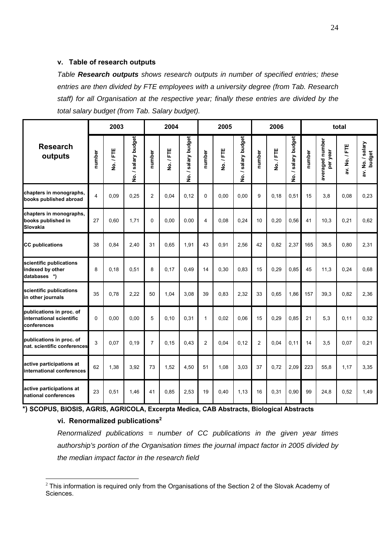#### **v. Table of research outputs**

*Table Research outputs shows research outputs in number of specified entries; these entries are then divided by FTE employees with a university degree (from Tab. Research staff) for all Organisation at the respective year; finally these entries are divided by the total salary budget (from Tab. Salary budget).*

|                                                                     |                | 2003      |                     |                | 2004    |                     |                | 2005    |                     |                | 2006    |                     | total  |                             |               |                            |
|---------------------------------------------------------------------|----------------|-----------|---------------------|----------------|---------|---------------------|----------------|---------|---------------------|----------------|---------|---------------------|--------|-----------------------------|---------------|----------------------------|
| <b>Research</b><br>outputs                                          | number         | No. / FTE | No. / salary budget | number         | No./FTE | No. / salary budget | number         | No./FTE | No. / salary budget | number         | No./FTE | No. / salary budget | number | averaged number<br>per year | av. No. / FTE | av. No. / salary<br>budget |
| chapters in monographs,<br>books published abroad                   | $\overline{4}$ | 0.09      | 0,25                | $\overline{c}$ | 0.04    | 0,12                | $\mathbf{0}$   | 0,00    | 0.00                | 9              | 0,18    | 0.51                | 15     | 3,8                         | 0,08          | 0,23                       |
| chapters in monographs,<br>books published in<br>Slovakia           | 27             | 0.60      | 1,71                | $\Omega$       | 0.00    | 0.00                | 4              | 0,08    | 0,24                | 10             | 0,20    | 0,56                | 41     | 10,3                        | 0,21          | 0,62                       |
| <b>CC</b> publications                                              | 38             | 0,84      | 2,40                | 31             | 0,65    | 1,91                | 43             | 0,91    | 2,56                | 42             | 0,82    | 2,37                | 165    | 38,5                        | 0,80          | 2,31                       |
| scientific publications<br>indexed by other<br>databases *)         | 8              | 0,18      | 0,51                | 8              | 0,17    | 0,49                | 14             | 0,30    | 0,83                | 15             | 0,29    | 0,85                | 45     | 11,3                        | 0,24          | 0,68                       |
| scientific publications<br>in other journals                        | 35             | 0.78      | 2,22                | 50             | 1.04    | 3,08                | 39             | 0,83    | 2,32                | 33             | 0.65    | 1.86                | 157    | 39,3                        | 0.82          | 2,36                       |
| publications in proc. of<br>international scientific<br>conferences | $\Omega$       | 0.00      | 0.00                | 5              | 0.10    | 0,31                | $\mathbf{1}$   | 0.02    | 0.06                | 15             | 0,29    | 0.85                | 21     | 5,3                         | 0,11          | 0,32                       |
| publications in proc. of<br>nat. scientific conferences             | 3              | 0.07      | 0, 19               | $\overline{7}$ | 0,15    | 0,43                | $\overline{2}$ | 0.04    | 0,12                | $\overline{2}$ | 0.04    | 0.11                | 14     | 3,5                         | 0,07          | 0,21                       |
| active participations at<br>international conferences               | 62             | 1,38      | 3,92                | 73             | 1,52    | 4,50                | 51             | 1,08    | 3,03                | 37             | 0,72    | 2,09                | 223    | 55,8                        | 1,17          | 3,35                       |
| active participations at<br>national conferences                    | 23             | 0.51      | 1,46                | 41             | 0,85    | 2,53                | 19             | 0.40    | 1,13                | 16             | 0,31    | 0,90                | 99     | 24,8                        | 0.52          | 1,49                       |

**\*) SCOPUS, BIOSIS, AGRIS, AGRICOLA, Excerpta Medica, CAB Abstracts, Biological Abstracts**

#### vi. Renormalized publications<sup>2</sup>

<u>.</u>

*Renormalized publications = number of CC publications in the given year times authorship's portion of the Organisation times the journal impact factor in 2005 divided by the median impact factor in the research field* 

 $2$  This information is required only from the Organisations of the Section 2 of the Slovak Academy of Sciences.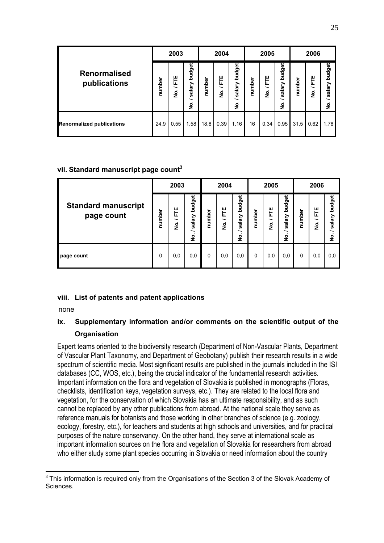|                                     |  | 2003             |                            |        | 2004             |                            |        | 2005        |                            | 2006   |                   |                       |
|-------------------------------------|--|------------------|----------------------------|--------|------------------|----------------------------|--------|-------------|----------------------------|--------|-------------------|-----------------------|
| <b>Renormalised</b><br>publications |  | Ë<br>∽<br>ہ<br>2 | budget<br>salary<br>~<br>ş | number | ш<br>E<br>∽<br>å | budget<br>salary<br>∽<br>ş | number | 분<br>∽<br>ş | budget<br>salary<br>∽<br>ş | number | 분<br>∽<br>فع<br>ا | budget<br>salary<br>ş |
| <b>Renormalized publications</b>    |  | 0,55             | 1,58                       | 18,8   | 0,39             | 1,16                       | 16     | 0,34        | 0,95                       | 31,5   | 0,62              | 1,78                  |

## **vii. Standard manuscript page count3**

|                                          |        | 2003        |                                                     |          | 2004                     |                                 |          | 2005        |                                                        | 2006     |                                    |                            |
|------------------------------------------|--------|-------------|-----------------------------------------------------|----------|--------------------------|---------------------------------|----------|-------------|--------------------------------------------------------|----------|------------------------------------|----------------------------|
| <b>Standard manuscript</b><br>page count | number | 분<br>∽<br>ş | <b>budget</b><br>salary<br>∽<br>$\blacksquare$<br>ş | number   | 분<br>∽<br>$\bullet$<br>ş | budget<br>salary<br>∽<br>غ<br>ع | number   | 분<br>∽<br>ş | budget<br>salary<br>$\overline{\phantom{0}}$<br>ف<br>ع | number   | 분<br>$\overline{\phantom{0}}$<br>غ | budget<br>salary<br>ہ<br>2 |
| page count                               |        | 0,0         | 0,0                                                 | $\Omega$ | 0,0                      | 0,0                             | $\Omega$ | 0,0         | 0,0                                                    | $\Omega$ | 0,0                                | 0,0                        |

## **viii. List of patents and patent applications**

none

## **ix. Supplementary information and/or comments on the scientific output of the Organisation**

Expert teams oriented to the biodiversity research (Department of Non-Vascular Plants, Department of Vascular Plant Taxonomy, and Department of Geobotany) publish their research results in a wide spectrum of scientific media. Most significant results are published in the journals included in the ISI databases (CC, WOS, etc.), being the crucial indicator of the fundamental research activities. Important information on the flora and vegetation of Slovakia is published in monographs (Floras, checklists, identification keys, vegetation surveys, etc.). They are related to the local flora and vegetation, for the conservation of which Slovakia has an ultimate responsibility, and as such cannot be replaced by any other publications from abroad. At the national scale they serve as reference manuals for botanists and those working in other branches of science (e.g. zoology, ecology, forestry, etc.), for teachers and students at high schools and universities, and for practical purposes of the nature conservancy. On the other hand, they serve at international scale as important information sources on the flora and vegetation of Slovakia for researchers from abroad who either study some plant species occurring in Slovakia or need information about the country

<sup>1</sup>  $3$  This information is required only from the Organisations of the Section 3 of the Slovak Academy of Sciences.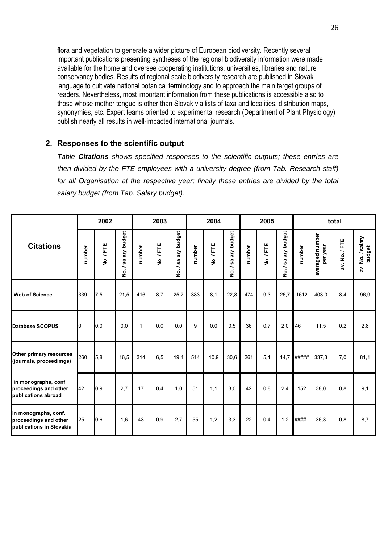flora and vegetation to generate a wider picture of European biodiversity. Recently several important publications presenting syntheses of the regional biodiversity information were made available for the home and oversee cooperating institutions, universities, libraries and nature conservancy bodies. Results of regional scale biodiversity research are published in Slovak language to cultivate national botanical terminology and to approach the main target groups of readers. Nevertheless, most important information from these publications is accessible also to those whose mother tongue is other than Slovak via lists of taxa and localities, distribution maps, synonymies, etc. Expert teams oriented to experimental research (Department of Plant Physiology) publish nearly all results in well-impacted international journals.

#### **2. Responses to the scientific output**

*Table Citations shows specified responses to the scientific outputs; these entries are then divided by the FTE employees with a university degree (from Tab. Research staff)*  for all Organisation at the respective year; finally these entries are divided by the total *salary budget (from Tab. Salary budget).*

|                                                                           | 2002   |         |                         | 2003         |         |                         |        | 2004    |                                          |        | 2005    |                      |        | total                       |               |                            |  |
|---------------------------------------------------------------------------|--------|---------|-------------------------|--------------|---------|-------------------------|--------|---------|------------------------------------------|--------|---------|----------------------|--------|-----------------------------|---------------|----------------------------|--|
| <b>Citations</b>                                                          | number | No./FTE | salary budget<br>∽<br>ş | number       | No./FTE | salary budget<br>∽<br>ġ | number | No./FTE | <b>budget</b><br>salary<br>-<br><u>ؤ</u> | number | No./FTE | / salary budget<br>ġ | number | averaged number<br>per year | av. No. / FTE | av. No. / salary<br>budget |  |
| <b>Web of Science</b>                                                     | 339    | 7,5     | 21,5                    | 416          | 8.7     | 25.7                    | 383    | 8,1     | 22,8                                     | 474    | 9,3     | 26,7                 | 1612   | 403,0                       | 8,4           | 96,9                       |  |
| Databese SCOPUS                                                           | 0      | 0,0     | 0,0                     | $\mathbf{1}$ | 0,0     | 0,0                     | 9      | 0,0     | 0,5                                      | 36     | 0,7     | 2,0                  | 46     | 11,5                        | 0,2           | 2,8                        |  |
| Other primary resources<br>(journals, proceedimgs)                        | 260    | 5,8     | 16,5                    | 314          | 6,5     | 19,4                    | 514    | 10,9    | 30,6                                     | 261    | 5,1     | 14,7                 | #####  | 337,3                       | 7,0           | 81,1                       |  |
| in monographs, conf.<br>proceedings and other<br>publications abroad      | 42     | 0,9     | 2,7                     | 17           | 0,4     | 1,0                     | 51     | 1,1     | 3,0                                      | 42     | 0,8     | 2,4                  | 152    | 38,0                        | 0,8           | 9,1                        |  |
| in monographs, conf.<br>proceedings and other<br>publications in Slovakia | 25     | 0,6     | 1,6                     | 43           | 0,9     | 2,7                     | 55     | 1,2     | 3,3                                      | 22     | 0,4     | 1,2                  | ####   | 36,3                        | 0,8           | 8,7                        |  |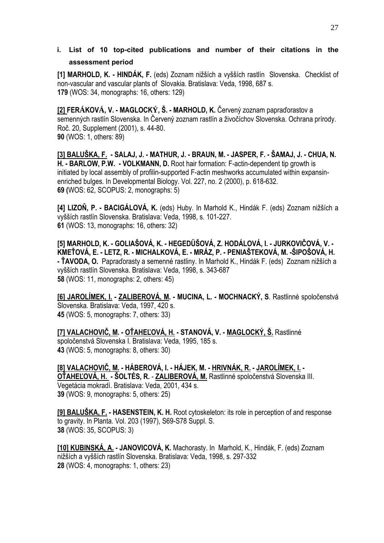## **i. List of 10 top-cited publications and number of their citations in the assessment period**

**[1] MARHOLD, K. - HINDÁK, F.** (eds) Zoznam nižších a vyšších rastlín Slovenska. Checklist of non-vascular and vascular plants of Slovakia. Bratislava: Veda, 1998, 687 s. **179** (WOS: 34, monographs: 16, others: 129)

**[2] FERÁKOVÁ, V. - MAGLOCKÝ, Š. - MARHOLD, K.** Červený zoznam papraďorastov a semenných rastlín Slovenska. In Červený zoznam rastlín a živočíchov Slovenska. Ochrana prírody. Roč. 20, Supplement (2001), s. 44-80. **90** (WOS: 1, others: 89)

**[3] BALUŠKA, F. - SALAJ, J. - MATHUR, J. - BRAUN, M. - JASPER, F. - ŠAMAJ, J. - CHUA, N. H. - BARLOW, P.W. - VOLKMANN, D.** Root hair formation: F-actin-dependent tip growth is initiated by local assembly of profilin-supported F-actin meshworks accumulated within expansinenriched bulges. In Developmental Biology. Vol. 227, no. 2 (2000), p. 618-632. **69 (**WOS: 62, SCOPUS: 2, monographs: 5)

**[4] LIZOŇ, P. - BACIGÁLOVÁ, K.** (eds) Huby. In Marhold K., Hindák F. (eds) Zoznam nižších a vyšších rastlín Slovenska. Bratislava: Veda, 1998, s. 101-227. **61** (WOS: 13, monographs: 16, others: 32)

**[5] MARHOLD, K. - GOLIAŠOVÁ, K. - HEGEDÜŠOVÁ, Z. HODÁLOVÁ, I. - JURKOVIČOVÁ, V. - KMEŤOVÁ, E. - LETZ, R. - MICHALKOVÁ, E. - MRÁZ, P. - PENIAŠTEKOVÁ, M. -ŠIPOŠOVÁ, H. - ŤAVODA, O.** Papraďorasty a semenné rastliny. In Marhold K., Hindák F. (eds) Zoznam nižších a vyšších rastlín Slovenska. Bratislava: Veda, 1998, s. 343-687 **58** (WOS: 11, monographs: 2, others: 45)

**[6] JAROLÍMEK, I. - ZALIBEROVÁ, M. - MUCINA, L. - MOCHNACKÝ, S**. Rastlinné spoločenstvá Slovenska. Bratislava: Veda, 1997, 420 s. **45** (WOS: 5, monographs: 7, others: 33)

**[7] VALACHOVIČ, M. - OŤAHEĽOVÁ, H. - STANOVÁ, V. - MAGLOCKÝ, Š.** Rastlinné spoločenstvá Slovenska I. Bratislava: Veda, 1995, 185 s. **43** (WOS: 5, monographs: 8, others: 30)

**[8] VALACHOVIČ, M. - HÁBEROVÁ, I. - HÁJEK, M. - HRIVNÁK, R. - JAROLÍMEK, I. - OŤAHEĽOVÁ, H. - ŠOLTÉS, R.** - **ZALIBEROVÁ, M.** Rastlinné spoločenstvá Slovenska III. Vegetácia mokradí. Bratislava: Veda, 2001, 434 s. **39** (WOS: 9, monographs: 5, others: 25)

**[9] BALUŠKA, F. - HASENSTEIN, K. H.** Root cytoskeleton: its role in perception of and response to gravity. In Planta. Vol. 203 (1997), S69-S78 Suppl. S. **38** (WOS: 35, SCOPUS: 3)

**[10] KUBINSKÁ, A. - JANOVICOVÁ, K.** Machorasty. InMarhold, K., Hindák, F. (eds) Zoznam nižších a vyšších rastlín Slovenska. Bratislava: Veda, 1998, s. 297-332 **28** (WOS: 4, monographs: 1, others: 23)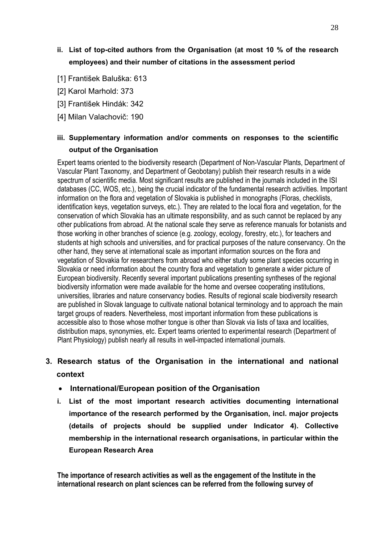## **ii. List of top-cited authors from the Organisation (at most 10 % of the research employees) and their number of citations in the assessment period**

- [1] František Baluška: 613
- [2] Karol Marhold: 373
- [3] František Hindák: 342
- [4] Milan Valachovič: 190

## **iii. Supplementary information and/or comments on responses to the scientific output of the Organisation**

Expert teams oriented to the biodiversity research (Department of Non-Vascular Plants, Department of Vascular Plant Taxonomy, and Department of Geobotany) publish their research results in a wide spectrum of scientific media. Most significant results are published in the journals included in the ISI databases (CC, WOS, etc.), being the crucial indicator of the fundamental research activities. Important information on the flora and vegetation of Slovakia is published in monographs (Floras, checklists, identification keys, vegetation surveys, etc.). They are related to the local flora and vegetation, for the conservation of which Slovakia has an ultimate responsibility, and as such cannot be replaced by any other publications from abroad. At the national scale they serve as reference manuals for botanists and those working in other branches of science (e.g. zoology, ecology, forestry, etc.), for teachers and students at high schools and universities, and for practical purposes of the nature conservancy. On the other hand, they serve at international scale as important information sources on the flora and vegetation of Slovakia for researchers from abroad who either study some plant species occurring in Slovakia or need information about the country flora and vegetation to generate a wider picture of European biodiversity. Recently several important publications presenting syntheses of the regional biodiversity information were made available for the home and oversee cooperating institutions, universities, libraries and nature conservancy bodies. Results of regional scale biodiversity research are published in Slovak language to cultivate national botanical terminology and to approach the main target groups of readers. Nevertheless, most important information from these publications is accessible also to those whose mother tongue is other than Slovak via lists of taxa and localities, distribution maps, synonymies, etc. Expert teams oriented to experimental research (Department of Plant Physiology) publish nearly all results in well-impacted international journals.

## **3. Research status of the Organisation in the international and national context**

- **International/European position of the Organisation**
- **i. List of the most important research activities documenting international importance of the research performed by the Organisation, incl. major projects (details of projects should be supplied under Indicator 4). Collective membership in the international research organisations, in particular within the European Research Area**

**The importance of research activities as well as the engagement of the Institute in the international research on plant sciences can be referred from the following survey of**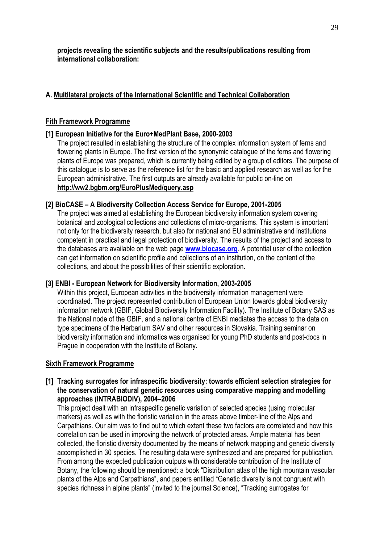**projects revealing the scientific subjects and the results/publications resulting from international collaboration:** 

## **A. Multilateral projects of the International Scientific and Technical Collaboration**

### **Fith Framework Programme**

#### **[1] European Initiative for the Euro+MedPlant Base, 2000-2003**

The project resulted in establishing the structure of the complex information system of ferns and flowering plants in Europe. The first version of the synonymic catalogue of the ferns and flowering plants of Europe was prepared, which is currently being edited by a group of editors. The purpose of this catalogue is to serve as the reference list for the basic and applied research as well as for the European administrative. The first outputs are already available for public on-line on **http://ww2.bgbm.org/EuroPlusMed/query.asp** 

#### **[2] BioCASE – A Biodiversity Collection Access Service for Europe, 2001-2005**

The project was aimed at establishing the European biodiversity information system covering botanical and zoological collections and collections of micro-organisms. This system is important not only for the biodiversity research, but also for national and EU administrative and institutions competent in practical and legal protection of biodiversity. The results of the project and access to the databases are available on the web page **www.biocase.org**. A potential user of the collection can get information on scientific profile and collections of an institution, on the content of the collections, and about the possibilities of their scientific exploration.

#### **[3] ENBI - European Network for Biodiversity Information, 2003-2005**

Within this project, European activities in the biodiversity information management were coordinated. The project represented contribution of European Union towards global biodiversity information network (GBIF, Global Biodiversity Information Facility). The Institute of Botany SAS as the National node of the GBIF, and a national centre of ENBI mediates the access to the data on type specimens of the Herbarium SAV and other resources in Slovakia. Training seminar on biodiversity information and informatics was organised for young PhD students and post-docs in Prague in cooperation with the Institute of Botany**.**

#### **Sixth Framework Programme**

#### **[1] Tracking surrogates for infraspecific biodiversity: towards efficient selection strategies for the conservation of natural genetic resources using comparative mapping and modelling approaches (INTRABIODIV), 2004–2006**

This project dealt with an infraspecific genetic variation of selected species (using molecular markers) as well as with the floristic variation in the areas above timber-line of the Alps and Carpathians. Our aim was to find out to which extent these two factors are correlated and how this correlation can be used in improving the network of protected areas. Ample material has been collected, the floristic diversity documented by the means of network mapping and genetic diversity accomplished in 30 species. The resulting data were synthesized and are prepared for publication. From among the expected publication outputs with considerable contribution of the Institute of Botany, the following should be mentioned: a book "Distribution atlas of the high mountain vascular plants of the Alps and Carpathians", and papers entitled "Genetic diversity is not congruent with species richness in alpine plants" (invited to the journal Science), "Tracking surrogates for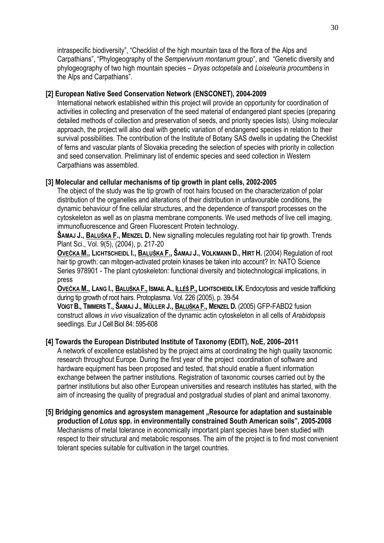intraspecific biodiversity", "Checklist of the high mountain taxa of the flora of the Alps and Carpathians", "Phylogeography of the *Sempervivum montanum* group", and "Genetic diversity and phylogeography of two high mountain species – *Dryas octopetala* and *Loiseleuria procumbens* in the Alps and Carpathians".

#### **[2] European Native Seed Conservation Network (ENSCONET), 2004-2009**

International network established within this project will provide an opportunity for coordination of activities in collecting and preservation of the seed material of endangered plant species (preparing detailed methods of collection and preservation of seeds, and priority species lists). Using molecular approach, the project will also deal with genetic variation of endangered species in relation to their survival possibilities. The contribution of the Institute of Botany SAS dwells in updating the Checklist of ferns and vascular plants of Slovakia preceding the selection of species with priority in collection and seed conservation. Preliminary list of endemic species and seed collection in Western Carpathians was assembled.

## **[3] Molecular and cellular mechanisms of tip growth in plant cells, 2002-2005**

The object of the study was the tip growth of root hairs focused on the characterization of polar distribution of the organelles and alterations of their distribution in unfavourable conditions, the dynamic behaviour of fine cellular structures, and the dependence of transport processes on the cytoskeleton as well as on plasma membrane components. We used methods of live cell imaging, immunofluorescence and Green Fluorescent Protein technology.

**ŠAMAJ J., BALUŠKA F., MENZEL D.** New signalling molecules regulating root hair tip growth. Trends Plant Sci., Vol. 9(5), (2004), p. 217-20

**OVEČKA M., LICHTSCHEIDL I., BALUŠKA F., ŠAMAJ J., VOLKMANN D., HIRT H.** (2004) Regulation of root hair tip growth: can mitogen-activated protein kinases be taken into account? In: NATO Science Series 978901 - The plant cytoskeleton: functional diversity and biotechnological implications, in press

**OVEČKA M., LANG I., BALUŠKA F., ISMAIL A., ILLÉŠ P., LICHTSCHEIDL I.K.**Endocytosis and vesicle trafficking during tip growth of root hairs. Protoplasma. Vol. 226 (2005), p. 39-54

**VOIGT B., TIMMERS T., ŠAMAJ J., MÜLLER J., BALUŠKA F., MENZEL D.** (2005) GFP-FABD2 fusion construct allows *in vivo* visualization of the dynamic actin cytoskeleton in all cells of *Arabidopsis* seedlings. Eur J Cell Biol 84: 595-608

## **[4] Towards the European Distributed Institute of Taxonomy (EDIT), NoE, 2006–2011**

A network of excellence established by the project aims at coordinating the high quality taxonomic research throughout Europe. During the first year of the project coordination of software and hardware equipment has been proposed and tested, that should enable a fluent information exchange between the partner institutions. Registration of taxonomic courses carried out by the partner institutions but also other European universities and research institutes has started, with the aim of increasing the quality of pregradual and postgradual studies of plant and animal taxonomy.

[5] Bridging genomics and agrosystem management "Resource for adaptation and sustainable **production of** *Lotus* **spp. in environmentally constrained South American soils", 2005-2008**  Mechanisms of metal tolerance in economically important plant species have been studied with respect to their structural and metabolic responses. The aim of the project is to find most convenient tolerant species suitable for cultivation in the target countries.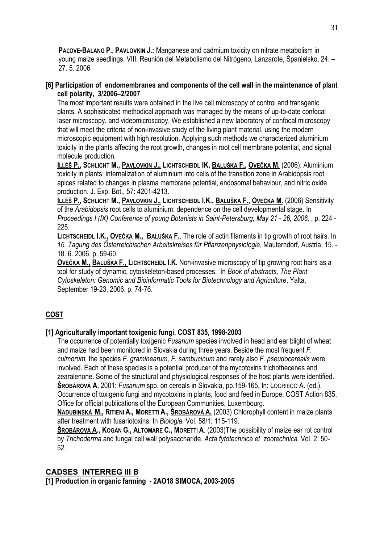**PAĽOVE-BALANG P., PAVLOVKIN J.:** Manganese and cadmium toxicity on nitrate metabolism in young maize seedlings. VIII. Reunión del Metabolismo del Nitrógeno, Lanzarote, Španielsko, 24. – 27. 5. 2006

#### **[6] Participation of endomembranes and components of the cell wall in the maintenance of plant cell polarity, 3/2006–2/2007**

The most important results were obtained in the live cell microscopy of control and transgenic plants. A sophisticated methodical approach was managed by the means of up-to-date confocal laser microscopy, and videomicroscopy. We established a new laboratory of confocal microscopy that will meet the criteria of non-invasive study of the living plant material, using the modern microscopic equipment with high resolution. Applying such methods we characterized aluminium toxicity in the plants affecting the root growth, changes in root cell membrane potential, and signal molecule production.

**ILLÉŠ P., SCHLICHT M., PAVLOVKIN J., LICHTSCHEIDL IK, BALUŠKA F., OVEČKA M.** (2006): Aluminium toxicity in plants: internalization of aluminium into cells of the transition zone in Arabidopsis root apices related to changes in plasma membrane potential, endosomal behaviour, and nitric oxide production. J. Exp. Bot., 57: 4201-4213.

**ILLÉŠ P., SCHLICHT M., PAVLOVKIN J., LICHTSCHEIDL I.K., BALUŠKA F., OVEČKA M.** (2006) Sensitivity of the *Arabidopsis* root cells to aluminium: dependence on the cell developmental stage. In *Proceedings I (IX) Conference of young Botanists in Saint-Petersburg, May 21 - 26, 2006,* , p. 224 - 225.

**LICHTSCHEIDL I.K., OVEČKA M., BALUŠKA F.**. The role of actin filaments in tip growth of root hairs. In *16. Tagung des Ősterreichischen Arbeitskreises fűr Pflanzenphysiologie*, Mauterndorf, Austria, 15. - 18. 6. 2006, p. 59-60.

**OVEČKA M., BALUŠKA F., LICHTSCHEIDL I.K.** Non-invasive microscopy of tip growing root hairs as a tool for study of dynamic, cytoskeleton-based processes. In *Book of abstracts, The Plant Cytoskeleton: Genomic and Bioinformatic Tools for Biotechnology and Agriculture*, Yalta, September 19-23, 2006, p. 74-76.

## **COST**

## **[1] Agriculturally important toxigenic fungi, COST 835, 1998-2003**

The occurrence of potentially toxigenic *Fusarium* species involved in head and ear blight of wheat and maize had been monitored in Slovakia during three years. Beside the most frequent *F. culmorum,* the species *F. graminearum, F. sambucinum* and rarely also *F. pseudocerealis* were involved. Each of these species is a potential producer of the mycotoxins trichothecenes and zearalenone. Some of the structural and physiological responses of the host plants were identified. **ŠROBÁROVÁ A.** 2001: *Fusarium* spp. on cereals in Slovakia, pp.159-165. In: LOGRIECO A. (ed.), Occurrence of toxigenic fungi and mycotoxins in plants, food and feed in Europe, COST Action 835, Office for official publications of the European Communities, Luxembourg.

**NADUBINSKÁ M., RITIENI A., MORETTI A., ŠROBÁROVÁ A.** (2003) Chlorophyll content in maize plants after treatment with fusariotoxins. In *Biologia*. Vol. 58/1: 115-119.

**ŠROBÁROVÁ A., KOGAN G., ALTOMARE C., MORETTI A**. (2003)The possibility of maize ear rot control by *Trichoderma* and fungal cell wall polysaccharide. *Acta fytotechnica et zootechnica*. Vol. 2: 50- 52.

## **CADSES INTERREG III B**

**[1] Production in organic farming - 2AO18 SIMOCA, 2003-2005**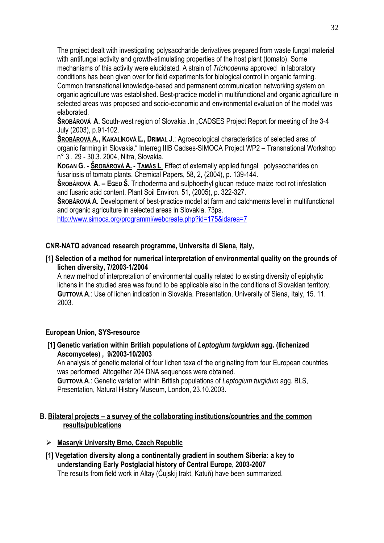The project dealt with investigating polysaccharide derivatives prepared from waste fungal material with antifungal activity and growth-stimulating properties of the host plant (tomato). Some mechanisms of this activity were elucidated. A strain of *Trichoderma* approved in laboratory conditions has been given over for field experiments for biological control in organic farming. Common transnational knowledge-based and permanent communication networking system on organic agriculture was established. Best-practice model in multifunctional and organic agriculture in selected areas was proposed and socio-economic and environmental evaluation of the model was elaborated.

**SROBÁROVÁ A.** South-west region of Slovakia .In .CADSES Project Report for meeting of the 3-4 July (2003), p.91-102.

**ŠROBÁROVÁ A., KAKALÍKOVÁ Ľ., DRIMAL J**.: Agroecological characteristics of selected area of organic farming in Slovakia." Interreg IIIB Cadses-SIMOCA Project WP2 – Transnational Workshop n° 3 , 29 - 30.3. 2004, Nitra, Slovakia.

**KOGAN G. - ŠROBÁROVÁ A. - TAMÁS L**. Effect of externally applied fungal polysaccharides on fusariosis of tomato plants. Chemical Papers, 58, 2, (2004), p. 139-144.

**ŠROBÁROVÁ A. – EGED Š.** Trichoderma and sulphoethyl glucan reduce maize root rot infestation and fusaric acid content. Plant Soil Environ. 51, (2005), p. 322-327.

**ŠROBÁROVÁ A**. Development of best-practice model at farm and catchments level in multifunctional and organic agriculture in selected areas in Slovakia, 73ps.

http://www.simoca.org/programmi/webcreate.php?id=175&idarea=7

## **CNR-NATO advanced research programme, Universita di Siena, Italy,**

#### **[1] Selection of a method for numerical interpretation of environmental quality on the grounds of lichen diversity, 7/2003-1/2004**

A new method of interpretation of environmental quality related to existing diversity of epiphytic lichens in the studied area was found to be applicable also in the conditions of Slovakian territory. **GUTTOVÁ A**.: Use of lichen indication in Slovakia. Presentation, University of Siena, Italy, 15. 11. 2003.

#### **European Union, SYS-resource**

#### **[1] Genetic variation within British populations of** *Leptogium turgidum* **agg. (lichenized Ascomycetes) , 9/2003-10/2003**

An analysis of genetic material of four lichen taxa of the originating from four European countries was performed. Altogether 204 DNA sequences were obtained.

**GUTTOVÁ A**.: Genetic variation within British populations of *Leptogium turgidum* agg. BLS, Presentation, Natural History Museum, London, 23.10.2003.

#### **B. Bilateral projects – a survey of the collaborating institutions/countries and the common results/publcations**

- ¾ **Masaryk University Brno, Czech Republic**
- **[1] Vegetation diversity along a continentally gradient in southern Siberia: a key to understanding Early Postglacial history of Central Europe, 2003-2007**  The results from field work in Altay (Čujskij trakt, Katuň) have been summarized.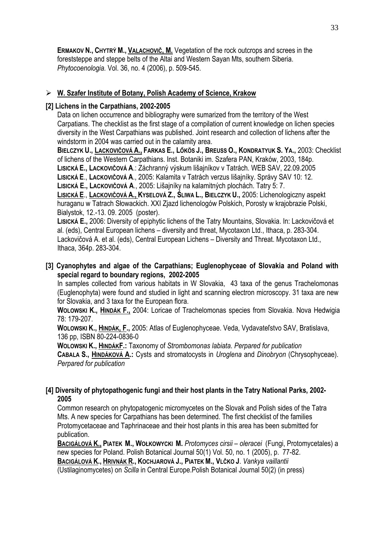**ERMAKOV N., CHYTRÝ M., VALACHOVIČ, M.** Vegetation of the rock outcrops and screes in the foreststeppe and steppe belts of the Altai and Western Sayan Mts, southern Siberia. *Phytocoenologia.* Vol. 36, no. 4 (2006), p. 509-545.

## ¾ **W. Szafer Institute of Botany, Polish Academy of Science, Krakow**

#### **[2] Lichens in the Carpathians, 2002-2005**

Data on lichen occurrence and bibliography were sumarized from the territory of the West Carpatians. The checklist as the first stage of a compilation of current knowledge on lichen species diversity in the West Carpathians was published. Joint research and collection of lichens after the windstorm in 2004 was carried out in the calamity area.

**BIELCZYK U., LACKOVIČOVÁ A., FARKAS E., LŐKÖS J., BREUSS O., KONDRATYUK S. YA.,** 2003: Checklist of lichens of the Western Carpathians. Inst. Botaniki im. Szafera PAN, Kraków, 2003, 184p. **LISICKÁ E., LACKOVIČOVÁ A**.: Záchranný výskum lišajníkov v Tatrách. WEB SAV, 22.09.2005 **LISICKÁ E**., **LACKOVIČOVÁ A**., 2005: Kalamita v Tatrách verzus lišajníky. Správy SAV 10: 12.

**LISICKÁ E., LACKOVIČOVÁ A**., 2005: Lišajníky na kalamitných plochách. Tatry 5: 7.

**LISICKÁ E**., **LACKOVIČOVÁ A., KYSELOVÁ Z., ŚLIWA L., BIELCZYK U.,** 2005: Lichenologiczny aspekt huraganu w Tatrach Słowackich. XXI Zjazd lichenologów Polskich, Porosty w krajobrazie Polski, Bialystok, 12.-13. 09. 2005 (poster).

**LISICKÁ E.,** 2006: Diversity of epiphytic lichens of the Tatry Mountains, Slovakia. In: Lackovičová et al. (eds), Central European lichens – diversity and threat, Mycotaxon Ltd., Ithaca, p. 283-304. Lackovičová A. et al. (eds), Central European Lichens – Diversity and Threat. Mycotaxon Ltd., Ithaca, 364p. 283-304.

#### **[3] Cyanophytes and algae of the Carpathians; Euglenophyceae of Slovakia and Poland with special regard to boundary regions, 2002-2005**

In samples collected from various habitats in W Slovakia, 43 taxa of the genus Trachelomonas (Euglenophyta) were found and studied in light and scanning electron microscopy. 31 taxa are new for Slovakia, and 3 taxa for the European flora.

**WOLOWSKI K., HINDÁK F.,** 2004: Loricae of Trachelomonas species from Slovakia. Nova Hedwigia 78: 179-207.

**WOLOWSKI K., HINDÁK, F.,** 2005: Atlas of Euglenophyceae. Veda, Vydavateľstvo SAV, Bratislava, 136 pp, ISBN 80-224-0836-0

**WOLOWSKI K., HINDÁKF.:** Taxonomy of *Strombomonas labiata*. *Perpared for publication*  **CABALA S., HINDÁKOVÁ A.:** Cysts and stromatocysts in *Uroglena* and *Dinobryon* (Chrysophyceae). *Perpared for publication* 

#### **[4] Diversity of phytopathogenic fungi and their host plants in the Tatry National Parks, 2002- 2005**

Common research on phytopatogenic micromycetes on the Slovak and Polish sides of the Tatra Mts. A new species for Carpathians has been determined. The first checklist of the families Protomycetaceae and Taphrinaceae and their host plants in this area has been submitted for publication.

**BACIGÁLOVÁ K., PIATEK M., WOŁKOWYCKI M.** *Protomyces cirsii – oleracei* (Fungi, Protomycetales) a new species for Poland. Polish Botanical Journal 50(1) Vol. 50, no. 1 (2005), p. 77-82. **BACIGÁLOVÁ K., HRIVNÁK R., KOCHJAROVÁ J., PIATEK M., VLČKO J**. *Vankya vaillantii*

(Ustilaginomycetes) on *Scilla* in Central Europe.Polish Botanical Journal 50(2) (in press)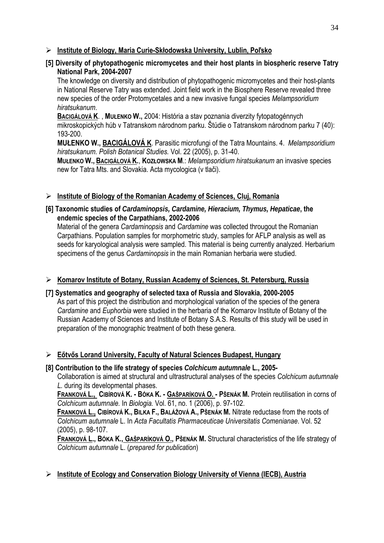### ¾ **Institute of Biology, Maria Curie-Skłodowska University, Lublin, Poľsko**

## **[5] Diversity of phytopathogenic micromycetes and their host plants in biospheric reserve Tatry National Park, 2004-2007**

The knowledge on diversity and distribution of phytopathogenic micromycetes and their host-plants in National Reserve Tatry was extended. Joint field work in the Biosphere Reserve revealed three new species of the order Protomycetales and a new invasive fungal species *Melampsoridium hiratsukanum*.

**BACIGÁLOVÁ K**. , **MUŁENKO W.,** 2004: História a stav poznania diverzity fytopatogénnych mikroskopických húb v Tatranskom národnom parku. Štúdie o Tatranskom národnom parku 7 (40): 193-200.

**MUŁENKO W., BACIGÁLOVÁ K**. Parasitic microfungi of the Tatra Mountains. 4. *Melampsoridium hiratsukanum. Polish Botanical Studies.* Vol. 22 (2005), p. 31-40.

**MUŁENKO W., BACIGÁLOVÁ K.**, **KOZŁOWSKA M**.: *Melampsoridium hiratsukanum* an invasive species new for Tatra Mts. and Slovakia. Acta mycologica (v tlači).

## ¾ **Institute of Biology of the Romanian Academy of Sciences, Cluj, Romania**

## **[6] Taxonomic studies of** *Cardaminopsis, Cardamine, Hieracium, Thymus, Hepaticae***, the endemic species of the Carpathians, 2002-2006**

Material of the genera *Cardaminopsis* and *Cardamine* was collected througout the Romanian Carpathians. Population samples for morphometric study, samples for AFLP analysis as well as seeds for karyological analysis were sampled. This material is being currently analyzed. Herbarium specimens of the genus *Cardaminopsis* in the main Romanian herbaria were studied.

## ¾ **Komarov Institute of Botany, Russian Academy of Sciences, St. Petersburg, Russia**

#### **[7] Systematics and geography of selected taxa of Russia and Slovakia, 2000-2005**

As part of this project the distribution and morphological variation of the species of the genera *Cardamine* and *Euphorbia* were studied in the herbaria of the Komarov Institute of Botany of the Russian Academy of Sciences and Institute of Botany S.A.S. Results of this study will be used in preparation of the monographic treatment of both these genera.

## ¾ **Eőtvős Lorand University, Faculty of Natural Sciences Budapest, Hungary**

#### **[8] Contribution to the life strategy of species** *Colchicum autumnale* **L., 2005-**

Collaboration is aimed at structural and ultrastructural analyses of the species *Colchicum autumnale L.* during its developmental phases.

FRANKOVÁ L., CIBÍROVÁ K. - BÓKA K. - GAŠPARÍKOVÁ O. - PŠENÁK M. Protein reutilisation in corns of *Colchicum autumnale.* In *Biologia.* Vol. 61, no. 1 (2006), p. 97-102.

**FRANKOVÁ L., CIBÍROVÁ K., BILKA F., BALÁŽOVÁ A., PŠENÁK M.** Nitrate reductase from the roots of *Colchicum autumnale* L. In *Acta Facultatis Pharmaceuticae Universitatis Comenianae*. Vol. 52 (2005), p. 98-107.

**FRANKOVÁ L., BÓKA K., GAŠPARÍKOVÁ O., PŠENÁK M.** Structural characteristics of the life strategy of *Colchicum autumnale* L. (*prepared for publication*)

## ¾ **Institute of Ecology and Conservation Biology University of Vienna (IECB), Austria**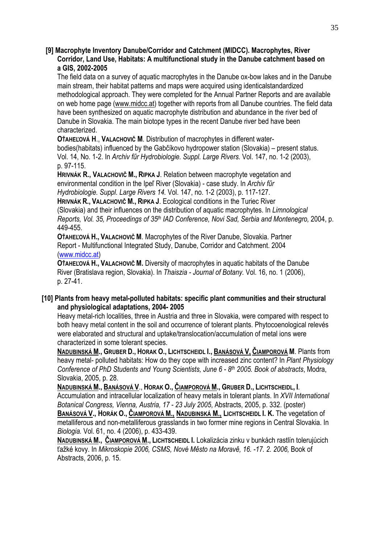#### **[9] Macrophyte Inventory Danube/Corridor and Catchment (MIDCC). Macrophytes, River Corridor, Land Use, Habitats: A multifunctional study in the Danube catchment based on a GIS, 2002-2005**

The field data on a survey of aquatic macrophytes in the Danube ox-bow lakes and in the Danube main stream, their habitat patterns and maps were acquired using identicalstandardized methodological approach. They were completed for the Annual Partner Reports and are available on web home page (www.midcc.at) together with reports from all Danube countries. The field data have been synthesized on aquatic macrophyte distribution and abundance in the river bed of Danube in Slovakia. The main biotope types in the recent Danube river bed have been characterized.

**OŤAHEĽOVÁ H**., **VALACHOVIČ M**. Distribution of macrophytes in different water-

bodies(habitats) influenced by the Gabčíkovo hydropower station (Slovakia) – present status. Vol. 14, No. 1-2. In *Archiv fűr Hydrobiologie. Suppl. Large Rivers.* Vol. 147, no. 1-2 (2003), p. 97-115.

**HRIVNÁK R., VALACHOVIČ M., RIPKA J**. Relation between macrophyte vegetation and environmental condition in the Ipeľ River (Slovakia) - case study. In *Archiv fűr Hydrobiologie. Suppl. Large Rivers 14.* Vol. 147, no. 1-2 (2003), p. 117-127.

**HRIVNÁK R., VALACHOVIČ M., RIPKA J**. Ecological conditions in the Turiec River (Slovakia) and their influences on the distribution of aquatic macrophytes. In *Limnological Reports, Vol. 35, Proceedings of 35th IAD Conference, Novi Sad, Serbia and Montenegro,* 2004, p. 449-455.

**OŤAHEĽOVÁ H., VALACHOVIČ M**. Macrophytes of the River Danube, Slovakia. Partner Report - Multifunctional Integrated Study, Danube, Corridor and Catchment. 2004 (www.midcc.at)

**OŤAHEĽOVÁ H., VALACHOVIČ M.** Diversity of macrophytes in aquatic habitats of the Danube River (Bratislava region, Slovakia). In *Thaiszia - Journal of Botany.* Vol. 16, no. 1 (2006), p. 27-41.

#### **[10] Plants from heavy metal-polluted habitats: specific plant communities and their structural and physiological adaptations, 2004- 2005**

Heavy metal-rich localities, three in Austria and three in Slovakia, were compared with respect to both heavy metal content in the soil and occurrence of tolerant plants. Phytocoenological relevés were elaborated and structural and uptake/translocation/accumulation of metal ions were characterized in some tolerant species.

**NADUBINSKÁ M., GRUBER D., HORAK O., LICHTSCHEIDL I., BANÁSOVÁ V, ČIAMPOROVÁ M**. Plants from heavy metal- polluted habitats: How do they cope with increased zinc content? In *Plant Physiology Conference of PhD Students and Young Scientists, June 6 - 8th 2005. Book of abstracts*, Modra, Slovakia, 2005, p. 28.

**NADUBINSKÁ M., BANÁSOVÁ V**., **HORAK O., ČIAMPOROVÁ M., GRUBER D., LICHTSCHEIDL, I**. Accumulation and intracellular localization of heavy metals in tolerant plants. In *XVII International Botanical Congress, Vienna, Austria, 17 - 23 July 2005*, Abstracts, 2005, p. 332. (poster) **BANÁSOVÁ V., HORÁK O., ČIAMPOROVÁ M., NADUBINSKÁ M., LICHTSCHEIDL I. K.** The vegetation of metalliferous and non-metalliferous grasslands in two former mine regions in Central Slovakia. In *Biologia.* Vol. 61, no. 4 (2006), p. 433-439.

**NADUBINSKÁ M., ČIAMPOROVÁ M., LICHTSCHEIDL I.** Lokalizácia zinku v bunkách rastlín tolerujúcich ťažké kovy. In *Mikroskopie 2006, CSMS, Nové Město na Moravě, 16. -17. 2. 2006,* Book of Abstracts, 2006, p. 15.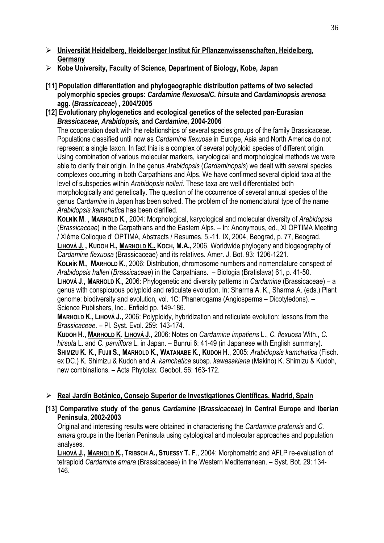- ¾ **Universität Heidelberg, Heidelberger Institut für Pflanzenwissenschaften, Heidelberg, Germany**
- ¾ **Kobe University, Faculty of Science, Department of Biology, Kobe, Japan**
- **[11] Population differentiation and phylogeographic distribution patterns of two selected polymorphic species groups:** *Cardamine flexuosa/C. hirsuta* **and** *Cardaminopsis arenosa* **agg. (***Brassicaceae***) , 2004/2005**
- **[12] Evolutionary phylogenetics and ecological genetics of the selected pan-Eurasian**  *Brassicaceae, Arabidopsis,* **and** *Cardamine,* **2004-2006**

The cooperation dealt with the relationships of several species groups of the family Brassicaceae. Populations classified until now as *Cardamine flexuosa* in Europe, Asia and North America do not represent a single taxon. In fact this is a complex of several polyploid species of different origin. Using combination of various molecular markers, karyological and morphological methods we were able to clarify their origin. In the genus *Arabidopsis* (*Cardaminopsis*) we dealt with several species complexes occurring in both Carpathians and Alps. We have confirmed several diploid taxa at the level of subspecies within *Arabidopsis halleri.* These taxa are well differentiated both morphologically and genetically. The question of the occurrence of several annual species of the genus *Cardamine* in Japan has been solved. The problem of the nomenclatural type of the name *Arabidopsis kamchatica* has been clarified.

**KOLNÍK M**. , **MARHOLD K**., 2004: Morphological, karyological and molecular diversity of *Arabidopsis*  (*Brassicaceae*) in the Carpathians and the Eastern Alps. – In: Anonymous, ed., XI OPTIMA Meeting / XIéme Colloque d' OPTIMA, Abstracts / Resumes, 5.-11. IX, 2004, Beograd, p. 77, Beograd. **LIHOVÁ J. , KUDOH H., MARHOLD K., KOCH, M.A.,** 2006, Worldwide phylogeny and biogeography of *Cardamine flexuosa* (Brassicaceae) and its relatives. Amer. J. Bot. 93: 1206-1221.

**KOLNÍK M., MARHOLD K**., 2006: Distribution, chromosome numbers and nomenclature conspect of *Arabidopsis halleri* (*Brassicaceae*) in the Carpathians. – Biologia (Bratislava) 61, p. 41-50.

**LIHOVÁ J., MARHOLD K.,** 2006: Phylogenetic and diversity patterns in *Cardamine* (Brassicaceae) – a genus with conspicuous polyploid and reticulate evolution. In: Sharma A. K., Sharma A. (eds.) Plant genome: biodiversity and evolution, vol. 1C: Phanerogams (Angiosperms – Dicotyledons). – Science Publishers, Inc., Enfield pp. 149-186.

**MARHOLD K., LIHOVÁ J.,** 2006: Polyploidy, hybridization and reticulate evolution: lessons from the *Brassicaceae*. – Pl. Syst. Evol. 259: 143-174.

**KUDOH H., MARHOLD K. LIHOVÁ J.,** 2006: Notes on *Cardamine impatiens* L., *C. flexuosa* With., *C. hirsuta* L. and *C. parviflora* L. in Japan. – Bunrui 6: 41-49 (in Japanese with English summary). **SHIMIZU K. K., FUJII S., MARHOLD K., WATANABE K., KUDOH H**., 2005: *Arabidopsis kamchatica* (Fisch. ex DC.) K. Shimizu & Kudoh and *A. kamchatica* subsp. *kawasakiana* (Makino) K. Shimizu & Kudoh, new combinations. – Acta Phytotax. Geobot. 56: 163-172.

## ¾ **Real Jardín Botánico, Consejo Superior de Investigationes Científicas, Madrid, Spain**

**[13] Comparative study of the genus** *Cardamine* **(***Brassicaceae***) in Central Europe and Iberian Peninsula, 2002-2003** 

Original and interesting results were obtained in characterising the *Cardamine pratensis* and *C. amara* groups in the Iberian Peninsula using cytological and molecular approaches and population analyses.

**LIHOVÁ J., MARHOLD K., TRIBSCH A., STUESSY T. F**., 2004: Morphometric and AFLP re-evaluation of tetraploid *Cardamine amara* (Brassicaceae) in the Western Mediterranean. – Syst. Bot. 29: 134- 146.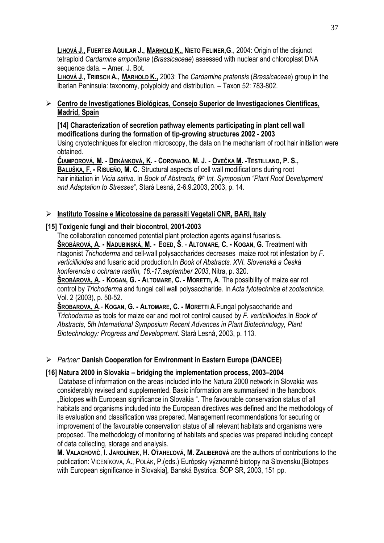**LIHOVÁ J., FUERTES AGUILAR J., MARHOLD K., NIETO FELINER,G**., 2004: Origin of the disjunct tetraploid *Cardamine amporitana* (*Brassicaceae*) assessed with nuclear and chloroplast DNA sequence data. – Amer. J. Bot.

**LIHOVÁ J., TRIBSCH A., MARHOLD K.,** 2003: The *Cardamine pratensis* (*Brassicaceae*) group in the Iberian Peninsula: taxonomy, polyploidy and distribution. – Taxon 52: 783-802.

## ¾ **Centro de Investigationes Biológicas, Consejo Superior de Investigaciones Cientificas, Madrid, Spain**

**[14] Characterization of secretion pathway elements participating in plant cell wall modifications during the formation of tip-growing structures 2002 - 2003**  Using cryotechniques for electron microscopy, the data on the mechanism of root hair initiation were obtained.

**ČIAMPOROVÁ, M. - DEKÁNKOVÁ, K. - CORONADO, M. J. - OVEČKA M. -TESTILLANO, P. S., BALUŠKA, F. - RISUEÑO, M. C.** Structural aspects of cell wall modifications during root hair initiation in *Vicia sativa.* In *Book of Abstracts, 6th Int. Symposium "Plant Root Development and Adaptation to Stresses",* Stará Lesná, 2-6.9.2003, 2003, p. 14.

## ¾ **Instituto Tossine e Micotossine da parassiti Vegetali CNR, BARI, Italy**

## **[15] Toxigenic fungi and their biocontrol, 2001-2003**

The collaboration concerned potential plant protection agents against fusariosis. **ŠROBÁROVÁ, A. - NADUBINSKÁ, M. - EGED, Š**. - **ALTOMARE, C. - KOGAN, G.** Treatment with ntagonist *Trichoderma* and cell-wall polysaccharides decreases maize root rot infestation by *F. verticillioides* and fusaric acid production.In *Book of Abstracts. XVI. Slovenská a Česká konferencia o ochrane rastlín, 16.-17.september 2003*, Nitra, p. 320.

**ŠROBÁROVÁ, A. - KOGAN, G. - ALTOMARE, C. - MORETTI, A**. The possibility of maize ear rot control by *Trichoderma* and fungal cell wall polysaccharide. In *Acta fytotechnica et zootechnica*. Vol. 2 (2003), p. 50-52.

**ŠROBAROVA, A**.- **KOGAN, G. - ALTOMARE, C. - MORETTI A**.Fungal polysaccharide and *Trichoderma* as tools for maize ear and root rot control caused by *F. verticillioides.*In *Book of Abstracts, 5th International Symposium Recent Advances in Plant Biotechnology, Plant Biotechnology: Progress and Development.* Stará Lesná, 2003, p. 113.

## ¾ *Partner:* **Danish Cooperation for Environment in Eastern Europe (DANCEE)**

## **[16] Natura 2000 in Slovakia – bridging the implementation process, 2003–2004**

 Database of information on the areas included into the Natura 2000 network in Slovakia was considerably revised and supplemented. Basic information are summarised in the handbook .Biotopes with European significance in Slovakia ". The favourable conservation status of all habitats and organisms included into the European directives was defined and the methodology of its evaluation and classification was prepared. Management recommendations for securing or improvement of the favourable conservation status of all relevant habitats and organisms were proposed. The methodology of monitoring of habitats and species was prepared including concept of data collecting, storage and analysis.

**M. VALACHOVIČ**, **I. JAROLÍMEK**, **H. OŤAHEĽOVÁ**, **M. ZALIBEROVÁ** are the authors of contributions to the publication: VICENÍKOVÁ, A., POLÁK, P.(eds.) Európsky významné biotopy na Slovensku.[Biotopes with European significance in Slovakia], Banská Bystrica: ŠOP SR, 2003, 151 pp.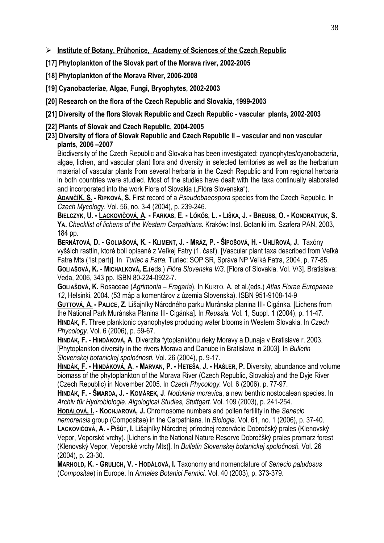¾ **Institute of Botany, Průhonice, Academy of Sciences of the Czech Republic**

**[17] Phytoplankton of the Slovak part of the Morava river, 2002-2005** 

**[18] Phytoplankton of the Morava River, 2006-2008** 

**[19] Cyanobacteriae, Algae, Fungi, Bryophytes, 2002-2003** 

**[20] Research on the flora of the Czech Republic and Slovakia, 1999-2003** 

**[21] Diversity of the flora Slovak Republic and Czech Republic - vascular plants, 2002-2003** 

- **[22] Plants of Slovak and Czech Republic, 2004-2005**
- **[23] Diversity of flora of Slovak Republic and Czech Republic II vascular and non vascular plants, 2006 –2007**

Biodiversity of the Czech Republic and Slovakia has been investigated: cyanophytes/cyanobacteria, algae, lichen, and vascular plant flora and diversity in selected territories as well as the herbarium material of vascular plants from several herbaria in the Czech Republic and from regional herbaria in both countries were studied. Most of the studies have dealt with the taxa continually elaborated and incorporated into the work Flora of Slovakia ("Flóra Slovenska").

**ADAMČÍK, S. - RIPKOVÁ, S.** First record of a *Pseudobaeospora* species from the Czech Republic. In *Czech Mycology*. Vol. 56, no. 3-4 (2004), p. 239-246.

**BIELCZYK, U. - LACKOVIČOVÁ, A. - FARKAS, E. - LŐKÖS, L. - LIŠKA, J. - BREUSS, O. - KONDRATYUK, S. YA.** *Checklist of lichens of the Western Carpathians.* Kraków: Inst. Botaniki im. Szafera PAN, 2003, 184 pp.

**BERNÁTOVÁ, D. - GOLIAŠOVÁ, K. - KLIMENT, J. - MRÁZ, P. - ŠÍPOŠOVÁ, H. - UHLÍŘOVÁ, J.** Taxóny vyšších rastlín, ktoré boli opísané z Veľkej Fatry (1. časť). [Vascular plant taxa described from Veľká Fatra Mts (1st part)]. In *Turiec a Fatra.* Turiec: SOP SR, Správa NP Veľká Fatra, 2004, p. 77-85. **GOLIAŠOVÁ, K. - MICHALKOVÁ, E.**(eds.) *Flóra Slovenska V/3*. [Flora of Slovakia. Vol. V/3]. Bratislava: Veda, 2006, 343 pp. ISBN 80-224-0922-7.

**GOLIAŠOVÁ, K.** Rosaceae (*Agrimonia* – *Fragaria*). In KURTO, A. et al.(eds.) *Atlas Florae Europaeae 12*, Helsinki, 2004. (53 máp a komentárov z územia Slovenska). ISBN 951-9108-14-9

**GUTTOVÁ, A. - PALICE, Z**. Lišajníky Národného parku Muránska planina III- Cigánka. [Lichens from the National Park Muránska Planina III- Cigánka]. In *Reussia.* Vol. 1, Suppl. 1 (2004), p. 11-47. **HINDÁK, F.** Three planktonic cyanophytes producing water blooms in Western Slovakia. In *Czech Phycology.* Vol. 6 (2006), p. 59-67.

**HINDÁK, F. - HINDÁKOVÁ, A**. Diverzita fytoplanktónu rieky Moravy a Dunaja v Bratislave r. 2003. [Phytoplankton diversity in the rivers Morava and Danube in Bratislava in 2003]. In *Bulletin Slovenskej botanickej spoločnosti.* Vol. 26 (2004), p. 9-17.

**HINDÁK, F. - HINDÁKOVÁ, A. - MARVAN, P. - HETEŠA, J. - HAŠLER, P.** Diversity, abundance and volume biomass of the phytoplankton of the Morava River (Czech Republic, Slovakia) and the Dyje River (Czech Republic) in November 2005. In *Czech Phycology.* Vol. 6 (2006), p. 77-97.

**HINDÁK, F. - ŠMARDA, J. - KOMÁREK, J**. *Nodularia moravica*, a new benthic nostocalean species. In *Archiv fűr Hydrobiologie. Algological Studies, Stuttgart.* Vol. 109 (2003), p. 241-254.

**HODÁLOVÁ, I. - KOCHJAROVÁ, J.** Chromosome numbers and pollen fertility in the *Senecio nemorensis* group (Compositae) in the Carpathians. In *Biologia.* Vol. 61, no. 1 (2006), p. 37-40.

**LACKOVIČOVÁ, A. - PIŠÚT, I.** Lišajníky Národnej prírodnej rezervácie Dobročský prales (Klenovský Vepor, Veporské vrchy). [Lichens in the National Nature Reserve Dobročšký prales promarz forest (Klenovský Vepor, Veporské vrchy Mts)]. In *Bulletin Slovenskej botanickej spoločnost*i. Vol. 26 (2004), p. 23-30.

**MARHOLD, K. - GRULICH, V. - HODÁLOVÁ, I.** Taxonomy and nomenclature of *Senecio paludosus* (*Compositae*) in Europe. In *Annales Botanici Fennici.* Vol. 40 (2003), p. 373-379.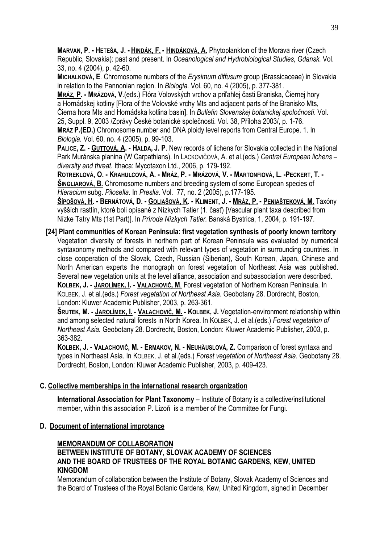**MARVAN, P. - HETEŠA, J. - HINDÁK, F. - HINDÁKOVÁ, A.** Phytoplankton of the Morava river (Czech Republic, Slovakia): past and present. In *Oceanological and Hydrobiological Studies, Gdansk.* Vol. 33, no. 4 (2004), p. 42-60.

**MICHALKOVÁ, E**. Chromosome numbers of the *Erysimum diffusum* group (Brassicaceae) in Slovakia in relation to the Pannonian region. In *Biologia.* Vol. 60, no. 4 (2005), p. 377-381.

**MRÁZ, P. - MRÁZOVÁ, V**.(eds.) Flóra Volovských vrchov a priľahlej časti Braniska, Čiernej hory a Hornádskej kotliny [Flora of the Volovské vrchy Mts and adjacent parts of the Branisko Mts, Čierna hora Mts and Hornádska kotlina basin]. In *Bulletin Slovenskej botanickej spoločnosti*. Vol. 25, Suppl. 9, 2003 /Zprávy České botanické společnosti. Vol. 38, Příloha 2003/, p. 1-76.

**MRÁZ P.(ED.)** Chromosome number and DNA ploidy level reports from Central Europe. 1. In *Biologia.* Vol. 60, no. 4 (2005), p. 99-103.

**PALICE, Z. - GUTTOVÁ, A. - HALDA, J. P**. New records of lichens for Slovakia collected in the National Park Muránska planina (W Carpathians). In LACKOVIČOVÁ, A. et al.(eds.) *Central European lichens – diversity and threat.* Ithaca: Mycotaxon Ltd., 2006, p. 179-192.

**ROTREKLOVÁ, O. - KRAHULCOVÁ, A. - MRÁZ, P. - MRÁZOVÁ, V. - MARTONFIOVÁ, L. -PECKERT, T. - ŠINGLIAROVÁ, B.** Chromosome numbers and breeding system of some European species of *Hieracium* subg. *Pilosella*. In *Preslia.* Vol. 77, no. 2 (2005), p.177-195.

**ŠÍPOŠOVÁ, H. - BERNÁTOVÁ, D. - GOLIAŠOVÁ, K. - KLIMENT, J. - MRÁZ, P. - PENIAŠTEKOVÁ, M.** Taxóny vyšších rastlín, ktoré boli opísané z Nízkych Tatier (1. časť) [Vascular plant taxa described from Nízke Tatry Mts (1st Part)]. In *Príroda Nízkych Tatier.* Banská Bystrica, 1, 2004, p. 191-197.

**[24] Plant communities of Korean Peninsula: first vegetation synthesis of poorly known territory**  Vegetation diversity of forests in northern part of Korean Peninsula was evaluated by numerical syntaxonomy methods and compared with relevant types of vegetation in surrounding countries. In close cooperation of the Slovak, Czech, Russian (Siberian), South Korean, Japan, Chinese and North American experts the monograph on forest vegetation of Northeast Asia was published. Several new vegetation units at the level alliance, association and subassociation were described. **KOLBEK, J. - JAROLÍMEK, I. - VALACHOVIČ, M**. Forest vegetation of Northern Korean Peninsula. In KOLBEK, J. et al.(eds.) *Forest vegetation of Northeast Asia*. Geobotany 28. Dordrecht, Boston, London: Kluwer Academic Publisher, 2003, p. 263-361.

**ŠRUTEK, M. - JAROLÍMEK, I. - VALACHOVIČ, M. - KOLBEK, J.** Vegetation-environment relationship within and among selected natural forests in North Korea. In KOLBEK, J. et al.(eds.) *Forest vegetation of Northeast Asia.* Geobotany 28. Dordrecht, Boston, London: Kluwer Academic Publisher, 2003, p. 363-382.

**KOLBEK, J. - VALACHOVIČ, M. - ERMAKOV, N. - NEUHÄUSLOVÁ, Z.** Comparison of forest syntaxa and types in Northeast Asia. In KOLBEK, J. et al.(eds.) *Forest vegetation of Northeast Asia.* Geobotany 28. Dordrecht, Boston, London: Kluwer Academic Publisher, 2003, p. 409-423.

## **C. Collective memberships in the international research organization**

**International Association for Plant Taxonomy** – Institute of Botany is a collective/institutional member, within this association P. Lizoň is a member of the Committee for Fungi.

## **D. Document of international improtance**

## **MEMORANDUM OF COLLABORATION**

## **BETWEEN INSTITUTE OF BOTANY, SLOVAK ACADEMY OF SCIENCES AND THE BOARD OF TRUSTEES OF THE ROYAL BOTANIC GARDENS, KEW, UNITED KINGDOM**

Memorandum of collaboration between the Institute of Botany, Slovak Academy of Sciences and the Board of Trustees of the Royal Botanic Gardens, Kew, United Kingdom, signed in December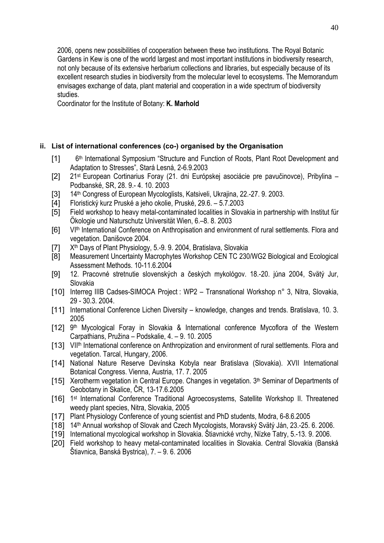2006, opens new possibilities of cooperation between these two institutions. The Royal Botanic Gardens in Kew is one of the world largest and most important institutions in biodiversity research, not only because of its extensive herbarium collections and libraries, but especially because of its excellent research studies in biodiversity from the molecular level to ecosystems. The Memorandum envisages exchange of data, plant material and cooperation in a wide spectrum of biodiversity studies.

Coordinator for the Institute of Botany: **K. Marhold** 

## **ii. List of international conferences (co-) organised by the Organisation**

- [1] 6<sup>th</sup> International Symposium "Structure and Function of Roots, Plant Root Development and Adaptation to Stresses", Stará Lesná, 2-6.9.2003
- [2] 21st European Cortinarius Foray (21. dni Európskej asociácie pre pavučinovce), Pribylina Podbanské, SR, 28. 9.- 4. 10. 2003
- [3] 14<sup>th</sup> Congress of European Mycologlists, Katsiveli, Ukrajina, 22.-27. 9. 2003.
- [4] Floristický kurz Pruské a jeho okolie, Pruské, 29.6. 5.7.2003
- [5] Field workshop to heavy metal-contaminated localities in Slovakia in partnership with Institut für Ökologie und Naturschutz Universität Wien, 6.–8. 8. 2003
- [6] VI<sup>th</sup> International Conference on Anthropisation and environment of rural settlements. Flora and vegetation. Danišovce 2004.
- [7] X<sup>th</sup> Days of Plant Physiology, 5.-9. 9. 2004, Bratislava, Slovakia
- [8] Measurement Uncertainty Macrophytes Workshop CEN TC 230/WG2 Biological and Ecological Assessment Methods. 10-11.6.2004
- [9] 12. Pracovné stretnutie slovenských a českých mykológov. 18.-20. júna 2004, Svätý Jur, Slovakia
- [10] Interreg IIIB Cadses-SIMOCA Project : WP2 Transnational Workshop n° 3, Nitra, Slovakia, 29 - 30.3. 2004.
- [11] International Conference Lichen Diversity knowledge, changes and trends. Bratislava, 10. 3. 2005
- [12] 9<sup>th</sup> Mycological Foray in Slovakia & International conference Mycoflora of the Western Carpathians, Pružina – Podskalie, 4. – 9. 10. 2005
- [13] VII<sup>th</sup> International conference on Anthropization and environment of rural settlements. Flora and vegetation. Tarcal, Hungary, 2006.
- [14] National Nature Reserve Devínska Kobyla near Bratislava (Slovakia). XVII International Botanical Congress. Vienna, Austria, 17. 7. 2005
- [15] Xerotherm vegetation in Central Europe. Changes in vegetation. 3<sup>th</sup> Seminar of Departments of Geobotany in Skalice, ČR, 13-17.6.2005
- [16] 1<sup>st</sup> International Conference Traditional Agroecosystems, Satellite Workshop II. Threatened weedy plant species, Nitra, Slovakia, 2005
- [17] Plant Physiology Conference of young scientist and PhD students, Modra, 6-8.6.2005
- [18] 14th Annual workshop of Slovak and Czech Mycologists, Moravský Svätý Ján, 23.-25. 6. 2006.
- [19] International mycological workshop in Slovakia. Štiavnické vrchy, Nízke Tatry, 5.-13. 9. 2006.
- [20] Field workshop to heavy metal-contaminated localities in Slovakia. Central Slovakia (Banská Štiavnica, Banská Bystrica), 7. – 9. 6. 2006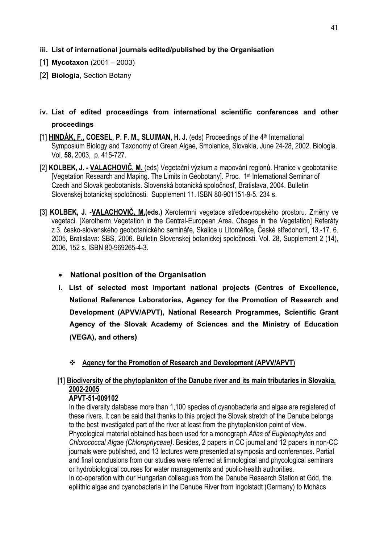- **iii. List of international journals edited/published by the Organisation**
- [1] **Mycotaxon** (2001 2003)
- [2] **Biologia**, Section Botany

# **iv. List of edited proceedings from international scientific conferences and other proceedings**

- [1] **HINDÁK, F., COESEL, P. F. M., SLUIMAN, H. J.** (eds) Proceedings of the 4th International Symposium Biology and Taxonomy of Green Algae, Smolenice, Slovakia, June 24-28, 2002. Biologia. Vol. **58,** 2003, p. 415-727.
- [2] **KOLBEK, J. VALACHOVIČ, M.** (eds) Vegetační výzkum a mapování regionů. Hranice v geobotanike [Vegetation Research and Maping. The Limits in Geobotany]. Proc. 1<sup>st</sup> International Seminar of Czech and Slovak geobotanists. Slovenská botanická spoločnosť, Bratislava, 2004. Bulletin Slovenskej botanickej spoločnosti. Supplement 11. ISBN 80-901151-9-5. 234 s.
- [3] **KOLBEK, J. -VALACHOVIČ, M.(eds.)** Xerotermní vegetace středoevropského prostoru. Změny ve vegetaci. [Xerotherm Vegetation in the Central-European Area. Chages in the Vegetation] Referáty z 3. česko-slovenského geobotanického semináře, Skalice u Litoměřice, České středohorií, 13.-17. 6. 2005, Bratislava: SBS, 2006. Bulletin Slovenskej botanickej spoločnosti. Vol. 28, Supplement 2 (14), 2006, 152 s. ISBN 80-969265-4-3.

## • **National position of the Organisation**

- **i. List of selected most important national projects (Centres of Excellence, National Reference Laboratories, Agency for the Promotion of Research and Development (APVV/APVT), National Research Programmes, Scientific Grant Agency of the Slovak Academy of Sciences and the Ministry of Education (VEGA), and others)**
	- **Agency for the Promotion of Research and Development (APVV/APVT)**

# **[1] Biodiversity of the phytoplankton of the Danube river and its main tributaries in Slovakia, 2002-2005**

## **APVT-51-009102**

In the diversity database more than 1,100 species of cyanobacteria and algae are registered of these rivers. It can be said that thanks to this project the Slovak stretch of the Danube belongs to the best investigated part of the river at least from the phytoplankton point of view. Phycological material obtained has been used for a monograph *Atlas of Euglenophytes* and *Chlorococcal Algae (Chlorophyceae)*. Besides, 2 papers in CC journal and 12 papers in non-CC journals were published, and 13 lectures were presented at symposia and conferences. Partial and final conclusions from our studies were referred at limnological and phycological seminars or hydrobiological courses for water managements and public-health authorities. In co-operation with our Hungarian colleagues from the Danube Research Station at Göd, the epilithic algae and cyanobacteria in the Danube River from Ingolstadt (Germany) to Mohács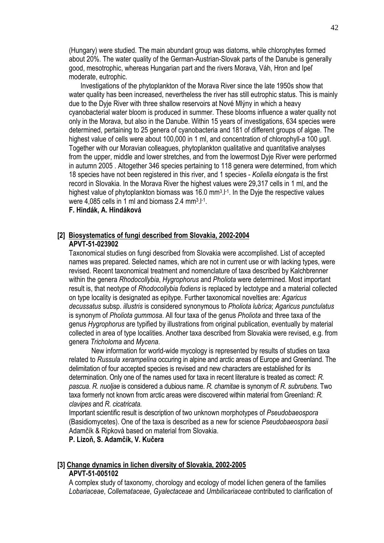(Hungary) were studied. The main abundant group was diatoms, while chlorophytes formed about 20%. The water quality of the German-Austrian-Slovak parts of the Danube is generally good, mesotrophic, whereas Hungarian part and the rivers Morava, Váh, Hron and Ipeľ moderate, eutrophic.

 Investigations of the phytoplankton of the Morava River since the late 1950s show that water quality has been increased, nevertheless the river has still eutrophic status. This is mainly due to the Dyje River with three shallow reservoirs at Nové Mlýny in which a heavy cyanobacterial water bloom is produced in summer. These blooms influence a water quality not only in the Morava, but also in the Danube. Within 15 years of investigations, 634 species were determined, pertaining to 25 genera of cyanobacteria and 181 of different groups of algae. The highest value of cells were about 100,000 in 1 ml, and concentration of chlorophyll-*a* 100 µg/l. Together with our Moravian colleagues, phytoplankton qualitative and quantitative analyses from the upper, middle and lower stretches, and from the lowermost Dyje River were performed in autumn 2005 . Altogether 346 species pertaining to 118 genera were determined, from which 18 species have not been registered in this river, and 1 species - *Koliella elongata* is the first record in Slovakia. In the Morava River the highest values were 29,317 cells in 1 ml, and the highest value of phytoplankton biomass was 16.0 mm<sup>3</sup>.<sup>[-1</sup>]. In the Dyje the respective values were 4,085 cells in 1 ml and biomass 2.4 mm3.l-1.

#### **F. Hindák, A. Hindáková**

#### **[2] Biosystematics of fungi described from Slovakia, 2002-2004 APVT-51-023902**

Taxonomical studies on fungi described from Slovakia were accomplished. List of accepted names was prepared. Selected names, which are not in current use or with lacking types, were revised. Recent taxonomical treatment and nomenclature of taxa described by Kalchbrenner within the genera *Rhodocollybia*, *Hygrophorus* and *Pholiota* were determined. Most important result is, that neotype of *Rhodocollybia fodiens* is replaced by lectotype and a material collected on type locality is designated as epitype. Further taxonomical novelties are: *Agaricus decussatus* subsp. *illustris* is considered synonymous to *Pholiota lubrica*; *Agaricus punctulatus* is synonym of *Pholiota gummosa*. All four taxa of the genus *Pholiota* and three taxa of the genus *Hygrophorus* are typified by illustrations from original publication, eventually by material collected in area of type localities. Another taxa described from Slovakia were revised, e.g. from genera *Tricholoma* and *Mycena*.

 New information for world-wide mycology is represented by results of studies on taxa related to *Russula xerampelina* occuring in alpine and arctic areas of Europe and Greenland. The delimitation of four accepted species is revised and new characters are established for its determination. Only one of the names used for taxa in recent literature is treated as correct: *R. pascua*. *R. nuoljae* is considered a dubious name. *R. chamitae* is synonym of *R. subrubens*. Two taxa formerly not known from arctic areas were discovered within material from Greenland: *R. clavipes* and *R. cicatricata*.

Important scientific result is description of two unknown morphotypes of *Pseudobaeospora* (Basidiomycetes). One of the taxa is described as a new for science *Pseudobaeospora basii* Adamčík & Ripková based on material from Slovakia.

#### **P. Lizoň, S. Adamčík, V. Kučera**

#### **[3] Change dynamics in lichen diversity of Slovakia, 2002-2005 APVT-51-005102**

A complex study of taxonomy, chorology and ecology of model lichen genera of the families *Lobariaceae*, *Collemataceae*, *Gyalectaceae* and *Umbilicariaceae* contributed to clarification of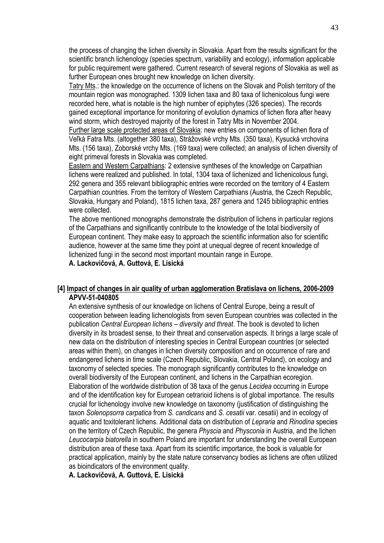the process of changing the lichen diversity in Slovakia. Apart from the results significant for the scientific branch lichenology (species spectrum, variability and ecology), information applicable for public requirement were gathered. Current research of several regions of Slovakia as well as further European ones brought new knowledge on lichen diversity.

Tatry Mts.: the knowledge on the occurrence of lichens on the Slovak and Polish territory of the mountain region was monographed. 1309 lichen taxa and 80 taxa of lichenicolous fungi were recorded here, what is notable is the high number of epiphytes (326 species). The records gained exceptional importance for monitoring of evolution dynamics of lichen flora after heavy wind storm, which destroyed majority of the forest in Tatry Mts in November 2004.

Further large scale protected areas of Slovakia: new entries on components of lichen flora of Veľká Fatra Mts. (altogether 380 taxa), Strážovské vrchy Mts. (350 taxa), Kysucká vrchovina Mts. (156 taxa), Zoborské vrchy Mts. (169 taxa) were collected; an analysis of lichen diversity of eight primeval forests in Slovakia was completed.

Eastern and Western Carpathians: 2 extensive syntheses of the knowledge on Carpathian lichens were realized and published. In total, 1304 taxa of lichenized and lichenicolous fungi, 292 genera and 355 relevant bibliographic entries were recorded on the territory of 4 Eastern Carpathian countries. From the territory of Western Carpathians (Austria, the Czech Republic, Slovakia, Hungary and Poland), 1815 lichen taxa, 287 genera and 1245 bibliographic entries were collected.

The above mentioned monographs demonstrate the distribution of lichens in particular regions of the Carpathians and significantly contribute to the knowledge of the total biodiversity of European continent. They make easy to approach the scientific information also for scientific audience, however at the same time they point at unequal degree of recent knowledge of lichenized fungi in the second most important mountain range in Europe.

**A. Lackovičová, A. Guttová, E. Lisická** 

#### **[4] Impact of changes in air quality of urban agglomeration Bratislava on lichens, 2006-2009 APVV-51-040805**

An extensive synthesis of our knowledge on lichens of Central Europe, being a result of cooperation between leading lichenologists from seven European countries was collected in the publication *Central European lichens – diversity and threat*. The book is devoted to lichen diversity in its broadest sense, to their threat and conservation aspects. It brings a large scale of new data on the distribution of interesting species in Central European countries (or selected areas within them), on changes in lichen diversity composition and on occurrence of rare and endangered lichens in time scale (Czech Republic, Slovakia, Central Poland), on ecology and taxonomy of selected species. The monograph significantly contributes to the knowledge on overall biodiversity of the European continent, and lichens in the Carpathian ecoregion. Elaboration of the worldwide distribution of 38 taxa of the genus *Lecidea* occurring in Europe and of the identification key for European cetrarioid lichens is of global importance. The results crucial for lichenology involve new knowledge on taxonomy (justification of distinguishing the taxon *Solenopsorra carpatica* from *S. candicans* and *S. cesatii* var. cesatii) and in ecology of aquatic and toxitolerant lichens. Additional data on distribution of *Lepraria* and *Rinodina* species on the territory of Czech Republic, the genera *Physcia* and *Physconia* in Austria, and the lichen *Leucocarpia biatorella* in southern Poland are important for understanding the overall European distribution area of these taxa. Apart from its scientific importance, the book is valuable for practical application, mainly by the state nature conservancy bodies as lichens are often utilized as bioindicators of the environment quality.

**A. Lackovičová, A. Guttová, E. Lisická**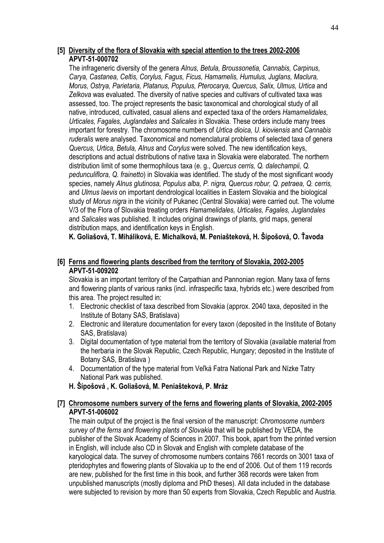## **[5] Diversity of the flora of Slovakia with special attention to the trees 2002-2006 APVT-51-000702**

The infrageneric diversity of the genera *Alnus, Betula, Broussonetia, Cannabis, Carpinus, Carya, Castanea, Celtis, Corylus, Fagus, Ficus, Hamamelis, Humulus, Juglans, Maclura, Morus, Ostrya, Parietaria, Platanus, Populus, Pterocarya, Quercus, Salix, Ulmus, Urtica* and *Zelkova* was evaluated. The diversity of native species and cultivars of cultivated taxa was assessed, too. The project represents the basic taxonomical and chorological study of all native, introduced, cultivated, casual aliens and expected taxa of the orders *Hamamelidales, Urticales, Fagales, Juglandales* and *Salicales* in Slovakia. These orders include many trees important for forestry. The chromosome numbers of *Urtica dioica, U. kioviensis* and *Cannabis ruderalis* were analysed. Taxonomical and nomenclatural problems of selected taxa of genera *Quercus, Urtica, Betula, Alnus* and *Corylus* were solved. The new identification keys, descriptions and actual distributions of native taxa in Slovakia were elaborated. The northern distribution limit of some thermophilous taxa (e. g., *Quercus cerris, Q. dalechampii, Q. pedunculiflora, Q. frainetto*) in Slovakia was identified. The study of the most significant woody species, namely *Alnus glutinosa, Populus alba, P. nigra, Quercus robur, Q. petraea, Q. cerris,*  and *Ulmus laevis* on important dendrological localities in Eastern Slovakia and the biological study of *Morus nigra* in the vicinity of Pukanec (Central Slovakia) were carried out. The volume V/3 of the Flora of Slovakia treating orders *Hamamelidales, Urticales, Fagales, Juglandales*  and *Salicales* was published. It includes original drawings of plants, grid maps, general distribution maps, and identification keys in English.

**K. Goliašová, T. Miháliková, E. Michalková, M. Peniašteková, H. Šípošová, O. Ťavoda** 

## **[6] Ferns and flowering plants described from the territory of Slovakia, 2002-2005 APVT-51-009202**

Slovakia is an important territory of the Carpathian and Pannonian region. Many taxa of ferns and flowering plants of various ranks (incl. infraspecific taxa, hybrids etc.) were described from this area. The project resulted in:

- 1. Electronic checklist of taxa described from Slovakia (approx. 2040 taxa, deposited in the Institute of Botany SAS, Bratislava)
- 2. Electronic and literature documentation for every taxon (deposited in the Institute of Botany SAS, Bratislava)
- 3. Digital documentation of type material from the territory of Slovakia (available material from the herbaria in the Slovak Republic, Czech Republic, Hungary; deposited in the Institute of Botany SAS, Bratislava )
- 4. Documentation of the type material from Veľká Fatra National Park and Nízke Tatry National Park was published.
- **H. Šípošová , K. Goliašová, M. Peniašteková, P. Mráz**

## **[7] Chromosome numbers survery of the ferns and flowering plants of Slovakia, 2002-2005 APVT-51-006002**

The main output of the project is the final version of the manuscript: *Chromosome numbers survey of the ferns and flowering plants of Slovakia* that will be published by VEDA, the publisher of the Slovak Academy of Sciences in 2007. This book, apart from the printed version in English, will include also CD in Slovak and English with complete database of the karyological data. The survey of chromosome numbers contains 7661 records on 3001 taxa of pteridophytes and flowering plants of Slovakia up to the end of 2006. Out of them 119 records are new, published for the first time in this book, and further 368 records were taken from unpublished manuscripts (mostly diploma and PhD theses). All data included in the database were subjected to revision by more than 50 experts from Slovakia, Czech Republic and Austria.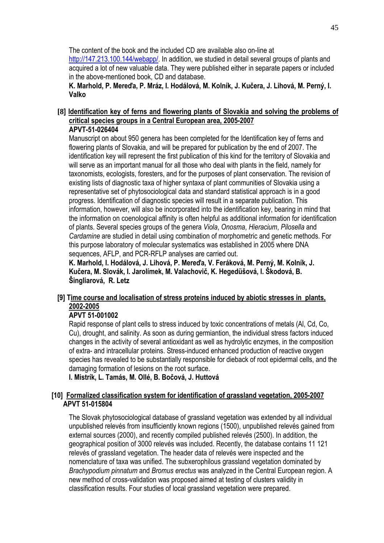The content of the book and the included CD are available also on-line at http://147.213.100.144/webapp/. In addition, we studied in detail several groups of plants and acquired a lot of new valuable data. They were published either in separate papers or included in the above-mentioned book, CD and database.

**K. Marhold, P. Mereďa, P. Mráz, I. Hodálová, M. Kolník, J. Kučera, J. Lihová, M. Perný, I. Valko** 

#### **[8] Identification key of ferns and flowering plants of Slovakia and solving the problems of critical species groups in a Central European area, 2005-2007 APVT-51-026404**

Manuscript on about 950 genera has been completed for the Identification key of ferns and flowering plants of Slovakia, and will be prepared for publication by the end of 2007. The identification key will represent the first publication of this kind for the territory of Slovakia and will serve as an important manual for all those who deal with plants in the field, namely for taxonomists, ecologists, foresters, and for the purposes of plant conservation. The revision of existing lists of diagnostic taxa of higher syntaxa of plant communities of Slovakia using a representative set of phytosociological data and standard statistical approach is in a good progress. Identification of diagnostic species will result in a separate publication. This information, however, will also be incorporated into the identification key, bearing in mind that the information on coenological affinity is often helpful as additional information for identification of plants. Several species groups of the genera *Viola*, *Onosma*, *Hieracium*, *Pilosella* and *Cardamine* are studied in detail using combination of morphometric and genetic methods. For this purpose laboratory of molecular systematics was established in 2005 where DNA sequences, AFLP, and PCR-RFLP analyses are carried out.

**K. Marhold, I. Hodálová, J. Lihová, P. Mereďa, V. Feráková, M. Perný, M. Kolník, J. Kučera, M. Slovák, I. Jarolímek, M. Valachovič, K. Hegedüšová, I. Škodová, B. Šingliarová, R. Letz** 

## **[9] Time course and localisation of stress proteins induced by abiotic stresses in plants, 2002-2005**

## **APVT 51-001002**

Rapid response of plant cells to stress induced by toxic concentrations of metals (Al, Cd, Co, Cu), drought, and salinity. As soon as during germiantion, the individual stress factors induced changes in the activity of several antioxidant as well as hydrolytic enzymes, in the composition of extra- and intracellular proteins. Stress-induced enhanced production of reactive oxygen species has revealed to be substantially responsible for dieback of root epidermal cells, and the damaging formation of lesions on the root surface.

**I. Mistrík, L. Tamás, M. Ollé, B. Bočová, J. Huttová** 

## **[10] Formalized classification system for identification of grassland vegetation, 2005-2007 APVT 51-015804**

The Slovak phytosociological database of grassland vegetation was extended by all individual unpublished relevés from insufficiently known regions (1500), unpublished relevés gained from external sources (2000), and recently compiled published relevés (2500). In addition, the geographical position of 3000 relevés was included. Recently, the database contains 11 121 relevés of grassland vegetation. The header data of relevés were inspected and the nomenclature of taxa was unified. The subxerophilous grassland vegetation dominated by *Brachypodium pinnatum* and *Bromus erectus* was analyzed in the Central European region. A new method of cross-validation was proposed aimed at testing of clusters validity in classification results. Four studies of local grassland vegetation were prepared.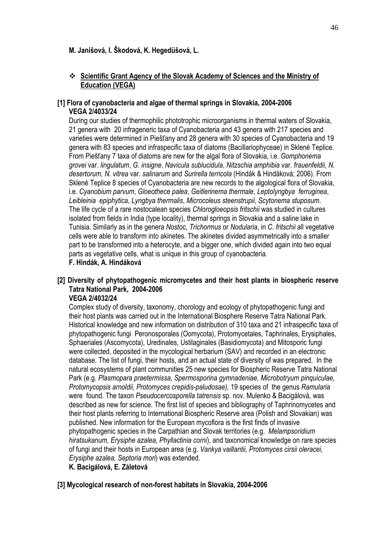## **M. Janišová, I. Škodová, K. Hegedüšová, L.**

## **Scientific Grant Agency of the Slovak Academy of Sciences and the Ministry of Education (VEGA)**

## **[1] Flora of cyanobacteria and algae of thermal springs in Slovakia, 2004-2006 VEGA 2/4033/24**

During our studies of thermophilic phototrophic microorganisms in thermal waters of Slovakia, 21 genera with 20 infrageneric taxa of Cyanobacteria and 43 genera with 217 species and varieties were determined in Piešťany and 28 genera with 30 species of Cyanobacteria and 19 genera with 83 species and infraspecific taxa of diatoms (Bacillariophyceae) in Sklené Teplice. From Piešťany 7 taxa of diatoms are new for the algal flora of Slovakia, i.e. *Gomphonema grovei* var. *lingulatum*, *G. insigne*, *Navicula sublucidula*, *Nitzschia amphibia* var. *frauenfeldii*, *N. desertorum, N. vitrea* var. *salinarum* and *Surirella terricola* (Hindák & Hindáková; 2006)*.* From Sklené Teplice 8 species of Cyanobacteria are new records to the algological flora of Slovakia, i.e. *Cyanobium parvum*, *Gloeothece palea*, *Geitlerinema thermale*, *Leptolyngbya ferruginea*, *Leibleinia epiphytica*, *Lyngbya thermalis*, *Microcoleus steenstrupii*, *Scytonema stuposum*. The life cycle of a rare nostocalean species *Chlorogloeopsis fritschii* was studied in cultures isolated from fields in India (type locality), thermal springs in Slovakia and a saline lake in Tunisia. Similarly as in the genera *Nostoc, Trichormus* or *Nodularia*, in *C. fritschii* all vegetative cells were able to transform into akinetes. The akinetes divided asymmetrically into a smaller part to be transformed into a heterocyte, and a bigger one, which divided again into two equal parts as vegetative cells, what is unique in this group of cyanobacteria.

## **F. Hindák, A. Hindáková**

#### **[2] Diversity of phytopathogenic micromycetes and their host plants in biospheric reserve Tatra National Park, 2004-2006 VEGA 2/4032/24**

Complex study of diversity, taxonomy, chorology and ecology of phytopathogenic fungi and their host plants was carried out in the International Biosphere Reserve Tatra National Park. Historical knowledge and new information on distribution of 310 taxa and 21 infraspecific taxa of phytopathogenic fungi Peronosporales (Oomycota), Protomycetales, Taphrinales, Erysiphales, Sphaeriales (Ascomycota), Uredinales, Ustilaginales (Basidiomycota) and Mitosporic fungi were collected, deposited in the mycological herbarium (SAV) and recorded in an electronic database. The list of fungi, their hosts, and an actual state of diversity of was prepared. In the natural ecosystems of plant communities 25 new species for Biospheric Reserve Tatra National Park (e.g. *Plasmopara praetermissa, Spermosporina gymnadeniae, Microbotryum pinquiculae, Protomycopsis arnoldii, Protomyces crepidis-paludosae),* 19 species of the genus *Ramularia* were found. The taxon *Pseudocercosporella tatrensis* sp. nov. Mulenko & Bacigálová, was described as new for science. The first list of species and bibliography of Taphrinomycetes and their host plants referring to International Biospheric Reserve area (Polish and Slovakian) was published. New information for the European mycoflora is the first finds of invasive phytopathogenic species in the Carpathian and Slovak territories (e.g. *Melampsoridium hiratsukanum, Erysiphe azalea, Phyllactinia corni*), and taxonomical knowledge on rare species of fungi and their hosts in European area (e.g. *Vankya vaillantii, Protomyces cirsii oleracei*, *Erysiphe azalea, Septoria mori*) was extended.

## **K. Bacigálová, E. Záletová**

#### **[3] Mycological research of non-forest habitats in Slovakia, 2004-2006**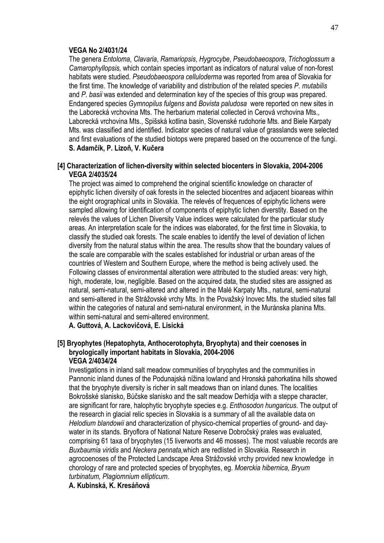#### **VEGA No 2/4031/24**

The genera *Entoloma*, *Clavaria*, *Ramariopsis*, *Hygrocybe*, *Pseudobaeospora*, *Trichoglossum* a *Camarophyllopsis,* which contain species important as indicators of natural value of non-forest habitats were studied. *Pseudobaeospora celluloderma* was reported from area of Slovakia for the first time. The knowledge of variability and distribution of the related species *P. mutabilis* and *P. basii* was extended and determination key of the species of this group was prepared. Endangered species *Gymnopilus fulgens* and *Bovista paludosa* were reported on new sites in the Laborecká vrchovina Mts. The herbarium material collected in Cerová vrchovina Mts., Laborecká vrchovina Mts., Spišská kotlina basin, Slovenské rudohorie Mts. and Biele Karpaty Mts. was classified and identified. Indicator species of natural value of grasslands were selected and first evaluations of the studied biotops were prepared based on the occurrence of the fungi. **S. Adamčík, P. Lizoň, V. Kučera** 

### **[4] Characterization of lichen-diversity within selected biocenters in Slovakia, 2004-2006 VEGA 2/4035/24**

The project was aimed to comprehend the original scientific knowledge on character of epiphytic lichen diversity of oak forests in the selected biocentres and adjacent bioareas within the eight orographical units in Slovakia. The relevés of frequences of epiphytic lichens were sampled allowing for identification of components of epiphytic lichen diverstity. Based on the relevés the values of Lichen Diversity Value indices were calculated for the particular study areas. An interpretation scale for the indices was elaborated, for the first time in Slovakia, to classify the studied oak forests. The scale enables to identify the level of deviation of lichen diversity from the natural status within the area. The results show that the boundary values of the scale are comparable with the scales established for industrial or urban areas of the countries of Western and Southern Europe, where the method is being actively used. the Following classes of environmental alteration were attributed to the studied areas: very high, high, moderate, low, negligible. Based on the acquired data, the studied sites are assigned as natural, semi-natural, semi-altered and altered in the Malé Karpaty Mts., natural, semi-natural and semi-altered in the Strážovské vrchy Mts. In the Považský Inovec Mts. the studied sites fall within the categories of natural and semi-natural environment, in the Muránska planina Mts. within semi-natural and semi-altered environment.

**A. Guttová, A. Lackovičová, E. Lisická** 

#### **[5] Bryophytes (Hepatophyta, Anthocerotophyta, Bryophyta) and their coenoses in bryologically important habitats in Slovakia, 2004-2006 VEGA 2/4034/24**

Investigations in inland salt meadow communities of bryophytes and the communities in Pannonic inland dunes of the Podunajská nížina lowland and Hronská pahorkatina hills showed that the bryophyte diversity is richer in salt meadows than on inland dunes. The localities Bokrošské slanisko, Búčske slanisko and the salt meadow Derhídja with a steppe character, are significant for rare, halophytic bryophyte species e.g. *Enthosodon hungaricus*. The output of the research in glacial relic species in Slovakia is a summary of all the available data on *Helodium blandowii* and characterization of physico-chemical properties of ground- and daywater in its stands. Bryoflora of National Nature Reserve Dobročský prales was evaluated, comprising 61 taxa of bryophytes (15 liverworts and 46 mosses). The most valuable records are *Buxbaumia viridis* and *Neckera pennata,*which are redlisted in Slovakia. Research in agrocoenoses of the Protected Landscape Area Strážovské vrchy provided new knowledge in chorology of rare and protected species of bryophytes, eg. *Moerckia hibernica, Bryum turbinatum, Plagiomnium ellipticum*.

**A. Kubinská, K. Kresáňová**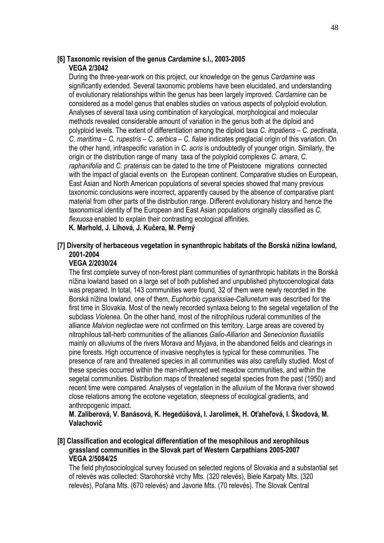#### **[6] Taxonomic revision of the genus** *Cardamine* **s.l., 2003-2005 VEGA 2/3042**

During the three-year-work on this project, our knowledge on the genus *Cardamine* was significantly extended. Several taxonomic problems have been elucidated, and understanding of evolutionary relationships within the genus has been largely improved. *Cardamine* can be considered as a model genus that enables studies on various aspects of polyploid evolution. Analyses of several taxa using combination of karyological, morphological and molecular methods revealed considerable amount of variation in the genus both at the diploid and polyploid levels. The extent of differentiation among the diploid taxa *C. impatiens* – *C. pectinata*, *C. maritima* – *C. rupestris* – *C. serbica* – *C. fialae* indicates preglacial origin of this variation. On the other hand, infraspecific variation in *C. acris* is undoubtedly of younger origin. Similarly, the origin or the distribution range of many taxa of the polyploid complexes *C. amara*, *C. raphanifolia* and *C. pratensis* can be dated to the time of Pleistocene migrations connected with the impact of glacial events on the European continent. Comparative studies on European, East Asian and North American populations of several species showed that many previous taxonomic conclusions were incorrect, apparently caused by the absence of comparative plant material from other parts of the distribution range. Different evolutionary history and hence the taxonomical identity of the European and East Asian populations originally classified as *C. flexuosa* enabled to explain their contrasting ecological affinities.

**K. Marhold, J. Lihová, J. Kučera, M. Perný** 

## **[7] Diversity of herbaceous vegetation in synanthropic habitats of the Borská nížina lowland, 2001-2004**

#### **VEGA 2/2030/24**

The first complete survey of non-forest plant communities of synanthropic habitats in the Borská nížina lowland based on a large set of both published and unpublished phytocoenological data was prepared. In total, 143 communities were found, 32 of them were newly recorded in the Borská nížina lowland, one of them, *Euphorbio cyparissiae-Callunetum* was described for the first time in Slovakia. Most of the newly recorded syntaxa belong to the segetal vegetation of the subclass *Violenea*. On the other hand, most of the nitrophilous ruderal communities of the alliance *Malvion neglectae* were not confirmed on this territory. Large areas are covered by nitrophilous tall-herb communities of the alliances *Galio-Alliarion* and *Senecionion fluviatilis* mainly on alluviums of the rivers Morava and Myjava, in the abandoned fields and clearings in pine forests. High occurrence of invasive neophytes is typical for these communities. The presence of rare and threatened species in all communities was also carefully studied. Most of these species occurred within the man-influenced wet meadow communities, and within the segetal communities. Distribution maps of threatened segetal species from the past (1950) and recent time were compared. Analyses of vegetation in the alluvium of the Morava river showed close relations among the ecotone vegetation, steepness of ecological gradients, and anthropogenic impact.

**M. Zaliberová, V. Banásová, K. Hegedüšová, I. Jarolímek, H. Oťaheľová, I. Škodová, M. Valachovič**

### **[8] Classification and ecological differentiation of the mesophilous and xerophilous grassland communities in the Slovak part of Western Carpathians 2005-2007 VEGA 2/5084/25**

The field phytosociological survey focused on selected regions of Slovakia and a substantial set of relevés was collected: Starohorské vrchy Mts. (320 relevés), Biele Karpaty Mts. (320 relevés), Poľana Mts. (670 relevés) and Javorie Mts. (70 relevés). The Slovak Central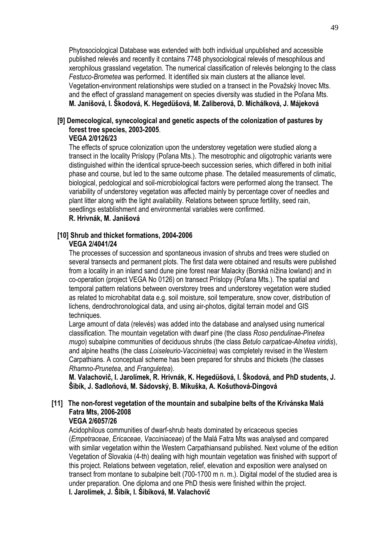Phytosociological Database was extended with both individual unpublished and accessible published relevés and recently it contains 7748 physociological relevés of mesophilous and xerophilous grassland vegetation. The numerical classification of relevés belonging to the class *Festuco-Brometea* was performed. It identified six main clusters at the alliance level. Vegetation-environment relationships were studied on a transect in the Považský Inovec Mts. and the effect of grassland management on species diversity was studied in the Poľana Mts. **M. Janišová, I. Škodová, K. Hegedüšová, M. Zaliberová, D. Michálková, J. Májeková** 

## **[9] Demecological, synecological and genetic aspects of the colonization of pastures by forest tree species, 2003-2005**.

## **VEGA 2/0126/23**

The effects of spruce colonization upon the understorey vegetation were studied along a transect in the locality Príslopy (Poľana Mts.). The mesotrophic and oligotrophic variants were distinguished within the identical spruce-beech succession series, which differed in both initial phase and course, but led to the same outcome phase. The detailed measurements of climatic, biological, pedological and soil-microbiological factors were performed along the transect. The variability of understorey vegetation was affected mainly by percentage cover of needles and plant litter along with the light availability. Relations between spruce fertility, seed rain, seedlings establishment and environmental variables were confirmed.

**R. Hrivnák, M. Janišová** 

#### **[10] Shrub and thicket formations, 2004-2006 VEGA 2/4041/24**

The processes of succession and spontaneous invasion of shrubs and trees were studied on several transects and permanent plots. The first data were obtained and results were published from a locality in an inland sand dune pine forest near Malacky (Borská nížina lowland) and in co-operation (project VEGA No 0126) on transect Príslopy (Poľana Mts.). The spatial and temporal pattern relations between overstorey trees and understorey vegetation were studied as related to microhabitat data e.g. soil moisture, soil temperature, snow cover, distribution of lichens, dendrochronological data, and using air-photos, digital terrain model and GIS techniques.

Large amount of data (relevés) was added into the database and analysed using numerical classification. The mountain vegetation with dwarf pine (the class *Roso pendulinae-Pinetea mugo*) subalpine communities of deciduous shrubs (the class *Betulo carpaticae-Alnetea viridis*), and alpine heaths (the class *Loiseleurio-Vaccinietea*) was completely revised in the Western Carpathians. A conceptual scheme has been prepared for shrubs and thickets (the classes *Rhamno-Prunetea*, and *Franguletea*).

**M. Valachovič, I. Jarolímek, R. Hrivnák, K. Hegedüšová, I. Škodová, and PhD students, J. Šibík, J. Sadloňová, M. Sádovský, B. Mikuška, A. Košuthová-Dingová** 

# **[11] The non-forest vegetation of the mountain and subalpine belts of the Krivánska Malá Fatra Mts, 2006-2008**

#### **VEGA 2/6057/26**

Acidophilous communities of dwarf-shrub heats dominated by ericaceous species (*Empetraceae*, *Ericaceae*, *Vacciniaceae*) of the Malá Fatra Mts was analysed and compared with similar vegetation within the Western Carpathiansand published. Next volume of the edition Vegetation of Slovakia (4-th) dealing with high mountain vegetation was finished with support of this project. Relations between vegetation, relief, elevation and exposition were analysed on transect from montane to subalpine belt (700-1700 m n. m.). Digital model of the studied area is under preparation. One diploma and one PhD thesis were finished within the project. **I. Jarolímek, J. Šibík, I. Šibíková, M. Valachovič**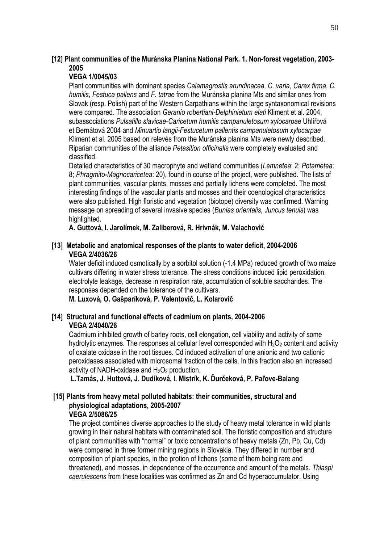## **[12] Plant communities of the Muránska Planina National Park. 1. Non-forest vegetation, 2003- 2005**

## **VEGA 1/0045/03**

Plant communities with dominant species *Calamagrostis arundinacea*, *C. varia*, *Carex firma*, *C. humilis*, *Festuca pallens* and *F. tatrae* from the Muránska planina Mts and similar ones from Slovak (resp. Polish) part of the Western Carpathians within the large syntaxonomical revisions were compared. The association *Geranio robertiani-Delphinietum elati* Kliment et al. 2004, subassociations *Pulsatillo slavicae-Caricetum humilis campanuletosum xylocarpae* Uhlířová et Bernátová 2004 and *Minuartio langii-Festucetum pallentis campanuletosum xylocarpae* Kliment et al. 2005 based on relevés from the Muránska planina Mts were newly described. Riparian communities of the alliance *Petasition officinalis* were completely evaluated and classified.

Detailed characteristics of 30 macrophyte and wetland communities (*Lemnetea*: 2; *Potametea*: 8; *Phragmito-Magnocaricetea*: 20), found in course of the project, were published. The lists of plant communities, vascular plants, mosses and partially lichens were completed. The most interesting findings of the vascular plants and mosses and their coenological characteristics were also published. High floristic and vegetation (biotope) diversity was confirmed. Warning message on spreading of several invasive species (*Bunias orientalis, Juncus tenuis*) was highlighted.

**A. Guttová, I. Jarolímek, M. Zaliberová, R. Hrivnák, M. Valachovič**

## **[13] Metabolic and anatomical responses of the plants to water deficit, 2004-2006 VEGA 2/4036/26**

Water deficit induced osmotically by a sorbitol solution (-1.4 MPa) reduced growth of two maize cultivars differing in water stress tolerance. The stress conditions induced lipid peroxidation, electrolyte leakage, decrease in respiration rate, accumulation of soluble saccharides. The responses depended on the tolerance of the cultivars.

**M. Luxová, O. Gašparíková, P. Valentovič, L. Kolarovič** 

## **[14] Structural and functional effects of cadmium on plants, 2004-2006 VEGA 2/4040/26**

Cadmium inhibited growth of barley roots, cell elongation, cell viability and activity of some hydrolytic enzymes. The responses at cellular level corresponded with  $H_2O_2$  content and activity of oxalate oxidase in the root tissues. Cd induced activation of one anionic and two cationic peroxidases associated with microsomal fraction of the cells. In this fraction also an increased activity of NADH-oxidase and  $H_2O_2$  production.

**L.Tamás, J. Huttová, J. Dudíková, I. Mistrík, K. Ďurčeková, P. Paľove-Balang** 

#### **[15] Plants from heavy metal polluted habitats: their communities, structural and physiological adaptations, 2005-2007 VEGA 2/5086/25**

The project combines diverse approaches to the study of heavy metal tolerance in wild plants growing in their natural habitats with contaminated soil. The floristic composition and structure of plant communities with "normal" or toxic concentrations of heavy metals (Zn, Pb, Cu, Cd) were compared in three former mining regions in Slovakia. They differed in number and composition of plant species, in the protion of lichens (some of them being rare and threatened), and mosses, in dependence of the occurrence and amount of the metals. *Thlaspi caerulescens* from these localities was confirmed as Zn and Cd hyperaccumulator. Using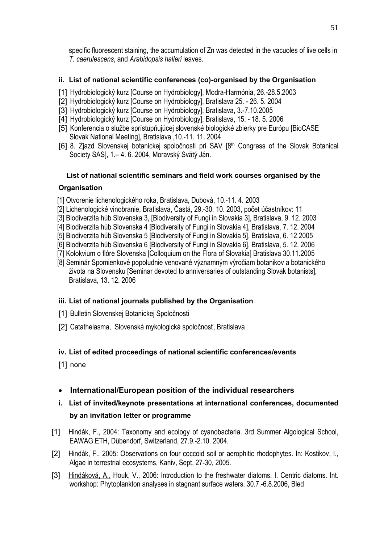specific fluorescent staining, the accumulation of Zn was detected in the vacuoles of live cells in *T. caerulescens*, and *Arabidopsis halleri* leaves.

## **ii. List of national scientific conferences (co)-organised by the Organisation**

- [1] Hydrobiologický kurz [Course on Hydrobiology], Modra-Harmónia, 26.-28.5.2003
- [2] Hydrobiologický kurz [Course on Hydrobiology], Bratislava 25. 26. 5. 2004
- [3] Hydrobiologický kurz [Course on Hydrobiology], Bratislava, 3.-7.10.2005
- [4] Hydrobiologický kurz [Course on Hydrobiology], Bratislava, 15. 18. 5. 2006
- [5] Konferencia o službe sprístupňujúcej slovenské biologické zbierky pre Európu [BioCASE Slovak National Meeting], Bratislava ,10.-11. 11. 2004
- [6] 8. Zjazd Slovenskej botanickej spoločnosti pri SAV [8th Congress of the Slovak Botanical Society SAS], 1.– 4. 6. 2004, Moravský Svätý Ján.

# **List of national scientific seminars and field work courses organised by the**

## **Organisation**

- [1] Otvorenie lichenologického roka, Bratislava, Dubová, 10.-11. 4. 2003
- [2] Lichenologické vinobranie, Bratislava, Častá, 29.-30. 10. 2003, počet účastníkov: 11
- [3] Biodiverzita húb Slovenska 3, [Biodiversity of Fungi in Slovakia 3], Bratislava, 9. 12. 2003
- [4] Biodiverzita húb Slovenska 4 [Biodiversity of Fungi in Slovakia 4], Bratislava, 7. 12. 2004
- [5] Biodiverzita húb Slovenska 5 [Biodiversity of Fungi in Slovakia 5], Bratislava, 6. 12 2005
- [6] Biodiverzita húb Slovenska 6 [Biodiversity of Fungi in Slovakia 6], Bratislava, 5. 12. 2006
- [7] Kolokvium o flóre Slovenska [Colloquium on the Flora of Slovakia] Bratislava 30.11.2005
- [8] Seminár Spomienkové popoludnie venované významným výročiam botanikov a botanického života na Slovensku [Seminar devoted to anniversaries of outstanding Slovak botanists], Bratislava, 13. 12. 2006

# **iii. List of national journals published by the Organisation**

- [1] Bulletin Slovenskej Botanickej Spoločnosti
- [2] Catathelasma, Slovenská mykologická spoločnosť, Bratislava

# **iv. List of edited proceedings of national scientific conferences/events**

[1] none

• **International/European position of the individual researchers** 

# **i. List of invited/keynote presentations at international conferences, documented by an invitation letter or programme**

- [1] Hindák, F., 2004: Taxonomy and ecology of cyanobacteria. 3rd Summer Algological School, EAWAG ETH, Dübendorf, Switzerland, 27.9.-2.10. 2004.
- [2] Hindák, F., 2005: Observations on four coccoid soil or aerophitic rhodophytes. In: Kostikov, I., Algae in terrestrial ecosystems, Kaniv, Sept. 27-30, 2005.
- [3] Hindáková, A., Houk, V., 2006: Introduction to the freshwater diatoms. I. Centric diatoms. Int. workshop: Phytoplankton analyses in stagnant surface waters. 30.7.-6.8.2006, Bled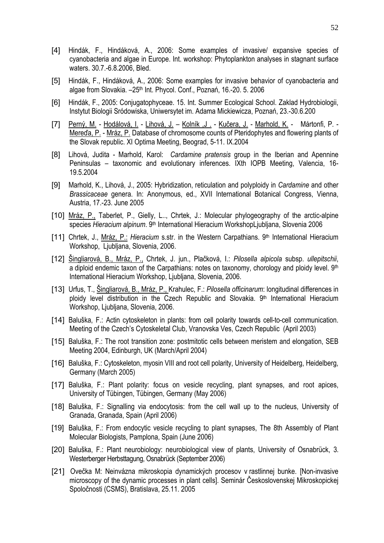- [4] Hindák, F., Hindáková, A., 2006: Some examples of invasive/ expansive species of cyanobacteria and algae in Europe. Int. workshop: Phytoplankton analyses in stagnant surface waters. 30.7.-6.8.2006, Bled.
- [5] Hindák, F., Hindáková, A., 2006: Some examples for invasive behavior of cyanobacteria and algae from Slovakia. -25<sup>th</sup> Int. Phycol. Conf., Poznań, 16.-20. 5. 2006
- [6] Hindák, F., 2005: Conjugatophyceae. 15. Int. Summer Ecological School. Zaklad Hydrobiologii, Instytut Biologii Sródowiska, Uniwersytet im. Adama Mickiewicza, Poznań, 23.-30.6.200
- [7] Perný, M. Hodálová, I. Lihová, J. Kolník ,J . Kučera, J. Marhold, K. Mártonfi, P. Mereďa, P. - Mráz, P. Database of chromosome counts of Pteridophytes and flowering plants of the Slovak republic. XI Optima Meeting, Beograd, 5-11. IX.2004
- [8] Lihová, Judita Marhold, Karol:*Cardamine pratensis* group in the Iberian and Apennine Peninsulas – taxonomic and evolutionary inferences. IXth IOPB Meeting, Valencia, 16- 19.5.2004
- [9] Marhold, K., Lihová, J., 2005: Hybridization, reticulation and polyploidy in *Cardamine* and other *Brassicaceae* genera. In: Anonymous, ed., XVII International Botanical Congress, Vienna, Austria, 17.-23. June 2005
- [10] Mráz, P., Taberlet, P., Gielly, L.., Chrtek, J.: Molecular phylogeography of the arctic-alpine species *Hieracium alpinum*. 9th International Hieracium WorkshopLjubljana, Slovenia 2006
- [11] Chrtek, J., Mráz, P.: *Hieracium* s.str. in the Western Carpathians. 9th International Hieracium Workshop, Ljubljana, Slovenia, 2006.
- [12] Šingliarová, B., Mráz, P., Chrtek, J. jun., Plačková, I.: *Pilosella alpicola* subsp. *ullepitschii*, a diploid endemic taxon of the Carpathians: notes on taxonomy, chorology and ploidy level. 9th International Hieracium Workshop, Ljubljana, Slovenia, 2006.
- [13] Urfus, T., Šingliarová, B., Mráz, P., Krahulec, F.: *Pilosella officinarum*: longitudinal differences in ploidy level distribution in the Czech Republic and Slovakia.  $9<sup>th</sup>$  International Hieracium Workshop, Ljubljana, Slovenia, 2006.
- [14] Baluška, F.: Actin cytoskeleton in plants: from cell polarity towards cell-to-cell communication. Meeting of the Czech's Cytoskeletal Club, Vranovska Ves, Czech Republic (April 2003)
- [15] Baluška, F.: The root transition zone: postmitotic cells between meristem and elongation, SEB Meeting 2004, Edinburgh, UK (March/April 2004)
- [16] Baluška, F.: Cytoskeleton, myosin VIII and root cell polarity, University of Heidelberg, Heidelberg, Germany (March 2005)
- [17] Baluška, F.: Plant polarity: focus on vesicle recycling, plant synapses, and root apices, University of Tübingen, Tübingen, Germany (May 2006)
- [18] Baluška, F.: Signalling via endocytosis: from the cell wall up to the nucleus, University of Granada, Granada, Spain (April 2006)
- [19] Baluška, F.: From endocytic vesicle recycling to plant synapses, The 8th Assembly of Plant Molecular Biologists, Pamplona, Spain (June 2006)
- [20] Baluška, F.: Plant neurobiology: neurobiological view of plants, University of Osnabrück, 3. Westerberger Herbsttagung, Osnabrück (September 2006)
- [21] Ovečka M: Neinvázna mikroskopia dynamických procesov v rastlinnej bunke. [Non-invasive microscopy of the dynamic processes in plant cells]. Seminár Československej Mikroskopickej Spoločnosti (CSMS), Bratislava, 25.11. 2005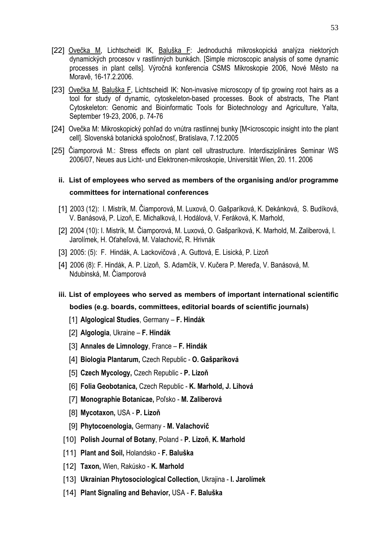- [22] Ovečka M, Lichtscheidl IK, Baluška F: Jednoduchá mikroskopická analýza niektorých dynamických procesov v rastlinných bunkách. [Simple microscopic analysis of some dynamic processes in plant cells]. Výročná konferencia CSMS Mikroskopie 2006, Nové Město na Moravě, 16-17.2.2006.
- [23] Ovečka M, Baluška F, Lichtscheidl IK: Non-invasive microscopy of tip growing root hairs as a tool for study of dynamic, cytoskeleton-based processes. Book of abstracts, The Plant Cytoskeleton: Genomic and Bioinformatic Tools for Biotechnology and Agriculture, Yalta, September 19-23, 2006, p. 74-76
- [24] Ovečka M: Mikroskopický pohľad do vnútra rastlinnej bunky [M<icroscopic insight into the plant cell]. Slovenská botanická spoločnosť, Bratislava, 7.12.2005
- [25] Čiamporová M.: Stress effects on plant cell ultrastructure. Interdisziplinäres Seminar WS 2006/07, Neues aus Licht- und Elektronen-mikroskopie, Universität Wien, 20. 11. 2006

# **ii. List of employees who served as members of the organising and/or programme committees for international conferences**

- [1] 2003 (12): I. Mistrík, M. Čiamporová, M. Luxová, O. Gašparíková, K. Dekánková, S. Budíková, V. Banásová, P. Lizoň, E. Michalková, I. Hodálová, V. Feráková, K. Marhold,
- [2] 2004 (10): I. Mistrík, M. Čiamporová, M. Luxová, O. Gašparíková, K. Marhold, M. Zaliberová, I. Jarolímek, H. Oťaheľová, M. Valachovič, R. Hrivnák
- [3] 2005: (5): F. Hindák, A. Lackovičová , A. Guttová, E. Lisická, P. Lizoň
- [4] 2006 (8): F. Hindák, A. P. Lizoň, S. Adamčík, V. Kučera P. Mereďa, V. Banásová, M. Ndubinská, M. Čiamporová
- **iii. List of employees who served as members of important international scientific bodies (e.g. boards, committees, editorial boards of scientific journals)** 
	- [1] **Algological Studies**, Germany **F. Hindák**
	- [2] **Algologia**, Ukraine **F. Hindák**
	- [3] **Annales de Limnology**, France **F. Hindák**
	- [4] **Biologia Plantarum,** Czech Republic **O. Gašparíková**
	- [5] **Czech Mycology,** Czech Republic **P. Lizoň**
	- [6] **Folia Geobotanica,** Czech Republic **K. Marhold, J. Lihová**
	- [7] **Monographie Botanicae,** Poľsko **M. Zaliberová**
	- [8] **Mycotaxon,** USA **P. Lizoň**
	- [9] **Phytocoenologia,** Germany - **M. Valachovič**
	- [10] **Polish Journal of Botany**, Poland **P. Lizoň**, **K. Marhold**
	- [11] **Plant and Soil,** Holandsko **F. Baluška**
	- [12] **Taxon,** Wien, Rakúsko **K. Marhold**
	- [13] **Ukrainian Phytosociological Collection,** Ukrajina **I. Jarolímek**
- [14] **Plant Signaling and Behavior,** USA - **F. Baluška**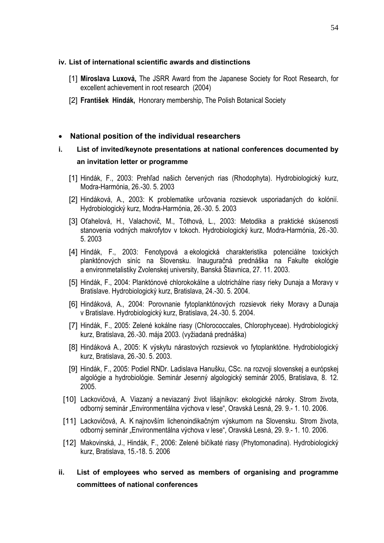#### **iv. List of international scientific awards and distinctions**

- [1] **Miroslava Luxová,** The JSRR Award from the Japanese Society for Root Research, for excellent achievement in root research (2004)
- [2] **František Hindák,** Honorary membership, The Polish Botanical Society

#### • **National position of the individual researchers**

# **i. List of invited/keynote presentations at national conferences documented by an invitation letter or programme**

- [1] Hindák, F., 2003: Prehľad našich červených rias (Rhodophyta). Hydrobiologický kurz, Modra-Harmónia, 26.-30. 5. 2003
- [2] Hindáková, A., 2003: K problematike určovania rozsievok usporiadaných do kolónií. Hydrobiologický kurz, Modra-Harmónia, 26.-30. 5. 2003
- [3] Oťahelová, H., Valachovič, M., Tóthová, L., 2003: Metodika a praktické skúsenosti stanovenia vodných makrofytov v tokoch. Hydrobiologický kurz, Modra-Harmónia, 26.-30. 5. 2003
- [4] Hindák, F., 2003: Fenotypová a ekologická charakteristika potenciálne toxických planktónových siníc na Slovensku. Inauguračná prednáška na Fakulte ekológie a environmetalistiky Zvolenskej university, Banská Štiavnica, 27. 11. 2003.
- [5] Hindák, F., 2004: Planktónové chlorokokálne a ulotrichálne riasy rieky Dunaja a Moravy v Bratislave. Hydrobiologický kurz, Bratislava, 24.-30. 5. 2004.
- [6] Hindáková, A., 2004: Porovnanie fytoplanktónových rozsievok rieky Moravy a Dunaja v Bratislave. Hydrobiologický kurz, Bratislava, 24.-30. 5. 2004.
- [7] Hindák, F., 2005: Zelené kokálne riasy (Chlorococcales, Chlorophyceae). Hydrobiologický kurz, Bratislava, 26.-30. mája 2003. (vyžiadaná prednáška)
- [8] Hindáková A., 2005: K výskytu nárastových rozsievok vo fytoplanktóne. Hydrobiologický kurz, Bratislava, 26.-30. 5. 2003.
- [9] Hindák, F., 2005: Podiel RNDr. Ladislava Hanušku, CSc. na rozvoji slovenskej a európskej algológie a hydrobiológie. Seminár Jesenný algologický seminár 2005, Bratislava, 8. 12. 2005.
- [10] Lackovičová, A. Viazaný a neviazaný život lišajníkov: ekologické nároky. Strom života, odborný seminár "Environmentálna výchova v lese", Oravská Lesná, 29. 9.- 1. 10. 2006.
- [11] Lackovičová, A. K najnovším lichenoindikačným výskumom na Slovensku. Strom života, odborný seminár "Environmentálna výchova v lese", Oravská Lesná, 29. 9.- 1. 10. 2006.
- [12] Makovinská, J., Hindák, F., 2006: Zelené bičíkaté riasy (Phytomonadina). Hydrobiologický kurz, Bratislava, 15.-18. 5. 2006

## **ii. List of employees who served as members of organising and programme committees of national conferences**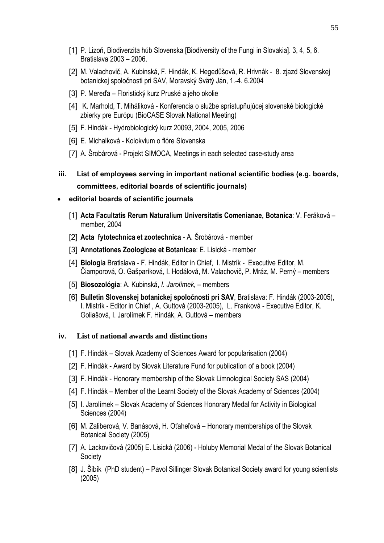- [1] P. Lizoň, Biodiverzita húb Slovenska [Biodiversity of the Fungi in Slovakia]. 3, 4, 5, 6. Bratislava 2003 – 2006.
- [2] M. Valachovič, A. Kubinská, F. Hindák, K. Hegedüšová, R. Hrivnák 8. zjazd Slovenskej botanickej spoločnosti pri SAV, Moravský Svätý Ján, 1.-4. 6.2004
- [3] P. Mereďa Floristický kurz Pruské a jeho okolie
- [4] K. Marhold, T. Miháliková Konferencia o službe sprístupňujúcej slovenské biologické zbierky pre Európu (BioCASE Slovak National Meeting)
- [5] F. Hindák Hydrobiologický kurz 20093, 2004, 2005, 2006
- [6] E. Michalková Kolokvium o flóre Slovenska
- [7] A. Šrobárová Projekt SIMOCA, Meetings in each selected case-study area
- **iii. List of employees serving in important national scientific bodies (e.g. boards, committees, editorial boards of scientific journals)**
- **editorial boards of scientific journals**
	- [1] **Acta Facultatis Rerum Naturalium Universitatis Comenianae, Botanica**: V. Feráková member, 2004
	- [2] **Acta fytotechnica et zootechnica** A. Šrobárová member
	- [3] **Annotationes Zoologicae et Botanicae**: E. Lisická member
	- [4] **Biologia** Bratislava F. Hindák, Editor in Chief, I. Mistrík Executive Editor, M. Čiamporová, O. Gašparíková, I. Hodálová, M. Valachovič, P. Mráz, M. Perný – members
	- [5] **Biosozológia**: A. Kubinská, *I. Jarolímek,*  members
	- [6] **Bulletin Slovenskej botanickej spoločnosti pri SAV**, Bratislava: F. Hindák (2003-2005), I. Mistrík - Editor in Chief , A. Guttová (2003-2005), L. Franková - Executive Editor, K. Goliašová, I. Jarolímek F. Hindák, A. Guttová – members

#### **iv. List of national awards and distinctions**

- [1] F. Hindák Slovak Academy of Sciences Award for popularisation (2004)
- [2] F. Hindák Award by Slovak Literature Fund for publication of a book (2004)
- [3] F. Hindák Honorary membership of the Slovak Limnological Society SAS (2004)
- [4] F. Hindák Member of the Learnt Society of the Slovak Academy of Sciences (2004)
- [5] I. Jarolímek Slovak Academy of Sciences Honorary Medal for Activity in Biological Sciences (2004)
- [6] M. Zaliberová, V. Banásová, H. Oťaheľová Honorary memberships of the Slovak Botanical Society (2005)
- [7] A. Lackovičová (2005) E. Lisická (2006) Holuby Memorial Medal of the Slovak Botanical **Society**
- [8] J. Šibík (PhD student) Pavol Sillinger Slovak Botanical Society award for young scientists (2005)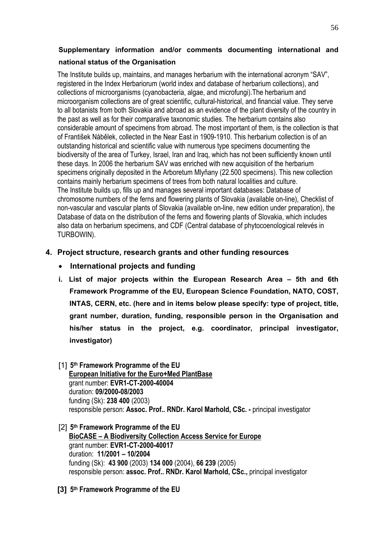# **Supplementary information and/or comments documenting international and**

## **national status of the Organisation**

The Institute builds up, maintains, and manages herbarium with the international acronym "SAV", registered in the Index Herbariorum (world index and database of herbarium collections), and collections of microorganisms (cyanobacteria, algae, and microfungi).The herbarium and microorganism collections are of great scientific, cultural-historical, and financial value. They serve to all botanists from both Slovakia and abroad as an evidence of the plant diversity of the country in the past as well as for their comparative taxonomic studies. The herbarium contains also considerable amount of specimens from abroad. The most important of them, is the collection is that of František Nábělek, collected in the Near East in 1909-1910. This herbarium collection is of an outstanding historical and scientific value with numerous type specimens documenting the biodiversity of the area of Turkey, Israel, Iran and Iraq, which has not been sufficiently known until these days. In 2006 the herbarium SAV was enriched with new acquisition of the herbarium specimens originally deposited in the Arboretum Mlyňany (22.500 specimens). This new collection contains mainly herbarium specimens of trees from both natural localities and culture. The Institute builds up, fills up and manages several important databases: Database of chromosome numbers of the ferns and flowering plants of Slovakia (available on-line), Checklist of non-vascular and vascular plants of Slovakia (available on-line, new edition under preparation), the Database of data on the distribution of the ferns and flowering plants of Slovakia, which includes also data on herbarium specimens, and CDF (Central database of phytocoenological relevés in TURBOWIN).

# **4. Project structure, research grants and other funding resources**

- **International projects and funding**
- **i. List of major projects within the European Research Area 5th and 6th Framework Programme of the EU, European Science Foundation, NATO, COST, INTAS, CERN, etc. (here and in items below please specify: type of project, title, grant number, duration, funding, responsible person in the Organisation and his/her status in the project, e.g. coordinator, principal investigator, investigator)**
- [1] **5th Framework Programme of the EU European Initiative for the Euro+Med PlantBase** grant number: **EVR1-CT-2000-40004**  duration: **09/2000-08/2003** funding (Sk): **238 400** (2003) responsible person: **Assoc. Prof.. RNDr. Karol Marhold, CSc. -** principal investigator
- [2] **5th Framework Programme of the EU BioCASE – A Biodiversity Collection Access Service for Europe**  grant number: **EVR1-CT-2000-40017** duration:**11/2001 – 10/2004** funding (Sk): **43 900** (2003) **134 000** (2004), **66 239** (2005) responsible person: **assoc. Prof.. RNDr. Karol Marhold, CSc.,** principal investigator
- **[3] 5th Framework Programme of the EU**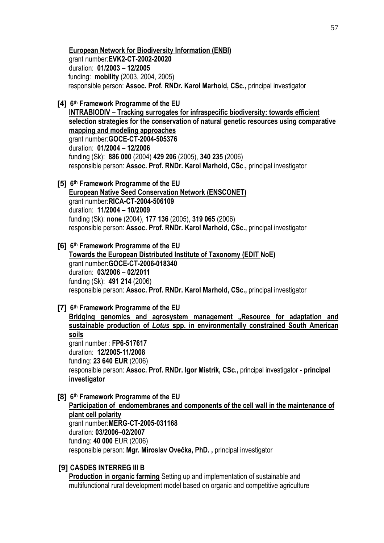**European Network for Biodiversity Information (ENBI)** grant number:**EVK2-CT-2002-20020**  duration: **01/2003 – 12/2005** funding: **mobility** (2003, 2004, 2005) responsible person: **Assoc. Prof. RNDr. Karol Marhold, CSc.,** principal investigator

**[4] 6th Framework Programme of the EU** 

**INTRABIODIV – Tracking surrogates for infraspecific biodiversity: towards efficient selection strategies for the conservation of natural genetic resources using comparative mapping and modeling approaches** grant number:**GOCE-CT-2004-505376** duration: **01/2004 – 12/2006** funding (Sk): **886 000** (2004) **429 206** (2005), **340 235** (2006) responsible person: **Assoc. Prof. RNDr. Karol Marhold, CSc**.**,** principal investigator

**[5] 6th Framework Programme of the EU** 

**European Native Seed Conservation Network (ENSCONET)**  grant number:**RICA-CT-2004-506109**  duration: **11/2004 – 10/2009** funding (Sk): **none** (2004), **177 136** (2005), **319 065** (2006) responsible person: **Assoc. Prof. RNDr. Karol Marhold, CSc.,** principal investigator

**[6] 6th Framework Programme of the EU Towards the European Distributed Institute of Taxonomy (EDIT NoE)**  grant number:**GOCE-CT-2006-018340** duration: **03/2006 – 02/2011** funding (Sk): **491 214** (2006) responsible person: **Assoc. Prof. RNDr. Karol Marhold, CSc.,** principal investigator

**[7] 6th Framework Programme of the EU** 

Bridging genomics and agrosystem management "Resource for adaptation and **sustainable production of** *Lotus* **spp. in environmentally constrained South American soils**  grant number *:* **FP6-517617** duration: **12/2005-11/2008**  funding: **23 640 EUR** (2006) responsible person: **Assoc. Prof. RNDr. Igor Mistrík, CSc.,** principal investigator **- principal investigator** 

**[8] 6th Framework Programme of the EU** 

**Participation of endomembranes and components of the cell wall in the maintenance of plant cell polarity** grant number:**MERG-CT-2005-031168**  duration: **03/2006–02/2007** funding: **40 000** EUR (2006) responsible person: **Mgr. Miroslav Ovečka, PhD. ,** principal investigator

#### **[9] CASDES INTERREG III B**

**Production in organic farming** Setting up and implementation of sustainable and multifunctional rural development model based on organic and competitive agriculture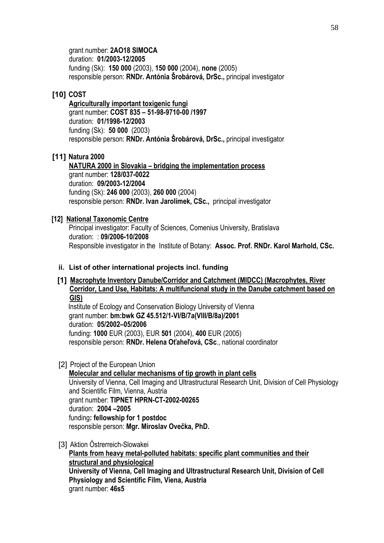grant number: **2AO18 SIMOCA**  duration: **01/2003-12/2005**  funding (Sk): **150 000** (2003), **150 000** (2004), **none** (2005) responsible person: **RNDr. Antónia Šrobárová, DrSc.,** principal investigator

## **[10] COST**

**Agriculturally important toxigenic fungi** grant number: **COST 835 – 51-98-9710-00 /1997**  duration: **01/1998-12/2003**  funding (Sk): **50 000** (2003) responsible person: **RNDr. Antónia Šrobárová, DrSc.,** principal investigator

#### **[11] Natura 2000**

**NATURA 2000 in Slovakia – bridging the implementation process** grant number: **128/037-0022**  duration: **09/2003-12/2004**  funding (Sk): **246 000** (2003), **260 000** (2004) responsible person: **RNDr. Ivan Jarolímek, CSc.,** principal investigator

#### **[12] National Taxonomic Centre**

Principal investigator: Faculty of Sciences, Comenius University, Bratislava duration:: **09/2006-10/2008** Responsible investigator in the Institute of Botany: **Assoc. Prof. RNDr. Karol Marhold, CSc.**

#### **ii. List of other international projects incl. funding**

## **[1] Macrophyte Inventory Danube/Corridor and Catchment (MIDCC) (Macrophytes, River Corridor, Land Use, Habitats: A multifuncional study in the Danube catchment based on GIS)**

Institute of Ecology and Conservation Biology University of Vienna grant number: **bm:bwk GZ 45.512/1-VI/B/7a(VIII/B/8a)/2001** duration: **05/2002–05/2006**  funding: **1000** EUR (2003), EUR **501** (2004), **400** EUR (2005) responsible person: **RNDr. Helena Oťaheľová, CSc**., national coordinator

[2] Project of the European Union

**Molecular and cellular mechanisms of tip growth in plant cells**  University of Vienna, Cell Imaging and Ultrastructural Research Unit, Division of Cell Physiology and Scientific Film, Vienna, Austria grant number: **TIPNET HPRN-CT-2002-00265**  duration: **2004 –2005**  funding**: fellowship for 1 postdoc**  responsible person: **Mgr. Miroslav Ovečka, PhD.** 

#### [3] Aktion Östrerreich-Slowakei

**Plants from heavy metal-polluted habitats: specific plant communities and their structural and physiological University of Vienna, Cell Imaging and Ultrastructural Research Unit, Division of Cell Physiology and Scientific Film, Viena, Austria**  grant number: **46s5**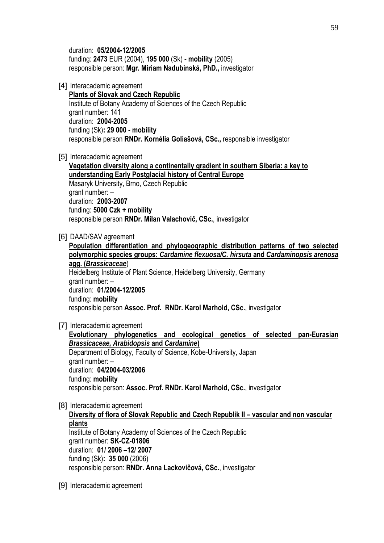duration: **05/2004-12/2005**  funding: **2473** EUR (2004), **195 000** (Sk) - **mobility** (2005) responsible person: **Mgr. Miriam Nadubinská, PhD.,** investigator

[4] Interacademic agreement

**Plants of Slovak and Czech Republic** Institute of Botany Academy of Sciences of the Czech Republic grant number: 141 duration: **2004-2005** funding (Sk)**: 29 000 - mobility**  responsible person **RNDr. Kornélia Goliašová, CSc.,** responsible investigator

[5] Interacademic agreement

**Vegetation diversity along a continentally gradient in southern Siberia: a key to understanding Early Postglacial history of Central Europe** Masaryk University, Brno, Czech Republic grant number: – duration: **2003-2007** funding: **5000 Czk + mobility** responsible person **RNDr. Milan Valachovič, CSc.**, investigator

[6] DAAD/SAV agreement

**Population differentiation and phylogeographic distribution patterns of two selected polymorphic species groups:** *Cardamine flexuosa/C. hirsuta* **and** *Cardaminopsis arenosa* **agg. (***Brassicaceae*) Heidelberg Institute of Plant Science, Heidelberg University, Germany grant number: – duration: **01/2004-12/2005** funding: **mobility** responsible person **Assoc. Prof. RNDr. Karol Marhold, CSc.**, investigator

[7] Interacademic agreement

**Evolutionary phylogenetics and ecological genetics of selected pan-Eurasian**  *Brassicaceae, Arabidopsis* **and** *Cardamine***)**  Department of Biology, Faculty of Science, Kobe-University, Japan grant number: – duration: **04/2004-03/2006**  funding: **mobility** responsible person: **Assoc. Prof. RNDr. Karol Marhold, CSc.**, investigator

[8] Interacademic agreement

**Diversity of flora of Slovak Republic and Czech Republik II – vascular and non vascular plants** Institute of Botany Academy of Sciences of the Czech Republic grant number: **SK-CZ-01806** duration: **01/ 2006 –12/ 2007** funding (Sk)**: 35 000** (2006) responsible person: **RNDr. Anna Lackovičová, CSc.**, investigator

[9] Interacademic agreement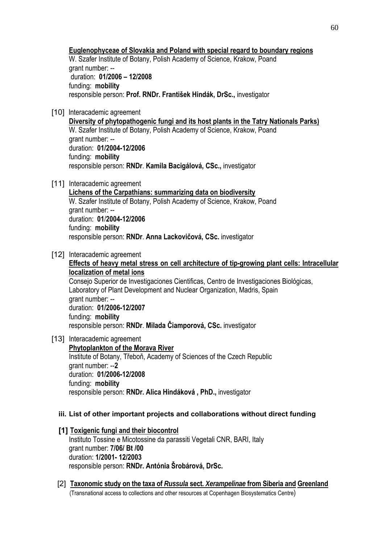**Euglenophyceae of Slovakia and Poland with special regard to boundary regions**  W. Szafer Institute of Botany, Polish Academy of Science, Krakow, Poand

grant number: - duration: **01/2006 – 12/2008**  funding: **mobility** responsible person: **Prof. RNDr. František Hindák, DrSc.,** investigator

[10] Interacademic agreement

**Diversity of phytopathogenic fungi and its host plants in the Tatry Nationals Parks)** W. Szafer Institute of Botany, Polish Academy of Science, Krakow, Poand grant number: - duration: **01/2004-12/2006**  funding: **mobility** responsible person: **RNDr**. **Kamila Bacigálová, CSc.,** investigator

[11] Interacademic agreement

**Lichens of the Carpathians: summarizing data on biodiversity** W. Szafer Institute of Botany, Polish Academy of Science, Krakow, Poand grant number: - duration: **01**/**2004-12/2006**  funding: **mobility** responsible person: **RNDr**. **Anna Lackovičová, CSc.** investigator

[12] Interacademic agreement

**Effects of heavy metal stress on cell architecture of tip-growing plant cells: Intracellular localization of metal ions** Consejo Superior de Investigaciones Cientificas, Centro de Investigaciones Biológicas, Laboratory of Plant Development and Nuclear Organization, Madris, Spain grant number: - duration: **01/2006-12/2007** funding: **mobility** responsible person: **RNDr**. **Milada Čiamporová, CSc.** investigator

[13] Interacademic agreement

**Phytoplankton of the Morava River** Institute of Botany, Třeboň, Academy of Sciences of the Czech Republic grant number: --**2** duration: **01/2006-12/2008** funding: **mobility** responsible person: **RNDr. Alica Hindáková , PhD.,** investigator

## **iii. List of other important projects and collaborations without direct funding**

**[1] Toxigenic fungi and their biocontrol**  Instituto Tossine e Micotossine da parassiti Vegetali CNR, BARI, Italy grant number: **7/06/ Bt /00** duration: **1/2001- 12/2003** responsible person: **RNDr. Antónia Šrobárová, DrSc.** 

[2] **Taxonomic study on the taxa of** *Russula* **sect.** *Xerampelinae* **from Siberia and Greenland** (Transnational access to collections and other resources at Copenhagen Biosystematics Centre)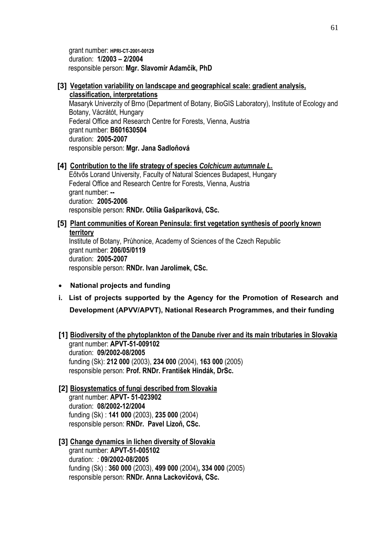grant number: **HPRI-CT-2001-00129** duration: **1/2003 – 2/2004** responsible person: **Mgr. Slavomír Adamčík, PhD** 

**[3] Vegetation variability on landscape and geographical scale: gradient analysis, classification, interpretations** 

Masaryk Univerzity of Brno (Department of Botany, BioGIS Laboratory), Institute of Ecology and Botany, Vácrátót, Hungary Federal Office and Research Centre for Forests, Vienna, Austria grant number: **B601630504**  duration: **2005-2007** responsible person: **Mgr. Jana Sadloňová** 

#### **[4] Contribution to the life strategy of species** *Colchicum autumnale L.*

Eőtvős Lorand University, Faculty of Natural Sciences Budapest, Hungary Federal Office and Research Centre for Forests, Vienna, Austria grant number: **-**  duration: **2005-2006** responsible person: **RNDr. Otília Gašparíková, CSc.** 

#### **[5] Plant communities of Korean Peninsula: first vegetation synthesis of poorly known territory**

Institute of Botany, Průhonice, Academy of Sciences of the Czech Republic grant number: **206/05/0119** duration: **2005-2007** responsible person: **RNDr. Ivan Jarolímek, CSc.** 

- **National projects and funding**
- **i. List of projects supported by the Agency for the Promotion of Research and Development (APVV/APVT), National Research Programmes, and their funding**
- **[1] Biodiversity of the phytoplankton of the Danube river and its main tributaries in Slovakia**  grant number: **APVT-51-009102** duration: **09/2002-08/2005** funding (Sk): **212 000** (2003), **234 000** (2004), **163 000** (2005) responsible person: **Prof. RNDr. František Hindák, DrSc.**
- **[2] Biosystematics of fungi described from Slovakia**  grant number: **APVT- 51-023902** duration: **08/2002-12/2004** funding (Sk) : **141 000** (2003), **235 000** (2004) responsible person: **RNDr. Pavel Lizoň, CSc.**
- **[3] Change dynamics in lichen diversity of Slovakia**  grant number: **APVT-51-005102**  duration: *:* **09/2002-08/2005**  funding (Sk) : **360 000** (2003), **499 000** (2004)**, 334 000** (2005) responsible person: **RNDr. Anna Lackovičová, CSc.**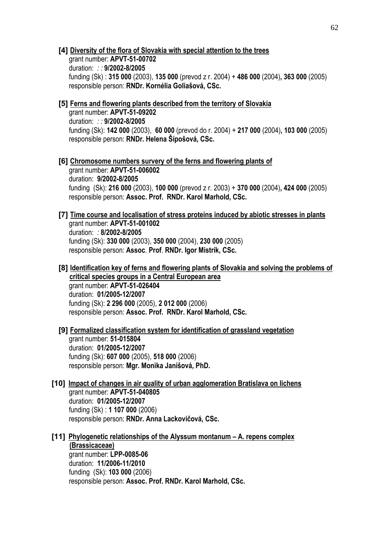#### **[4] Diversity of the flora of Slovakia with special attention to the trees**

grant number: **APVT-51-00702** duration: *: :* **9/2002-8/2005** funding (Sk) : **315 000** (2003), **135 000** (prevod z r. 2004) + **486 000** (2004)**, 363 000** (2005) responsible person: **RNDr. Kornélia Goliašová, CSc.** 

## **[5] Ferns and flowering plants described from the territory of Slovakia**

grant number: **APVT-51-09202** duration: *: :* **9/2002-8/2005** funding (Sk): **142 000** (2003), **60 000** (prevod do r. 2004) + **217 000** (2004)**, 103 000** (2005) responsible person: **RNDr. Helena Šípošová, CSc.**

**[6] Chromosome numbers survery of the ferns and flowering plants of** 

grant number: **APVT-51-006002** duration: **9/2002-8/2005** funding (Sk): **216 000** (2003), **100 000** (prevod z r. 2003) + **370 000** (2004)**, 424 000** (2005) responsible person: **Assoc. Prof. RNDr. Karol Marhold, CSc.** 

# **[7] Time course and localisation of stress proteins induced by abiotic stresses in plants**

grant number: **APVT-51-001002** duration: *:* **8/2002-8/2005**  funding (Sk): **330 000** (2003), **350 000** (2004), **230 000** (2005) responsible person: **Assoc***.* **Prof**. **RNDr. Igor Mistrík, CSc.** 

**[8] Identification key of ferns and flowering plants of Slovakia and solving the problems of critical species groups in a Central European area** grant number: **APVT-51-026404** duration: **01/2005-12/2007**  funding (Sk): **2 296 000** (2005), **2 012 000** (2006) responsible person: **Assoc. Prof. RNDr. Karol Marhold, CSc.** 

#### **[9] Formalized classification system for identification of grassland vegetation**  grant number: **51-015804**  duration: **01/2005-12/2007**  funding (Sk): **607 000** (2005), **518 000** (2006)

responsible person: **Mgr. Monika Janišová, PhD.** 

**[10] Impact of changes in air quality of urban agglomeration Bratislava on lichens**  grant number: **APVT-51-040805** duration: **01/2005-12/2007**  funding (Sk) : **1 107 000** (2006) responsible person: **RNDr. Anna Lackovičová, CSc.** 

# **[11] Phylogenetic relationships of the Alyssum montanum – A. repens complex (Brassicaceae)**

grant number: **LPP-0085-06** duration: **11/2006-11/2010**  funding (Sk): **103 000** (2006) responsible person: **Assoc. Prof. RNDr. Karol Marhold, CSc.**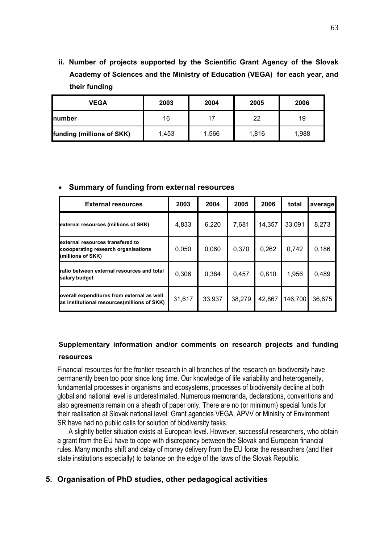**ii. Number of projects supported by the Scientific Grant Agency of the Slovak Academy of Sciences and the Ministry of Education (VEGA) for each year, and their funding** 

| <b>VEGA</b>               | 2003  | 2004 | 2005  | 2006  |
|---------------------------|-------|------|-------|-------|
| <b>Inumber</b>            | 16    | 17   | 22    | 19    |
| funding (millions of SKK) | 1,453 | ,566 | 1,816 | 1,988 |

#### • **Summary of funding from external resources**

| <b>External resources</b>                                                                    | 2003   | 2004   | 2005   | 2006   | total   | average |
|----------------------------------------------------------------------------------------------|--------|--------|--------|--------|---------|---------|
| external resources (millions of SKK)                                                         | 4,833  | 6,220  | 7,681  | 14,357 | 33,091  | 8,273   |
| external resources transfered to<br>coooperating research organisations<br>(millions of SKK) | 0,050  | 0,060  | 0,370  | 0,262  | 0,742   | 0,186   |
| ratio between external resources and total<br>salary budget                                  | 0,306  | 0,384  | 0,457  | 0,810  | 1,956   | 0,489   |
| overall expenditures from external as well<br>as institutional resources(millions of SKK)    | 31,617 | 33,937 | 38,279 | 42,867 | 146,700 | 36,675  |

## **Supplementary information and/or comments on research projects and funding resources**

Financial resources for the frontier research in all branches of the research on biodiversity have permanently been too poor since long time. Our knowledge of life variability and heterogeneity, fundamental processes in organisms and ecosystems, processes of biodiversity decline at both global and national level is underestimated. Numerous memoranda, declarations, conventions and also agreements remain on a sheath of paper only. There are no (or minimum) special funds for their realisation at Slovak national level: Grant agencies VEGA, APVV or Ministry of Environment SR have had no public calls for solution of biodiversity tasks.

A slightly better situation exists at European level. However, successful researchers, who obtain a grant from the EU have to cope with discrepancy between the Slovak and European financial rules. Many months shift and delay of money delivery from the EU force the researchers (and their state institutions especially) to balance on the edge of the laws of the Slovak Republic.

## **5. Organisation of PhD studies, other pedagogical activities**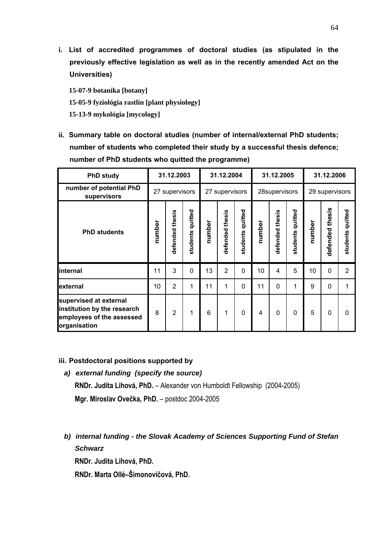**i. List of accredited programmes of doctoral studies (as stipulated in the previously effective legislation as well as in the recently amended Act on the Universities)**

**15-07-9 botanika [botany] 15-05-9 fyziológia rastlín [plant physiology] 15-13-9 mykológia [mycology]** 

**ii. Summary table on doctoral studies (number of internal/external PhD students; number of students who completed their study by a successful thesis defence; number of PhD students who quitted the programme)**

| <b>PhD study</b>                                                                                   |                                  | 31.12.2003         | 31.12.2004          |        | 31.12.2005      |                  | 31.12.2006 |                 |                     |        |                 |                     |
|----------------------------------------------------------------------------------------------------|----------------------------------|--------------------|---------------------|--------|-----------------|------------------|------------|-----------------|---------------------|--------|-----------------|---------------------|
| number of potential PhD<br>supervisors                                                             | 27 supervisors<br>27 supervisors |                    | 28supervisors       |        |                 | 29 supervisors   |            |                 |                     |        |                 |                     |
| <b>PhD students</b>                                                                                | number                           | thesis<br>defended | quitted<br>students | number | defended thesis | students quitted | number     | defended thesis | quitted<br>students | number | defended thesis | quitted<br>students |
| internal                                                                                           | 11                               | 3                  | $\Omega$            | 13     | $\overline{2}$  | $\Omega$         | 10         | 4               | 5                   | 10     | $\overline{0}$  | $\overline{2}$      |
| lexternal                                                                                          | 10                               | $\overline{2}$     | 1                   | 11     | 1               | $\mathbf 0$      | 11         | $\Omega$        | 1                   | 9      | 0               | 1                   |
| supervised at external<br>institution by the research<br>employees of the assessed<br>organisation | 8                                | $\overline{2}$     | 1                   | 6      | 1               | $\mathbf 0$      | 4          | $\Omega$        | $\mathbf 0$         | 5      | 0               | $\mathbf{0}$        |

#### **iii. Postdoctoral positions supported by**

- *a) external funding (specify the source)*  **RNDr. Judita Lihová, PhD.** – Alexander von Humboldt Fellowship (2004-2005) **Mgr. Miroslav Ovečka, PhD.** – postdoc 2004-2005
- *b) internal funding the Slovak Academy of Sciences Supporting Fund of Stefan Schwarz*

**RNDr. Judita Lihová, PhD.** 

**RNDr. Marta Ollé–Šimonovičová, PhD.**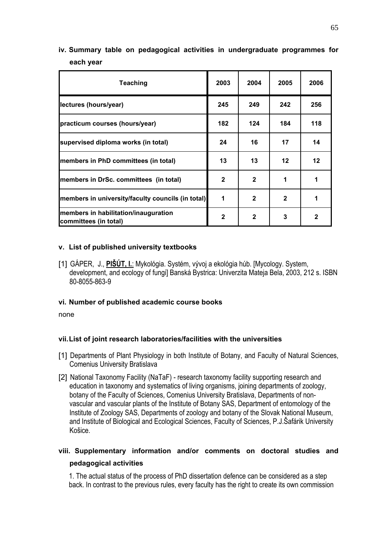# **iv. Summary table on pedagogical activities in undergraduate programmes for each year**

| Teaching                                                      | 2003         | 2004         | 2005         | 2006         |
|---------------------------------------------------------------|--------------|--------------|--------------|--------------|
| lectures (hours/year)                                         | 245          | 249          | 242          | 256          |
| practicum courses (hours/year)                                | 182          | 124          | 184          | 118          |
| supervised diploma works (in total)                           | 24           | 16           | 17           | 14           |
| members in PhD committees (in total)                          | 13           | 13           | 12           | 12           |
| members in DrSc. committees (in total)                        | $\mathbf{2}$ | $\mathbf{2}$ | 1            | 1            |
| members in university/faculty councils (in total)             | 1            | $\mathbf{2}$ | $\mathbf{2}$ |              |
| members in habilitation/inauguration<br>committees (in total) | $\mathbf{2}$ | $\mathbf{2}$ | 3            | $\mathbf{2}$ |

## **v. List of published university textbooks**

[1] GÁPER, J., **PIŠÚT, I.**: Mykológia. Systém, vývoj a ekológia húb. [Mycology. System, development, and ecology of fungi] Banská Bystrica: Univerzita Mateja Bela, 2003, 212 s. ISBN 80-8055-863-9

#### **vi. Number of published academic course books**

none

## **vii. List of joint research laboratories/facilities with the universities**

- [1] Departments of Plant Physiology in both Institute of Botany, and Faculty of Natural Sciences, Comenius University Bratislava
- [2] National Taxonomy Facility (NaTaF) research taxonomy facility supporting research and education in taxonomy and systematics of living organisms, joining departments of zoology, botany of the Faculty of Sciences, Comenius University Bratislava, Departments of nonvascular and vascular plants of the Institute of Botany SAS, Department of entomology of the Institute of Zoology SAS, Departments of zoology and botany of the Slovak National Museum, and Institute of Biological and Ecological Sciences, Faculty of Sciences, P.J.Šafárik University Košice.

# **viii. Supplementary information and/or comments on doctoral studies and pedagogical activities**

1. The actual status of the process of PhD dissertation defence can be considered as a step back. In contrast to the previous rules, every faculty has the right to create its own commission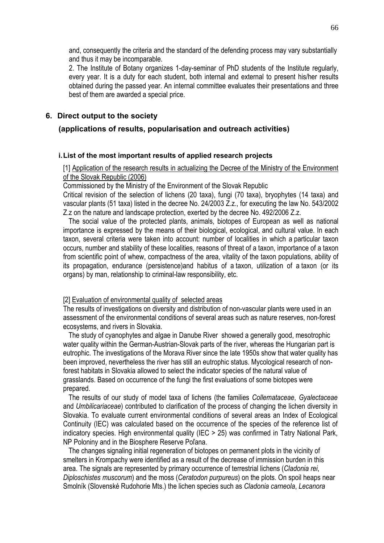and, consequently the criteria and the standard of the defending process may vary substantially and thus it may be incomparable.

2. The Institute of Botany organizes 1-day-seminar of PhD students of the Institute regularly, every year. It is a duty for each student, both internal and external to present his/her results obtained during the passed year. An internal committee evaluates their presentations and three best of them are awarded a special price.

## **6. Direct output to the society**

## **(applications of results, popularisation and outreach activities)**

#### **i. List of the most important results of applied research projects**

## [1] Application of the research results in actualizing the Decree of the Ministry of the Environment of the Slovak Republic (2006)

Commissioned by the Ministry of the Environment of the Slovak Republic

Critical revision of the selection of lichens (20 taxa), fungi (70 taxa), bryophytes (14 taxa) and vascular plants (51 taxa) listed in the decree No. 24/2003 Z.z., for executing the law No. 543/2002 Z.z on the nature and landscape protection, exerted by the decree No. 492/2006 Z.z.

 The social value of the protected plants, animals, biotopes of European as well as national importance is expressed by the means of their biological, ecological, and cultural value. In each taxon, several criteria were taken into account: number of localities in which a particular taxon occurs, number and stability of these localities, reasons of threat of a taxon, importance of a taxon from scientific point of whew, compactness of the area, vitality of the taxon populations, ability of its propagation, endurance (persistence)and habitus of a taxon, utilization of a taxon (or its organs) by man, relationship to criminal-law responsibility, etc.

#### [2] Evaluation of environmental quality of selected areas

The results of investigations on diversity and distribution of non-vascular plants were used in an assessment of the environmental conditions of several areas such as nature reserves, non-forest ecosystems, and rivers in Slovakia.

 The study of cyanophytes and algae in Danube River showed a generally good, mesotrophic water quality within the German-Austrian-Slovak parts of the river, whereas the Hungarian part is eutrophic. The investigations of the Morava River since the late 1950s show that water quality has been improved, nevertheless the river has still an eutrophic status. Mycological research of nonforest habitats in Slovakia allowed to select the indicator species of the natural value of grasslands. Based on occurrence of the fungi the first evaluations of some biotopes were prepared.

 The results of our study of model taxa of lichens (the families *Collemataceae*, *Gyalectaceae* and *Umbilicariaceae*) contributed to clarification of the process of changing the lichen diversity in Slovakia. To evaluate current environmental conditions of several areas an Index of Ecological Continuity (IEC) was calculated based on the occurrence of the species of the reference list of indicatory species. High environmental quality (IEC > 25) was confirmed in Tatry National Park, NP Poloniny and in the Biosphere Reserve Poľana.

 The changes signaling initial regeneration of biotopes on permanent plots in the vicinity of smelters in Krompachy were identified as a result of the decrease of immission burden in this area. The signals are represented by primary occurrence of terrestrial lichens (*Cladonia rei*, *Diploschistes muscorum*) and the moss (*Ceratodon purpureus*) on the plots. On spoil heaps near Smolník (Slovenské Rudohorie Mts.) the lichen species such as *Cladonia carneola*, *Lecanora*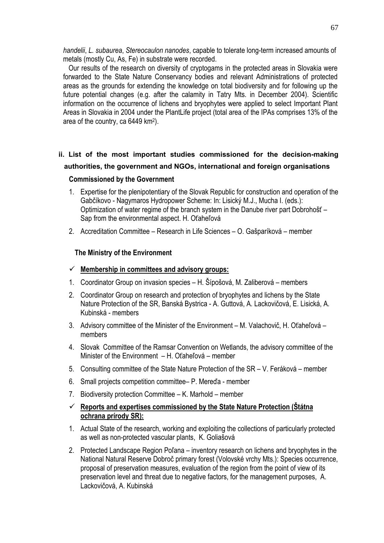*handelii*, *L. subaurea*, *Stereocaulon nanodes*, capable to tolerate long-term increased amounts of metals (mostly Cu, As, Fe) in substrate were recorded.

 Our results of the research on diversity of cryptogams in the protected areas in Slovakia were forwarded to the State Nature Conservancy bodies and relevant Administrations of protected areas as the grounds for extending the knowledge on total biodiversity and for following up the future potential changes (e.g. after the calamity in Tatry Mts. in December 2004). Scientific information on the occurrence of lichens and bryophytes were applied to select Important Plant Areas in Slovakia in 2004 under the PlantLife project (total area of the IPAs comprises 13% of the area of the country, ca 6449 km2).

# **ii. List of the most important studies commissioned for the decision-making authorities, the government and NGOs, international and foreign organisations**

#### **Commissioned by the Government**

- 1. Expertise for the plenipotentiary of the Slovak Republic for construction and operation of the Gabčíkovo - Nagymaros Hydropower Scheme: In: Lisický M.J., Mucha I. (eds.): Optimization of water regime of the branch system in the Danube river part Dobrohošť – Sap from the environmental aspect. H. Oťaheľová
- 2. Accreditation Committee Research in Life Sciences O. Gašparíková member

## **The Ministry of the Environment**

## 9 **Membership in committees and advisory groups:**

- 1. Coordinator Group on invasion species H. Šípošová, M. Zaliberová members
- 2. Coordinator Group on research and protection of bryophytes and lichens by the State Nature Protection of the SR, Banská Bystrica - A. Guttová, A. Lackovičová, E. Lisická, A. Kubinská - members
- 3. Advisory committee of the Minister of the Environment M. Valachovič, H. Oťaheľová members
- 4. Slovak Committee of the Ramsar Convention on Wetlands, the advisory committee of the Minister of the Environment – H. Oťaheľová – member
- 5. Consulting committee of the State Nature Protection of the SR V. Feráková member
- 6. Small projects competition committee– P. Mereďa member
- 7. Biodiversity protection Committee K. Marhold member
- 9 **Reports and expertises commissioned by the State Nature Protection (Štátna ochrana prírody SR):**
- 1. Actual State of the research, working and exploiting the collections of particularly protected as well as non-protected vascular plants, K. Goliašová
- 2. Protected Landscape Region Poľana inventory research on lichens and bryophytes in the National Natural Reserve Dobroč primary forest (Volovské vrchy Mts.): Species occurrence, proposal of preservation measures, evaluation of the region from the point of view of its preservation level and threat due to negative factors, for the management purposes, A. Lackovičová, A. Kubinská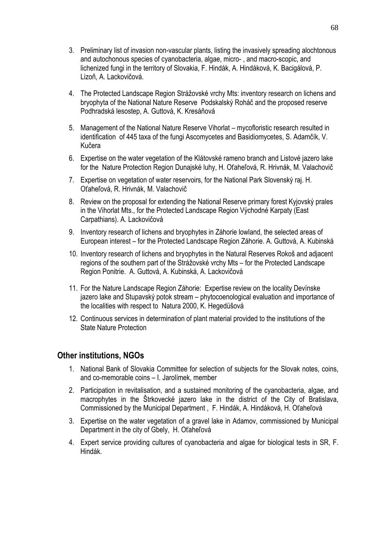- 3. Preliminary list of invasion non-vascular plants, listing the invasively spreading alochtonous and autochonous species of cyanobacteria, algae, micro- , and macro-scopic, and lichenized fungi in the territory of Slovakia, F. Hindák, A. Hindáková, K. Bacigálová, P. Lizoň, A. Lackovičová.
- 4. The Protected Landscape Region Strážovské vrchy Mts: inventory research on lichens and bryophyta of the National Nature Reserve Podskalský Roháč and the proposed reserve Podhradská lesostep, A. Guttová, K. Kresáňová
- 5. Management of the National Nature Reserve Vihorlat mycofloristic research resulted in identification of 445 taxa of the fungi Ascomycetes and Basidiomycetes, S. Adamčík, V. Kučera
- 6. Expertise on the water vegetation of the Klátovské rameno branch and Listové jazero lake for the Nature Protection Region Dunajské luhy, H. Oťaheľová, R. Hrivnák, M. Valachovič
- 7. Expertise on vegetation of water reservoirs, for the National Park Slovenský raj. H. Oťaheľová, R. Hrivnák, M. Valachovič
- 8. Review on the proposal for extending the National Reserve primary forest Kyjovský prales in the Vihorlat Mts., for the Protected Landscape Region Východné Karpaty (East Carpathians). A. Lackovičová
- 9. Inventory research of lichens and bryophytes in Záhorie lowland, the selected areas of European interest – for the Protected Landscape Region Záhorie. A. Guttová, A. Kubinská
- 10. Inventory research of lichens and bryophytes in the Natural Reserves Rokoš and adjacent regions of the southern part of the Strážovské vrchy Mts – for the Protected Landscape Region Ponitrie. A. Guttová, A. Kubinská, A. Lackovičová
- 11. For the Nature Landscape Region Záhorie: Expertise review on the locality Devínske jazero lake and Stupavský potok stream – phytocoenological evaluation and importance of the localities with respect to Natura 2000, K. Hegedüšová
- 12. Continuous services in determination of plant material provided to the institutions of the State Nature Protection

## **Other institutions, NGOs**

- 1. National Bank of Slovakia Committee for selection of subjects for the Slovak notes, coins, and co-memorable coins – I. Jarolímek, member
- 2. Participation in revitalisation, and a sustained monitoring of the cyanobacteria, algae, and macrophytes in the Štrkovecké jazero lake in the district of the City of Bratislava, Commissioned by the Municipal Department , F. Hindák, A. Hindáková, H. Oťaheľová
- 3. Expertise on the water vegetation of a gravel lake in Adamov, commissioned by Municipal Department in the city of Gbely, H. Oťaheľová
- 4. Expert service providing cultures of cyanobacteria and algae for biological tests in SR, F. Hindák.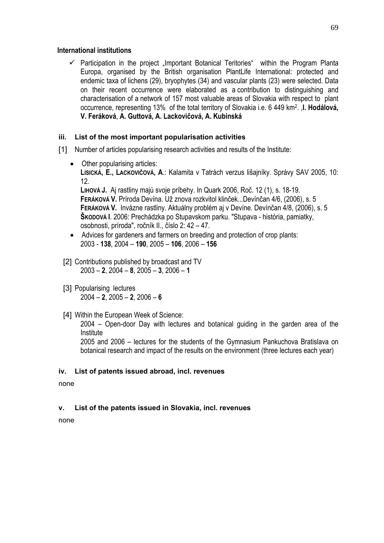#### **International institutions**

 $\checkmark$  Participation in the project ...Important Botanical Teritories" within the Program Planta Europa, organised by the British organisation PlantLife International: protected and endemic taxa of lichens (29), bryophytes (34) and vascular plants (23) were selected. Data on their recent occurrence were elaborated as a contribution to distinguishing and characterisation of a network of 157 most valuable areas of Slovakia with respect to plant occurrence, representing 13% of the total territory of Slovakia i.e. 6 449 km2. ,**I. Hodálová, V. Feráková**, **A. Guttová, A. Lackovičová, A. Kubinská**

#### **iii. List of the most important popularisation activities**

- [1] Number of articles popularising research activities and results of the Institute:
	- Other popularising articles: **LISICKÁ, E., LACKOVIČOVÁ, A**.: Kalamita v Tatrách verzus lišajníky. Správy SAV 2005, 10: 12. **LIHOVÁ J.** Aj rastliny majú svoje príbehy. In Quark 2006, Roč. 12 (1), s. 18-19. **FERÁKOVÁ V.** Príroda Devína. Už znova rozkvitol klinček...Devínčan 4/6, (2006), s. 5 **FERÁKOVÁ V.** Invázne rastliny. Aktuálny problém aj v Devíne. Devínčan 4/8, (2006), s. 5 **ŠKODOVÁ I**. 2006: Prechádzka po Stupavskom parku. "Stupava - história, pamiatky, osobnosti, príroda", ročník II., číslo 2: 42 – 47. • Advices for gardeners and farmers on breeding and protection of crop plants:
	- 2003 **138**, 2004 **190**, 2005 **106**, 2006 **156**
	- [2] Contributions published by broadcast and TV 2003 – **2**, 2004 – **8**, 2005 – **3**, 2006 – **1**
	- [3] Popularising lectures 2004 – **2**, 2005 – **2**, 2006 – **6**
	- [4] Within the European Week of Science:

2004 – Open-door Day with lectures and botanical guiding in the garden area of the Institute

2005 and 2006 – lectures for the students of the Gymnasium Pankuchova Bratislava on botanical research and impact of the results on the environment (three lectures each year)

#### **iv. List of patents issued abroad, incl. revenues**

none

#### **v. List of the patents issued in Slovakia, incl. revenues**

none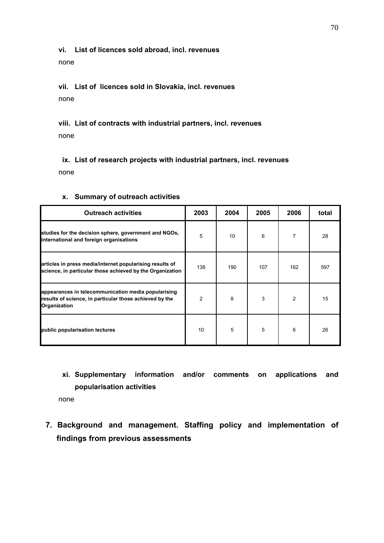#### **vi. List of licences sold abroad, incl. revenues**

none

# **vii. List of licences sold in Slovakia, incl. revenues**  none

**viii. List of contracts with industrial partners, incl. revenues** none

**ix. List of research projects with industrial partners, incl. revenues** none

| <b>Outreach activities</b>                                                                                                     | 2003           | 2004 | 2005 | 2006           | total |
|--------------------------------------------------------------------------------------------------------------------------------|----------------|------|------|----------------|-------|
| studies for the decision sphere, government and NGOs,<br>international and foreign organisations                               | 5              | 10   | 6    | $\overline{7}$ | 28    |
| articles in press media/internet popularising results of<br>science, in particular those achieved by the Organization          | 138            | 190  | 107  | 162            | 597   |
| appearances in telecommunication media popularising<br>results of science, in particular those achieved by the<br>Organization | $\overline{2}$ | 8    | 3    | $\overline{2}$ | 15    |
| public popularisation lectures                                                                                                 | 10             | 5    | 5    | 6              | 26    |

### **x. Summary of outreach activities**

**xi. Supplementary information and/or comments on applications and popularisation activities** 

none

**7. Background and management. Staffing policy and implementation of findings from previous assessments**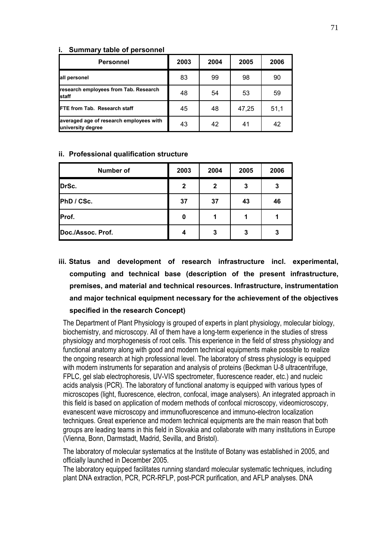#### **i. Summary table of personnel**

| Personnel                                                    | 2003 | 2004 | 2005  | 2006 |
|--------------------------------------------------------------|------|------|-------|------|
| all personel                                                 | 83   | 99   | 98    | 90   |
| research employees from Tab. Research<br>staff               | 48   | 54   | 53    | 59   |
| FTE from Tab. Research staff                                 | 45   | 48   | 47,25 | 51,1 |
| averaged age of research employees with<br>university degree | 43   | 42   | 41    | 42   |

#### **ii. Professional qualification structure**

| Number of         | 2003         | 2004         | 2005 | 2006 |
|-------------------|--------------|--------------|------|------|
| DrSc.             | $\mathbf{2}$ | $\mathbf{2}$ | 3    | 3    |
| PhD / CSc.        | 37           | 37           | 43   | 46   |
| Prof.             | 0            |              |      |      |
| Doc./Assoc. Prof. | 4            | 3            | 3    | 3    |

**iii. Status and development of research infrastructure incl. experimental, computing and technical base (description of the present infrastructure, premises, and material and technical resources. Infrastructure, instrumentation and major technical equipment necessary for the achievement of the objectives specified in the research Concept)** 

The Department of Plant Physiology is grouped of experts in plant physiology, molecular biology, biochemistry, and microscopy. All of them have a long-term experience in the studies of stress physiology and morphogenesis of root cells. This experience in the field of stress physiology and functional anatomy along with good and modern technical equipments make possible to realize the ongoing research at high professional level. The laboratory of stress physiology is equipped with modern instruments for separation and analysis of proteins (Beckman U-8 ultracentrifuge, FPLC, gel slab electrophoresis, UV-VIS spectrometer, fluorescence reader, etc.) and nucleic acids analysis (PCR). The laboratory of functional anatomy is equipped with various types of microscopes (light, fluorescence, electron, confocal, image analysers). An integrated approach in this field is based on application of modern methods of confocal microscopy, videomicroscopy, evanescent wave microscopy and immunofluorescence and immuno-electron localization techniques. Great experience and modern technical equipments are the main reason that both groups are leading teams in this field in Slovakia and collaborate with many institutions in Europe (Vienna, Bonn, Darmstadt, Madrid, Sevilla, and Bristol).

The laboratory of molecular systematics at the Institute of Botany was established in 2005, and officially launched in December 2005.

The laboratory equipped facilitates running standard molecular systematic techniques, including plant DNA extraction, PCR, PCR-RFLP, post-PCR purification, and AFLP analyses. DNA